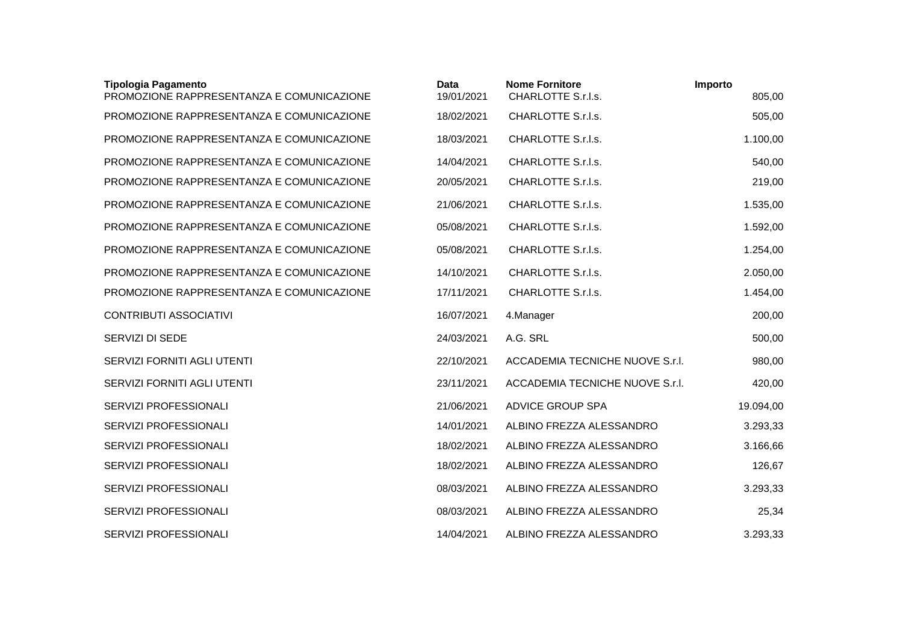| <b>Tipologia Pagamento</b><br>PROMOZIONE RAPPRESENTANZA E COMUNICAZIONE | <b>Data</b><br>19/01/2021 | <b>Nome Fornitore</b><br>CHARLOTTE S.r.l.s. | Importo<br>805,00 |
|-------------------------------------------------------------------------|---------------------------|---------------------------------------------|-------------------|
| PROMOZIONE RAPPRESENTANZA E COMUNICAZIONE                               | 18/02/2021                | CHARLOTTE S.r.l.s.                          | 505,00            |
| PROMOZIONE RAPPRESENTANZA E COMUNICAZIONE                               | 18/03/2021                | CHARLOTTE S.r.l.s.                          | 1.100,00          |
| PROMOZIONE RAPPRESENTANZA E COMUNICAZIONE                               | 14/04/2021                | CHARLOTTE S.r.l.s.                          | 540,00            |
| PROMOZIONE RAPPRESENTANZA E COMUNICAZIONE                               | 20/05/2021                | CHARLOTTE S.r.l.s.                          | 219,00            |
| PROMOZIONE RAPPRESENTANZA E COMUNICAZIONE                               | 21/06/2021                | CHARLOTTE S.r.l.s.                          | 1.535,00          |
| PROMOZIONE RAPPRESENTANZA E COMUNICAZIONE                               | 05/08/2021                | CHARLOTTE S.r.l.s.                          | 1.592,00          |
| PROMOZIONE RAPPRESENTANZA E COMUNICAZIONE                               | 05/08/2021                | CHARLOTTE S.r.l.s.                          | 1.254,00          |
| PROMOZIONE RAPPRESENTANZA E COMUNICAZIONE                               | 14/10/2021                | CHARLOTTE S.r.l.s.                          | 2.050,00          |
| PROMOZIONE RAPPRESENTANZA E COMUNICAZIONE                               | 17/11/2021                | CHARLOTTE S.r.l.s.                          | 1.454,00          |
| <b>CONTRIBUTI ASSOCIATIVI</b>                                           | 16/07/2021                | 4.Manager                                   | 200,00            |
| SERVIZI DI SEDE                                                         | 24/03/2021                | A.G. SRL                                    | 500,00            |
| SERVIZI FORNITI AGLI UTENTI                                             | 22/10/2021                | ACCADEMIA TECNICHE NUOVE S.r.l.             | 980,00            |
| SERVIZI FORNITI AGLI UTENTI                                             | 23/11/2021                | ACCADEMIA TECNICHE NUOVE S.r.l.             | 420,00            |
| SERVIZI PROFESSIONALI                                                   | 21/06/2021                | <b>ADVICE GROUP SPA</b>                     | 19.094,00         |
| SERVIZI PROFESSIONALI                                                   | 14/01/2021                | ALBINO FREZZA ALESSANDRO                    | 3.293,33          |
| SERVIZI PROFESSIONALI                                                   | 18/02/2021                | ALBINO FREZZA ALESSANDRO                    | 3.166,66          |
| SERVIZI PROFESSIONALI                                                   | 18/02/2021                | ALBINO FREZZA ALESSANDRO                    | 126,67            |
| SERVIZI PROFESSIONALI                                                   | 08/03/2021                | ALBINO FREZZA ALESSANDRO                    | 3.293,33          |
| SERVIZI PROFESSIONALI                                                   | 08/03/2021                | ALBINO FREZZA ALESSANDRO                    | 25,34             |
| SERVIZI PROFESSIONALI                                                   | 14/04/2021                | ALBINO FREZZA ALESSANDRO                    | 3.293,33          |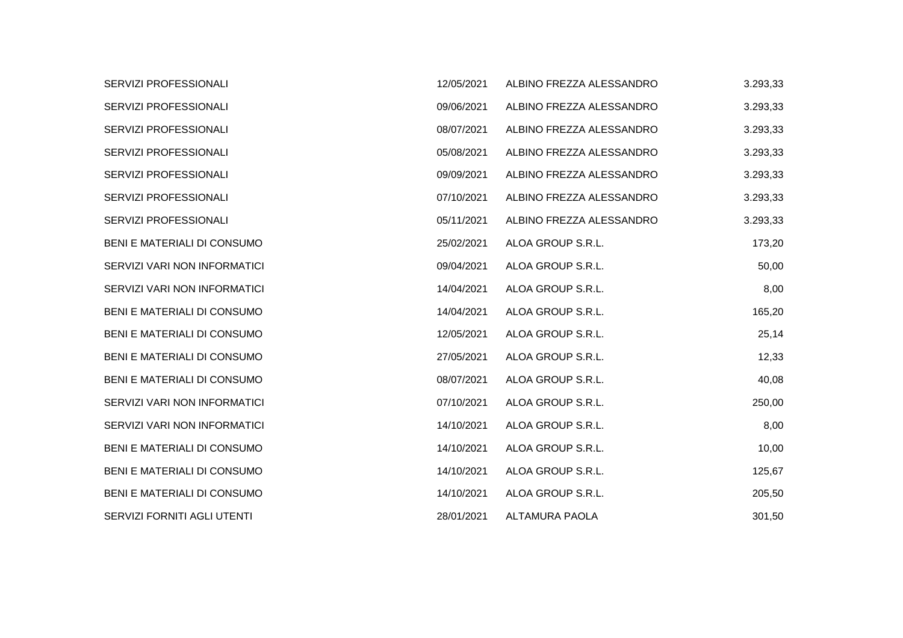| SERVIZI PROFESSIONALI        | 12/05/2021 | ALBINO FREZZA ALESSANDRO | 3.293,33 |
|------------------------------|------------|--------------------------|----------|
| <b>SERVIZI PROFESSIONALI</b> | 09/06/2021 | ALBINO FREZZA ALESSANDRO | 3.293,33 |
| SERVIZI PROFESSIONALI        | 08/07/2021 | ALBINO FREZZA ALESSANDRO | 3.293,33 |
| SERVIZI PROFESSIONALI        | 05/08/2021 | ALBINO FREZZA ALESSANDRO | 3.293,33 |
| SERVIZI PROFESSIONALI        | 09/09/2021 | ALBINO FREZZA ALESSANDRO | 3.293,33 |
| SERVIZI PROFESSIONALI        | 07/10/2021 | ALBINO FREZZA ALESSANDRO | 3.293,33 |
| <b>SERVIZI PROFESSIONALI</b> | 05/11/2021 | ALBINO FREZZA ALESSANDRO | 3.293,33 |
| BENI E MATERIALI DI CONSUMO  | 25/02/2021 | ALOA GROUP S.R.L.        | 173,20   |
| SERVIZI VARI NON INFORMATICI | 09/04/2021 | ALOA GROUP S.R.L.        | 50,00    |
| SERVIZI VARI NON INFORMATICI | 14/04/2021 | ALOA GROUP S.R.L.        | 8,00     |
| BENI E MATERIALI DI CONSUMO  | 14/04/2021 | ALOA GROUP S.R.L.        | 165,20   |
| BENI E MATERIALI DI CONSUMO  | 12/05/2021 | ALOA GROUP S.R.L.        | 25,14    |
| BENI E MATERIALI DI CONSUMO  | 27/05/2021 | ALOA GROUP S.R.L.        | 12,33    |
| BENI E MATERIALI DI CONSUMO  | 08/07/2021 | ALOA GROUP S.R.L.        | 40,08    |
| SERVIZI VARI NON INFORMATICI | 07/10/2021 | ALOA GROUP S.R.L.        | 250,00   |
| SERVIZI VARI NON INFORMATICI | 14/10/2021 | ALOA GROUP S.R.L.        | 8,00     |
| BENI E MATERIALI DI CONSUMO  | 14/10/2021 | ALOA GROUP S.R.L.        | 10,00    |
| BENI E MATERIALI DI CONSUMO  | 14/10/2021 | ALOA GROUP S.R.L.        | 125,67   |
| BENI E MATERIALI DI CONSUMO  | 14/10/2021 | ALOA GROUP S.R.L.        | 205,50   |
| SERVIZI FORNITI AGLI UTENTI  | 28/01/2021 | ALTAMURA PAOLA           | 301,50   |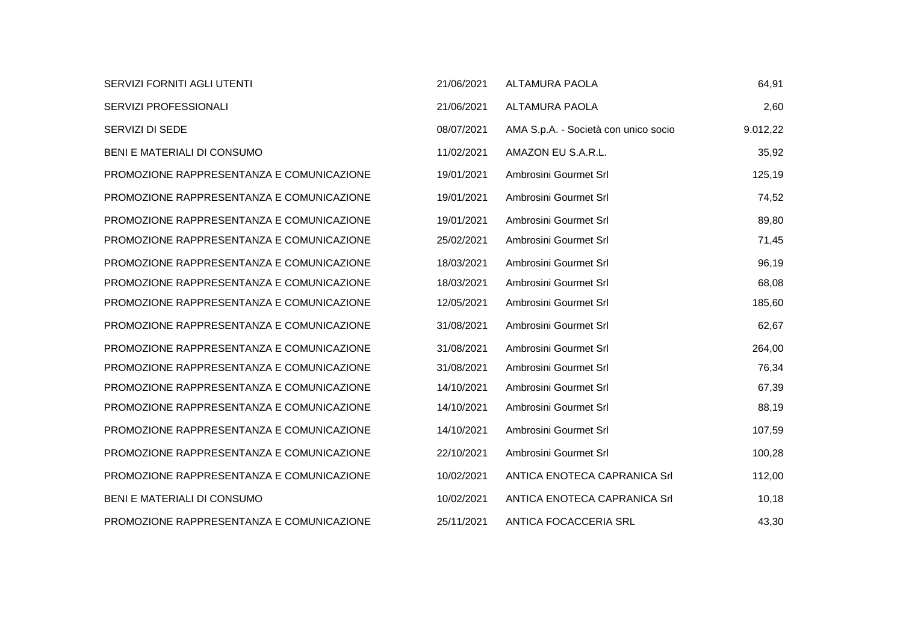| SERVIZI FORNITI AGLI UTENTI               | 21/06/2021 | <b>ALTAMURA PAOLA</b>                | 64,91    |
|-------------------------------------------|------------|--------------------------------------|----------|
| SERVIZI PROFESSIONALI                     | 21/06/2021 | <b>ALTAMURA PAOLA</b>                | 2,60     |
| SERVIZI DI SEDE                           | 08/07/2021 | AMA S.p.A. - Società con unico socio | 9.012,22 |
| BENI E MATERIALI DI CONSUMO               | 11/02/2021 | AMAZON EU S.A.R.L.                   | 35,92    |
| PROMOZIONE RAPPRESENTANZA E COMUNICAZIONE | 19/01/2021 | Ambrosini Gourmet Srl                | 125,19   |
| PROMOZIONE RAPPRESENTANZA E COMUNICAZIONE | 19/01/2021 | Ambrosini Gourmet Srl                | 74,52    |
| PROMOZIONE RAPPRESENTANZA E COMUNICAZIONE | 19/01/2021 | Ambrosini Gourmet Srl                | 89,80    |
| PROMOZIONE RAPPRESENTANZA E COMUNICAZIONE | 25/02/2021 | Ambrosini Gourmet Srl                | 71,45    |
| PROMOZIONE RAPPRESENTANZA E COMUNICAZIONE | 18/03/2021 | Ambrosini Gourmet Srl                | 96,19    |
| PROMOZIONE RAPPRESENTANZA E COMUNICAZIONE | 18/03/2021 | Ambrosini Gourmet Srl                | 68,08    |
| PROMOZIONE RAPPRESENTANZA E COMUNICAZIONE | 12/05/2021 | Ambrosini Gourmet Srl                | 185,60   |
| PROMOZIONE RAPPRESENTANZA E COMUNICAZIONE | 31/08/2021 | Ambrosini Gourmet Srl                | 62,67    |
| PROMOZIONE RAPPRESENTANZA E COMUNICAZIONE | 31/08/2021 | Ambrosini Gourmet Srl                | 264,00   |
| PROMOZIONE RAPPRESENTANZA E COMUNICAZIONE | 31/08/2021 | Ambrosini Gourmet Srl                | 76,34    |
| PROMOZIONE RAPPRESENTANZA E COMUNICAZIONE | 14/10/2021 | Ambrosini Gourmet Srl                | 67,39    |
| PROMOZIONE RAPPRESENTANZA E COMUNICAZIONE | 14/10/2021 | Ambrosini Gourmet Srl                | 88,19    |
| PROMOZIONE RAPPRESENTANZA E COMUNICAZIONE | 14/10/2021 | Ambrosini Gourmet Srl                | 107,59   |
| PROMOZIONE RAPPRESENTANZA E COMUNICAZIONE | 22/10/2021 | Ambrosini Gourmet Srl                | 100,28   |
| PROMOZIONE RAPPRESENTANZA E COMUNICAZIONE | 10/02/2021 | ANTICA ENOTECA CAPRANICA Srl         | 112,00   |
| BENI E MATERIALI DI CONSUMO               | 10/02/2021 | ANTICA ENOTECA CAPRANICA Srl         | 10,18    |
| PROMOZIONE RAPPRESENTANZA E COMUNICAZIONE | 25/11/2021 | ANTICA FOCACCERIA SRL                | 43,30    |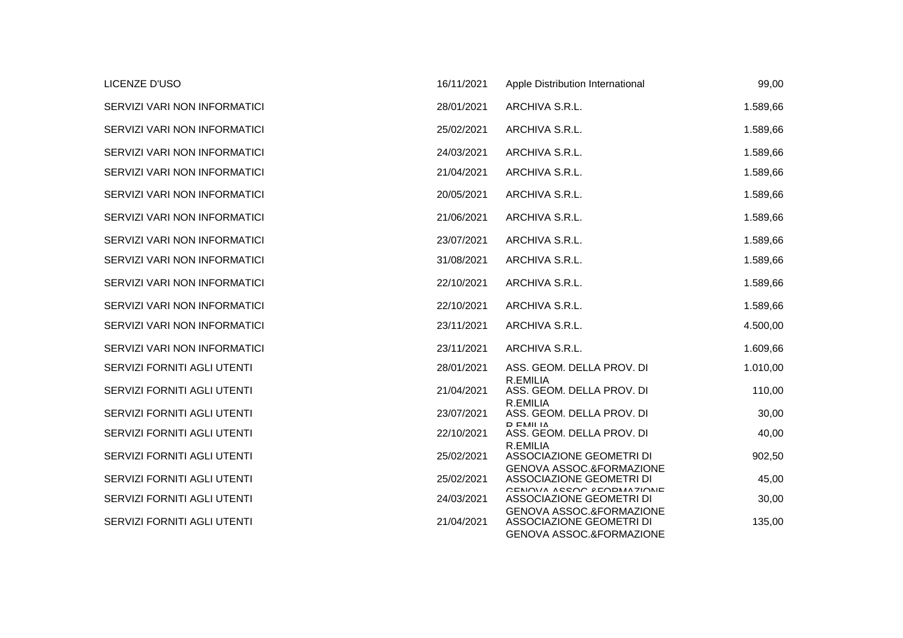| LICENZE D'USO                      | 16/11/2021 | Apple Distribution International                                                 | 99,00    |
|------------------------------------|------------|----------------------------------------------------------------------------------|----------|
| SERVIZI VARI NON INFORMATICI       | 28/01/2021 | ARCHIVA S.R.L.                                                                   | 1.589,66 |
| SERVIZI VARI NON INFORMATICI       | 25/02/2021 | ARCHIVA S.R.L.                                                                   | 1.589,66 |
| SERVIZI VARI NON INFORMATICI       | 24/03/2021 | ARCHIVA S.R.L.                                                                   | 1.589,66 |
| SERVIZI VARI NON INFORMATICI       | 21/04/2021 | ARCHIVA S.R.L.                                                                   | 1.589,66 |
| SERVIZI VARI NON INFORMATICI       | 20/05/2021 | ARCHIVA S.R.L.                                                                   | 1.589,66 |
| SERVIZI VARI NON INFORMATICI       | 21/06/2021 | ARCHIVA S.R.L.                                                                   | 1.589,66 |
| SERVIZI VARI NON INFORMATICI       | 23/07/2021 | ARCHIVA S.R.L.                                                                   | 1.589,66 |
| SERVIZI VARI NON INFORMATICI       | 31/08/2021 | ARCHIVA S.R.L.                                                                   | 1.589,66 |
| SERVIZI VARI NON INFORMATICI       | 22/10/2021 | ARCHIVA S.R.L.                                                                   | 1.589,66 |
| SERVIZI VARI NON INFORMATICI       | 22/10/2021 | ARCHIVA S.R.L.                                                                   | 1.589,66 |
| SERVIZI VARI NON INFORMATICI       | 23/11/2021 | ARCHIVA S.R.L.                                                                   | 4.500,00 |
| SERVIZI VARI NON INFORMATICI       | 23/11/2021 | ARCHIVA S.R.L.                                                                   | 1.609,66 |
| SERVIZI FORNITI AGLI UTENTI        | 28/01/2021 | ASS. GEOM. DELLA PROV. DI                                                        | 1.010,00 |
| <b>SERVIZI FORNITI AGLI UTENTI</b> | 21/04/2021 | R.EMILIA<br>ASS. GEOM. DELLA PROV. DI                                            | 110,00   |
| SERVIZI FORNITI AGLI UTENTI        | 23/07/2021 | R.EMILIA<br>ASS. GEOM. DELLA PROV. DI                                            | 30,00    |
| SERVIZI FORNITI AGLI UTENTI        | 22/10/2021 | <b>D EMILIA</b><br>ASS. GEOM. DELLA PROV. DI                                     | 40,00    |
| SERVIZI FORNITI AGLI UTENTI        | 25/02/2021 | <b>R.EMILIA</b><br>ASSOCIAZIONE GEOMETRI DI                                      | 902,50   |
| SERVIZI FORNITI AGLI UTENTI        | 25/02/2021 | GENOVA ASSOC.&FORMAZIONE<br><b>ASSOCIAZIONE GEOMETRI DI</b>                      | 45,00    |
| SERVIZI FORNITI AGLI UTENTI        | 24/03/2021 | CENIOUA ACCOR REODMAZIONE<br>ASSOCIAZIONE GEOMETRI DI                            | 30,00    |
| SERVIZI FORNITI AGLI UTENTI        | 21/04/2021 | GENOVA ASSOC.&FORMAZIONE<br>ASSOCIAZIONE GEOMETRI DI<br>GENOVA ASSOC.&FORMAZIONE | 135,00   |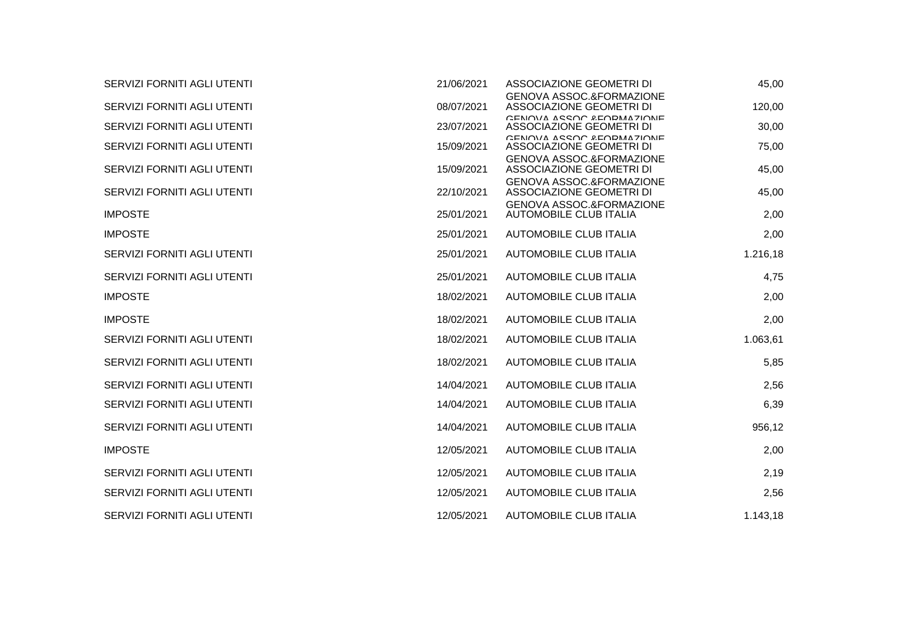| SERVIZI FORNITI AGLI UTENTI        | 21/06/2021 | ASSOCIAZIONE GEOMETRI DI                                        | 45,00    |
|------------------------------------|------------|-----------------------------------------------------------------|----------|
| SERVIZI FORNITI AGLI UTENTI        | 08/07/2021 | GENOVA ASSOC.&FORMAZIONE<br>ASSOCIAZIONE GEOMETRI DI            | 120,00   |
| <b>SERVIZI FORNITI AGLI UTENTI</b> | 23/07/2021 | CENOVA ASSOC REOPMAZIONE<br>ASSOCIAZIONE GEOMETRI DI            | 30,00    |
| SERVIZI FORNITI AGLI UTENTI        | 15/09/2021 | CENOVA ASSOC REOPMAZIONE<br>ASSOCIAZIONE GEOMETRI DI            | 75,00    |
| SERVIZI FORNITI AGLI UTENTI        | 15/09/2021 | GENOVA ASSOC.&FORMAZIONE<br>ASSOCIAZIONE GEOMETRI DI            | 45,00    |
| SERVIZI FORNITI AGLI UTENTI        | 22/10/2021 | <b>GENOVA ASSOC.&amp;FORMAZIONE</b><br>ASSOCIAZIONE GEOMETRI DI | 45,00    |
| <b>IMPOSTE</b>                     | 25/01/2021 | GENOVA ASSOC.&FORMAZIONE<br><b>AUTOMOBILE CLUB ITALIA</b>       | 2,00     |
| <b>IMPOSTE</b>                     | 25/01/2021 | <b>AUTOMOBILE CLUB ITALIA</b>                                   | 2,00     |
| <b>SERVIZI FORNITI AGLI UTENTI</b> | 25/01/2021 | <b>AUTOMOBILE CLUB ITALIA</b>                                   | 1.216,18 |
| SERVIZI FORNITI AGLI UTENTI        | 25/01/2021 | <b>AUTOMOBILE CLUB ITALIA</b>                                   | 4,75     |
| <b>IMPOSTE</b>                     | 18/02/2021 | <b>AUTOMOBILE CLUB ITALIA</b>                                   | 2,00     |
| <b>IMPOSTE</b>                     | 18/02/2021 | <b>AUTOMOBILE CLUB ITALIA</b>                                   | 2,00     |
| <b>SERVIZI FORNITI AGLI UTENTI</b> | 18/02/2021 | <b>AUTOMOBILE CLUB ITALIA</b>                                   | 1.063,61 |
| SERVIZI FORNITI AGLI UTENTI        | 18/02/2021 | <b>AUTOMOBILE CLUB ITALIA</b>                                   | 5,85     |
| SERVIZI FORNITI AGLI UTENTI        | 14/04/2021 | <b>AUTOMOBILE CLUB ITALIA</b>                                   | 2,56     |
| SERVIZI FORNITI AGLI UTENTI        | 14/04/2021 | <b>AUTOMOBILE CLUB ITALIA</b>                                   | 6,39     |
| <b>SERVIZI FORNITI AGLI UTENTI</b> | 14/04/2021 | <b>AUTOMOBILE CLUB ITALIA</b>                                   | 956,12   |
| <b>IMPOSTE</b>                     | 12/05/2021 | <b>AUTOMOBILE CLUB ITALIA</b>                                   | 2,00     |
| SERVIZI FORNITI AGLI UTENTI        | 12/05/2021 | <b>AUTOMOBILE CLUB ITALIA</b>                                   | 2,19     |
| SERVIZI FORNITI AGLI UTENTI        | 12/05/2021 | <b>AUTOMOBILE CLUB ITALIA</b>                                   | 2,56     |
| SERVIZI FORNITI AGLI UTENTI        | 12/05/2021 | <b>AUTOMOBILE CLUB ITALIA</b>                                   | 1.143,18 |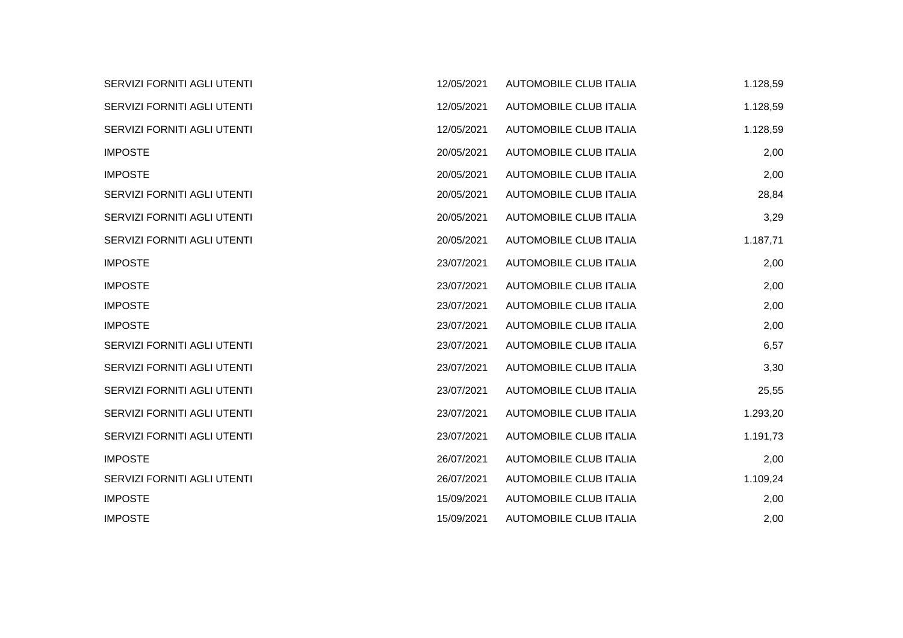| SERVIZI FORNITI AGLI UTENTI | 12/05/2021 | AUTOMOBILE CLUB ITALIA        | 1.128,59 |
|-----------------------------|------------|-------------------------------|----------|
| SERVIZI FORNITI AGLI UTENTI | 12/05/2021 | <b>AUTOMOBILE CLUB ITALIA</b> | 1.128,59 |
| SERVIZI FORNITI AGLI UTENTI | 12/05/2021 | AUTOMOBILE CLUB ITALIA        | 1.128,59 |
| <b>IMPOSTE</b>              | 20/05/2021 | <b>AUTOMOBILE CLUB ITALIA</b> | 2,00     |
| <b>IMPOSTE</b>              | 20/05/2021 | <b>AUTOMOBILE CLUB ITALIA</b> | 2,00     |
| SERVIZI FORNITI AGLI UTENTI | 20/05/2021 | <b>AUTOMOBILE CLUB ITALIA</b> | 28,84    |
| SERVIZI FORNITI AGLI UTENTI | 20/05/2021 | AUTOMOBILE CLUB ITALIA        | 3,29     |
| SERVIZI FORNITI AGLI UTENTI | 20/05/2021 | AUTOMOBILE CLUB ITALIA        | 1.187,71 |
| <b>IMPOSTE</b>              | 23/07/2021 | AUTOMOBILE CLUB ITALIA        | 2,00     |
| <b>IMPOSTE</b>              | 23/07/2021 | <b>AUTOMOBILE CLUB ITALIA</b> | 2,00     |
| <b>IMPOSTE</b>              | 23/07/2021 | <b>AUTOMOBILE CLUB ITALIA</b> | 2,00     |
| <b>IMPOSTE</b>              | 23/07/2021 | <b>AUTOMOBILE CLUB ITALIA</b> | 2,00     |
| SERVIZI FORNITI AGLI UTENTI | 23/07/2021 | AUTOMOBILE CLUB ITALIA        | 6,57     |
| SERVIZI FORNITI AGLI UTENTI | 23/07/2021 | <b>AUTOMOBILE CLUB ITALIA</b> | 3,30     |
| SERVIZI FORNITI AGLI UTENTI | 23/07/2021 | AUTOMOBILE CLUB ITALIA        | 25,55    |
| SERVIZI FORNITI AGLI UTENTI | 23/07/2021 | AUTOMOBILE CLUB ITALIA        | 1.293,20 |
| SERVIZI FORNITI AGLI UTENTI | 23/07/2021 | AUTOMOBILE CLUB ITALIA        | 1.191,73 |
| <b>IMPOSTE</b>              | 26/07/2021 | <b>AUTOMOBILE CLUB ITALIA</b> | 2,00     |
| SERVIZI FORNITI AGLI UTENTI | 26/07/2021 | AUTOMOBILE CLUB ITALIA        | 1.109,24 |
| <b>IMPOSTE</b>              | 15/09/2021 | <b>AUTOMOBILE CLUB ITALIA</b> | 2,00     |
| <b>IMPOSTE</b>              | 15/09/2021 | <b>AUTOMOBILE CLUB ITALIA</b> | 2,00     |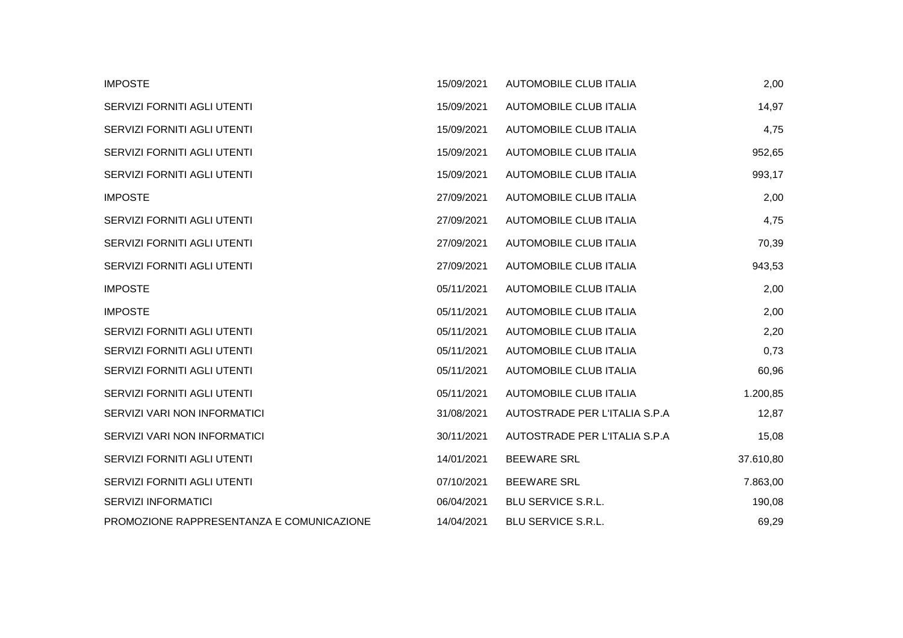| <b>IMPOSTE</b>                            | 15/09/2021 | <b>AUTOMOBILE CLUB ITALIA</b> | 2,00      |
|-------------------------------------------|------------|-------------------------------|-----------|
| SERVIZI FORNITI AGLI UTENTI               | 15/09/2021 | <b>AUTOMOBILE CLUB ITALIA</b> | 14,97     |
| SERVIZI FORNITI AGLI UTENTI               | 15/09/2021 | <b>AUTOMOBILE CLUB ITALIA</b> | 4,75      |
| SERVIZI FORNITI AGLI UTENTI               | 15/09/2021 | <b>AUTOMOBILE CLUB ITALIA</b> | 952,65    |
| SERVIZI FORNITI AGLI UTENTI               | 15/09/2021 | <b>AUTOMOBILE CLUB ITALIA</b> | 993,17    |
| <b>IMPOSTE</b>                            | 27/09/2021 | <b>AUTOMOBILE CLUB ITALIA</b> | 2,00      |
| SERVIZI FORNITI AGLI UTENTI               | 27/09/2021 | <b>AUTOMOBILE CLUB ITALIA</b> | 4,75      |
| SERVIZI FORNITI AGLI UTENTI               | 27/09/2021 | <b>AUTOMOBILE CLUB ITALIA</b> | 70,39     |
| SERVIZI FORNITI AGLI UTENTI               | 27/09/2021 | <b>AUTOMOBILE CLUB ITALIA</b> | 943,53    |
| <b>IMPOSTE</b>                            | 05/11/2021 | <b>AUTOMOBILE CLUB ITALIA</b> | 2,00      |
| <b>IMPOSTE</b>                            | 05/11/2021 | <b>AUTOMOBILE CLUB ITALIA</b> | 2,00      |
| SERVIZI FORNITI AGLI UTENTI               | 05/11/2021 | <b>AUTOMOBILE CLUB ITALIA</b> | 2,20      |
| SERVIZI FORNITI AGLI UTENTI               | 05/11/2021 | <b>AUTOMOBILE CLUB ITALIA</b> | 0,73      |
| SERVIZI FORNITI AGLI UTENTI               | 05/11/2021 | AUTOMOBILE CLUB ITALIA        | 60,96     |
| SERVIZI FORNITI AGLI UTENTI               | 05/11/2021 | <b>AUTOMOBILE CLUB ITALIA</b> | 1.200,85  |
| SERVIZI VARI NON INFORMATICI              | 31/08/2021 | AUTOSTRADE PER L'ITALIA S.P.A | 12,87     |
| SERVIZI VARI NON INFORMATICI              | 30/11/2021 | AUTOSTRADE PER L'ITALIA S.P.A | 15,08     |
| SERVIZI FORNITI AGLI UTENTI               | 14/01/2021 | <b>BEEWARE SRL</b>            | 37.610,80 |
| SERVIZI FORNITI AGLI UTENTI               | 07/10/2021 | <b>BEEWARE SRL</b>            | 7.863,00  |
| <b>SERVIZI INFORMATICI</b>                | 06/04/2021 | <b>BLU SERVICE S.R.L.</b>     | 190,08    |
| PROMOZIONE RAPPRESENTANZA E COMUNICAZIONE | 14/04/2021 | <b>BLU SERVICE S.R.L.</b>     | 69,29     |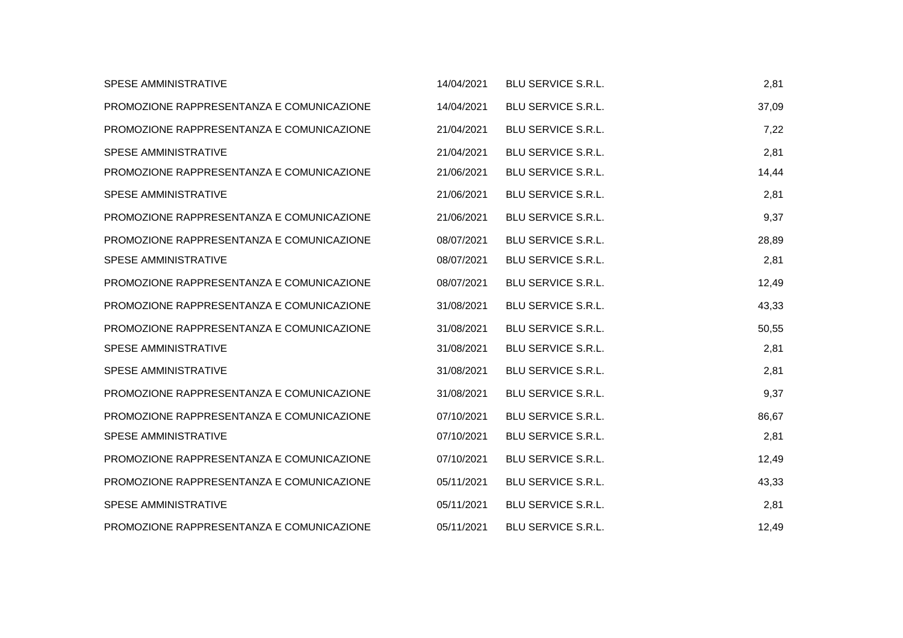| SPESE AMMINISTRATIVE                      | 14/04/2021 | <b>BLU SERVICE S.R.L.</b> | 2,81  |
|-------------------------------------------|------------|---------------------------|-------|
| PROMOZIONE RAPPRESENTANZA E COMUNICAZIONE | 14/04/2021 | <b>BLU SERVICE S.R.L.</b> | 37,09 |
| PROMOZIONE RAPPRESENTANZA E COMUNICAZIONE | 21/04/2021 | <b>BLU SERVICE S.R.L.</b> | 7,22  |
| SPESE AMMINISTRATIVE                      | 21/04/2021 | <b>BLU SERVICE S.R.L.</b> | 2,81  |
| PROMOZIONE RAPPRESENTANZA E COMUNICAZIONE | 21/06/2021 | <b>BLU SERVICE S.R.L.</b> | 14,44 |
| SPESE AMMINISTRATIVE                      | 21/06/2021 | <b>BLU SERVICE S.R.L.</b> | 2,81  |
| PROMOZIONE RAPPRESENTANZA E COMUNICAZIONE | 21/06/2021 | <b>BLU SERVICE S.R.L.</b> | 9,37  |
| PROMOZIONE RAPPRESENTANZA E COMUNICAZIONE | 08/07/2021 | <b>BLU SERVICE S.R.L.</b> | 28,89 |
| SPESE AMMINISTRATIVE                      | 08/07/2021 | <b>BLU SERVICE S.R.L.</b> | 2,81  |
| PROMOZIONE RAPPRESENTANZA E COMUNICAZIONE | 08/07/2021 | BLU SERVICE S.R.L.        | 12,49 |
| PROMOZIONE RAPPRESENTANZA E COMUNICAZIONE | 31/08/2021 | BLU SERVICE S.R.L.        | 43,33 |
| PROMOZIONE RAPPRESENTANZA E COMUNICAZIONE | 31/08/2021 | <b>BLU SERVICE S.R.L.</b> | 50,55 |
| SPESE AMMINISTRATIVE                      | 31/08/2021 | <b>BLU SERVICE S.R.L.</b> | 2,81  |
| <b>SPESE AMMINISTRATIVE</b>               | 31/08/2021 | <b>BLU SERVICE S.R.L.</b> | 2,81  |
| PROMOZIONE RAPPRESENTANZA E COMUNICAZIONE | 31/08/2021 | <b>BLU SERVICE S.R.L.</b> | 9,37  |
| PROMOZIONE RAPPRESENTANZA E COMUNICAZIONE | 07/10/2021 | <b>BLU SERVICE S.R.L.</b> | 86,67 |
| SPESE AMMINISTRATIVE                      | 07/10/2021 | <b>BLU SERVICE S.R.L.</b> | 2,81  |
| PROMOZIONE RAPPRESENTANZA E COMUNICAZIONE | 07/10/2021 | <b>BLU SERVICE S.R.L.</b> | 12,49 |
| PROMOZIONE RAPPRESENTANZA E COMUNICAZIONE | 05/11/2021 | <b>BLU SERVICE S.R.L.</b> | 43,33 |
| SPESE AMMINISTRATIVE                      | 05/11/2021 | <b>BLU SERVICE S.R.L.</b> | 2,81  |
| PROMOZIONE RAPPRESENTANZA E COMUNICAZIONE | 05/11/2021 | <b>BLU SERVICE S.R.L.</b> | 12,49 |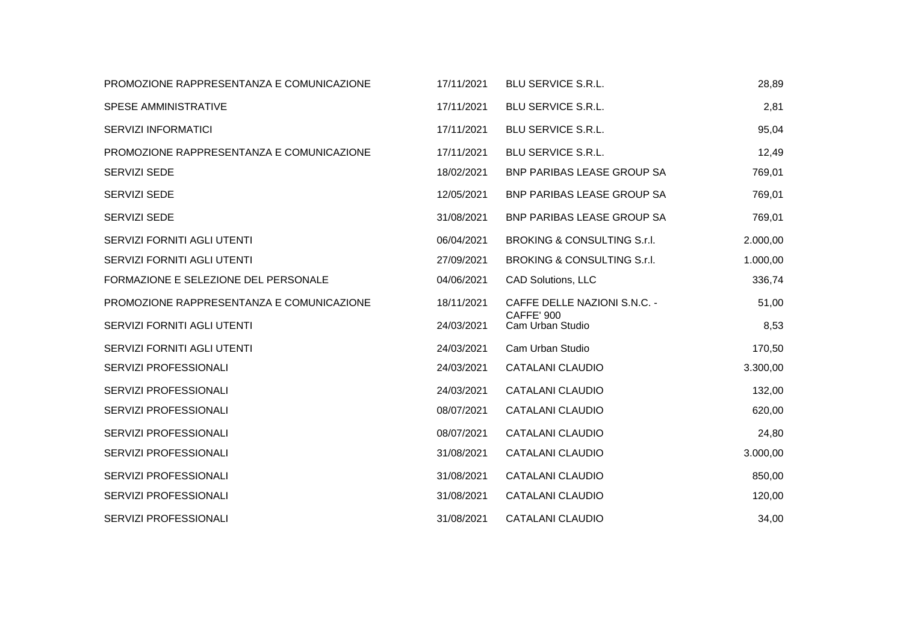| PROMOZIONE RAPPRESENTANZA E COMUNICAZIONE | 17/11/2021 | <b>BLU SERVICE S.R.L.</b>             | 28,89    |
|-------------------------------------------|------------|---------------------------------------|----------|
| <b>SPESE AMMINISTRATIVE</b>               | 17/11/2021 | <b>BLU SERVICE S.R.L.</b>             | 2,81     |
| <b>SERVIZI INFORMATICI</b>                | 17/11/2021 | <b>BLU SERVICE S.R.L.</b>             | 95,04    |
| PROMOZIONE RAPPRESENTANZA E COMUNICAZIONE | 17/11/2021 | <b>BLU SERVICE S.R.L.</b>             | 12,49    |
| <b>SERVIZI SEDE</b>                       | 18/02/2021 | BNP PARIBAS LEASE GROUP SA            | 769,01   |
| <b>SERVIZI SEDE</b>                       | 12/05/2021 | BNP PARIBAS LEASE GROUP SA            | 769,01   |
| <b>SERVIZI SEDE</b>                       | 31/08/2021 | <b>BNP PARIBAS LEASE GROUP SA</b>     | 769,01   |
| SERVIZI FORNITI AGLI UTENTI               | 06/04/2021 | BROKING & CONSULTING S.r.I.           | 2.000,00 |
| SERVIZI FORNITI AGLI UTENTI               | 27/09/2021 | BROKING & CONSULTING S.r.I.           | 1.000,00 |
| FORMAZIONE E SELEZIONE DEL PERSONALE      | 04/06/2021 | CAD Solutions, LLC                    | 336,74   |
| PROMOZIONE RAPPRESENTANZA E COMUNICAZIONE | 18/11/2021 | CAFFE DELLE NAZIONI S.N.C. -          | 51,00    |
| SERVIZI FORNITI AGLI UTENTI               | 24/03/2021 | <b>CAFFE' 900</b><br>Cam Urban Studio | 8,53     |
| SERVIZI FORNITI AGLI UTENTI               | 24/03/2021 | Cam Urban Studio                      | 170,50   |
| SERVIZI PROFESSIONALI                     | 24/03/2021 | <b>CATALANI CLAUDIO</b>               | 3.300,00 |
| SERVIZI PROFESSIONALI                     | 24/03/2021 | <b>CATALANI CLAUDIO</b>               | 132,00   |
| SERVIZI PROFESSIONALI                     | 08/07/2021 | CATALANI CLAUDIO                      | 620,00   |
| SERVIZI PROFESSIONALI                     | 08/07/2021 | <b>CATALANI CLAUDIO</b>               | 24,80    |
| SERVIZI PROFESSIONALI                     | 31/08/2021 | <b>CATALANI CLAUDIO</b>               | 3.000,00 |
| SERVIZI PROFESSIONALI                     | 31/08/2021 | <b>CATALANI CLAUDIO</b>               | 850,00   |
| SERVIZI PROFESSIONALI                     | 31/08/2021 | <b>CATALANI CLAUDIO</b>               | 120,00   |
| SERVIZI PROFESSIONALI                     | 31/08/2021 | <b>CATALANI CLAUDIO</b>               | 34,00    |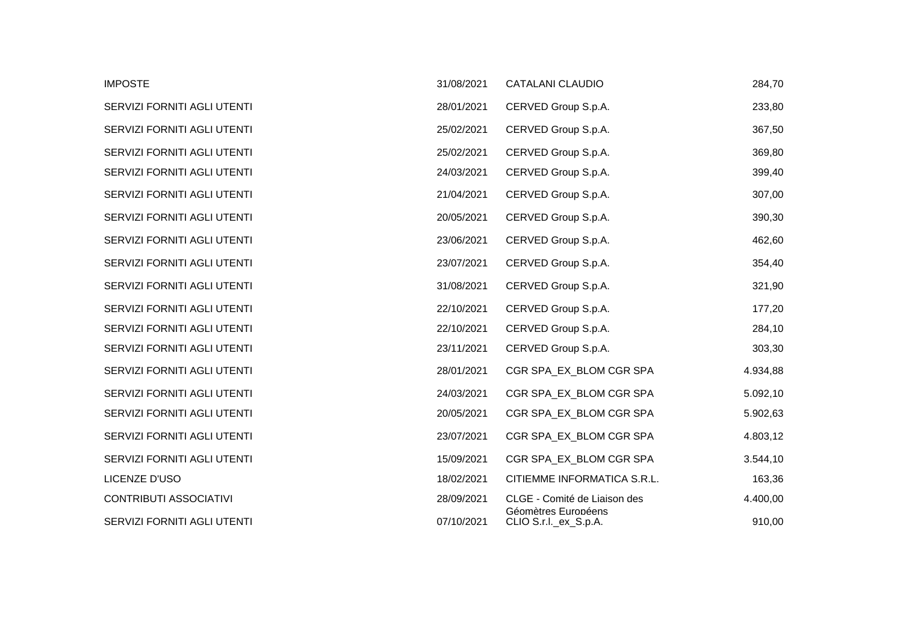| <b>IMPOSTE</b>                | 31/08/2021 | <b>CATALANI CLAUDIO</b>                      | 284,70   |
|-------------------------------|------------|----------------------------------------------|----------|
| SERVIZI FORNITI AGLI UTENTI   | 28/01/2021 | CERVED Group S.p.A.                          | 233,80   |
| SERVIZI FORNITI AGLI UTENTI   | 25/02/2021 | CERVED Group S.p.A.                          | 367,50   |
| SERVIZI FORNITI AGLI UTENTI   | 25/02/2021 | CERVED Group S.p.A.                          | 369,80   |
| SERVIZI FORNITI AGLI UTENTI   | 24/03/2021 | CERVED Group S.p.A.                          | 399,40   |
| SERVIZI FORNITI AGLI UTENTI   | 21/04/2021 | CERVED Group S.p.A.                          | 307,00   |
| SERVIZI FORNITI AGLI UTENTI   | 20/05/2021 | CERVED Group S.p.A.                          | 390,30   |
| SERVIZI FORNITI AGLI UTENTI   | 23/06/2021 | CERVED Group S.p.A.                          | 462,60   |
| SERVIZI FORNITI AGLI UTENTI   | 23/07/2021 | CERVED Group S.p.A.                          | 354,40   |
| SERVIZI FORNITI AGLI UTENTI   | 31/08/2021 | CERVED Group S.p.A.                          | 321,90   |
| SERVIZI FORNITI AGLI UTENTI   | 22/10/2021 | CERVED Group S.p.A.                          | 177,20   |
| SERVIZI FORNITI AGLI UTENTI   | 22/10/2021 | CERVED Group S.p.A.                          | 284,10   |
| SERVIZI FORNITI AGLI UTENTI   | 23/11/2021 | CERVED Group S.p.A.                          | 303,30   |
| SERVIZI FORNITI AGLI UTENTI   | 28/01/2021 | CGR SPA_EX_BLOM CGR SPA                      | 4.934,88 |
| SERVIZI FORNITI AGLI UTENTI   | 24/03/2021 | CGR SPA_EX_BLOM CGR SPA                      | 5.092,10 |
| SERVIZI FORNITI AGLI UTENTI   | 20/05/2021 | CGR SPA_EX_BLOM CGR SPA                      | 5.902,63 |
| SERVIZI FORNITI AGLI UTENTI   | 23/07/2021 | CGR SPA EX BLOM CGR SPA                      | 4.803,12 |
| SERVIZI FORNITI AGLI UTENTI   | 15/09/2021 | CGR SPA EX BLOM CGR SPA                      | 3.544,10 |
| LICENZE D'USO                 | 18/02/2021 | CITIEMME INFORMATICA S.R.L.                  | 163,36   |
| <b>CONTRIBUTI ASSOCIATIVI</b> | 28/09/2021 | CLGE - Comité de Liaison des                 | 4.400,00 |
| SERVIZI FORNITI AGLI UTENTI   | 07/10/2021 | Géomètres Européens<br>CLIO S.r.I._ex_S.p.A. | 910,00   |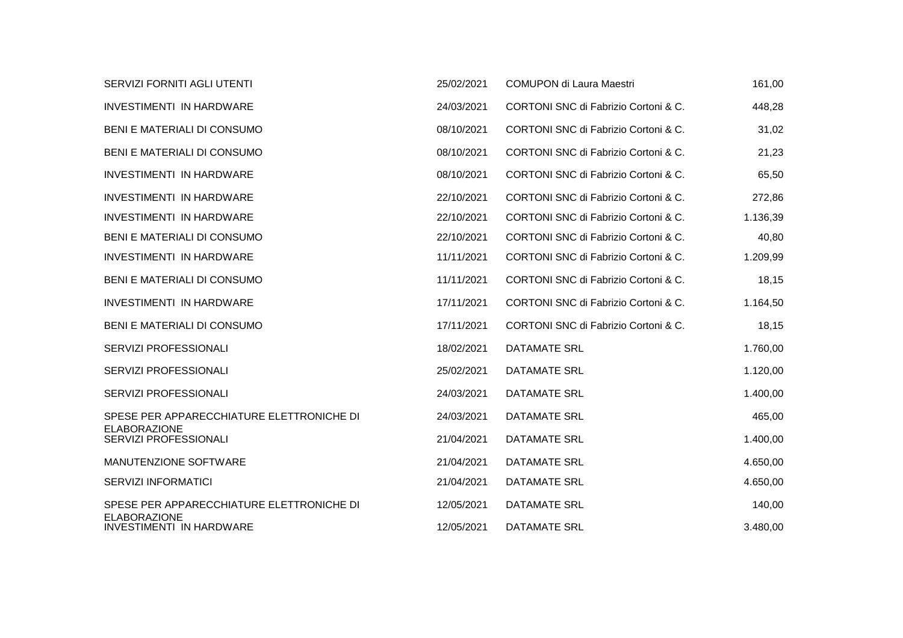| <b>SERVIZI FORNITI AGLI UTENTI</b>                     | 25/02/2021 | <b>COMUPON di Laura Maestri</b>      | 161,00   |
|--------------------------------------------------------|------------|--------------------------------------|----------|
| <b>INVESTIMENTI IN HARDWARE</b>                        | 24/03/2021 | CORTONI SNC di Fabrizio Cortoni & C. | 448,28   |
| BENI E MATERIALI DI CONSUMO                            | 08/10/2021 | CORTONI SNC di Fabrizio Cortoni & C. | 31,02    |
| BENI E MATERIALI DI CONSUMO                            | 08/10/2021 | CORTONI SNC di Fabrizio Cortoni & C. | 21,23    |
| <b>INVESTIMENTI IN HARDWARE</b>                        | 08/10/2021 | CORTONI SNC di Fabrizio Cortoni & C. | 65,50    |
| <b>INVESTIMENTI IN HARDWARE</b>                        | 22/10/2021 | CORTONI SNC di Fabrizio Cortoni & C. | 272,86   |
| INVESTIMENTI IN HARDWARE                               | 22/10/2021 | CORTONI SNC di Fabrizio Cortoni & C. | 1.136,39 |
| BENI E MATERIALI DI CONSUMO                            | 22/10/2021 | CORTONI SNC di Fabrizio Cortoni & C. | 40,80    |
| INVESTIMENTI IN HARDWARE                               | 11/11/2021 | CORTONI SNC di Fabrizio Cortoni & C. | 1.209,99 |
| BENI E MATERIALI DI CONSUMO                            | 11/11/2021 | CORTONI SNC di Fabrizio Cortoni & C. | 18,15    |
| INVESTIMENTI IN HARDWARE                               | 17/11/2021 | CORTONI SNC di Fabrizio Cortoni & C. | 1.164,50 |
| BENI E MATERIALI DI CONSUMO                            | 17/11/2021 | CORTONI SNC di Fabrizio Cortoni & C. | 18,15    |
| SERVIZI PROFESSIONALI                                  | 18/02/2021 | <b>DATAMATE SRL</b>                  | 1.760,00 |
| SERVIZI PROFESSIONALI                                  | 25/02/2021 | <b>DATAMATE SRL</b>                  | 1.120,00 |
| SERVIZI PROFESSIONALI                                  | 24/03/2021 | <b>DATAMATE SRL</b>                  | 1.400,00 |
| SPESE PER APPARECCHIATURE ELETTRONICHE DI              | 24/03/2021 | <b>DATAMATE SRL</b>                  | 465,00   |
| <b>ELABORAZIONE</b><br>SERVIZI PROFESSIONALI           | 21/04/2021 | <b>DATAMATE SRL</b>                  | 1.400,00 |
| MANUTENZIONE SOFTWARE                                  | 21/04/2021 | <b>DATAMATE SRL</b>                  | 4.650,00 |
| <b>SERVIZI INFORMATICI</b>                             | 21/04/2021 | <b>DATAMATE SRL</b>                  | 4.650,00 |
| SPESE PER APPARECCHIATURE ELETTRONICHE DI              | 12/05/2021 | <b>DATAMATE SRL</b>                  | 140,00   |
| <b>ELABORAZIONE</b><br><b>INVESTIMENTI IN HARDWARE</b> | 12/05/2021 | DATAMATE SRL                         | 3.480,00 |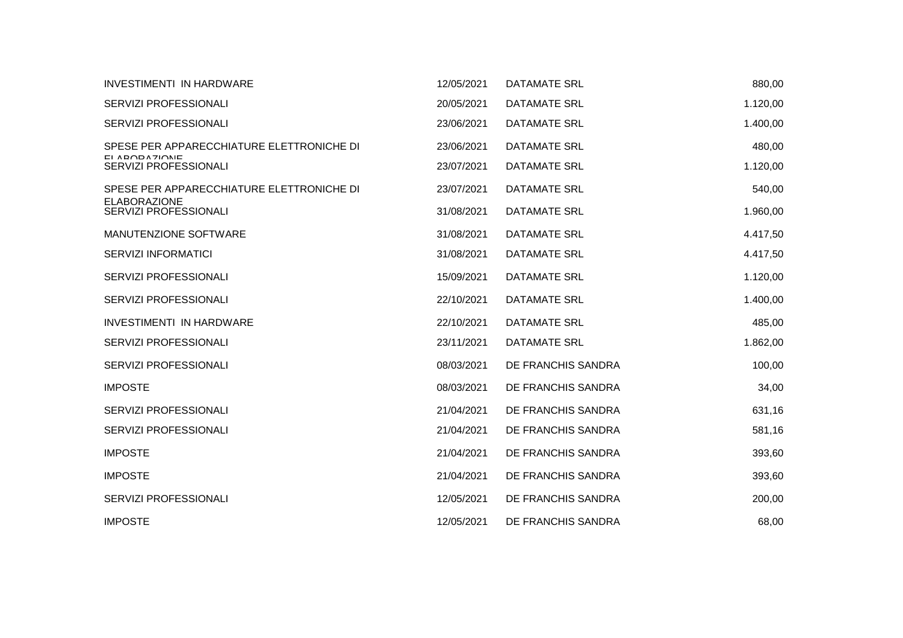| <b>INVESTIMENTI IN HARDWARE</b>              | 12/05/2021 | <b>DATAMATE SRL</b> | 880,00   |
|----------------------------------------------|------------|---------------------|----------|
| <b>SERVIZI PROFESSIONALI</b>                 | 20/05/2021 | <b>DATAMATE SRL</b> | 1.120,00 |
| <b>SERVIZI PROFESSIONALI</b>                 | 23/06/2021 | <b>DATAMATE SRL</b> | 1.400,00 |
| SPESE PER APPARECCHIATURE ELETTRONICHE DI    | 23/06/2021 | <b>DATAMATE SRL</b> | 480,00   |
| EI ARODAZIONE<br>SERVIZI PROFESSIONALI       | 23/07/2021 | <b>DATAMATE SRL</b> | 1.120,00 |
| SPESE PER APPARECCHIATURE ELETTRONICHE DI    | 23/07/2021 | <b>DATAMATE SRL</b> | 540,00   |
| <b>ELABORAZIONE</b><br>SERVIZI PROFESSIONALI | 31/08/2021 | <b>DATAMATE SRL</b> | 1.960,00 |
| MANUTENZIONE SOFTWARE                        | 31/08/2021 | <b>DATAMATE SRL</b> | 4.417,50 |
| <b>SERVIZI INFORMATICI</b>                   | 31/08/2021 | <b>DATAMATE SRL</b> | 4.417,50 |
| <b>SERVIZI PROFESSIONALI</b>                 | 15/09/2021 | <b>DATAMATE SRL</b> | 1.120,00 |
| SERVIZI PROFESSIONALI                        | 22/10/2021 | <b>DATAMATE SRL</b> | 1.400,00 |
| <b>INVESTIMENTI IN HARDWARE</b>              | 22/10/2021 | <b>DATAMATE SRL</b> | 485,00   |
| SERVIZI PROFESSIONALI                        | 23/11/2021 | <b>DATAMATE SRL</b> | 1.862,00 |
| SERVIZI PROFESSIONALI                        | 08/03/2021 | DE FRANCHIS SANDRA  | 100,00   |
| <b>IMPOSTE</b>                               | 08/03/2021 | DE FRANCHIS SANDRA  | 34,00    |
| SERVIZI PROFESSIONALI                        | 21/04/2021 | DE FRANCHIS SANDRA  | 631,16   |
| <b>SERVIZI PROFESSIONALI</b>                 | 21/04/2021 | DE FRANCHIS SANDRA  | 581,16   |
| <b>IMPOSTE</b>                               | 21/04/2021 | DE FRANCHIS SANDRA  | 393,60   |
| <b>IMPOSTE</b>                               | 21/04/2021 | DE FRANCHIS SANDRA  | 393,60   |
| SERVIZI PROFESSIONALI                        | 12/05/2021 | DE FRANCHIS SANDRA  | 200,00   |
| <b>IMPOSTE</b>                               | 12/05/2021 | DE FRANCHIS SANDRA  | 68,00    |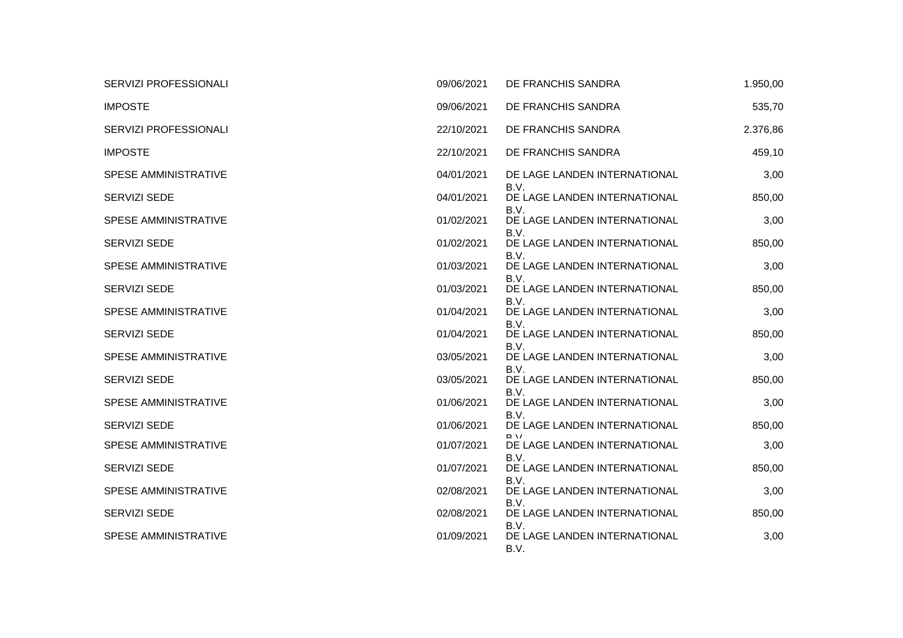| <b>SERVIZI PROFESSIONALI</b> | 09/06/2021 | DE FRANCHIS SANDRA                             | 1.950,00 |
|------------------------------|------------|------------------------------------------------|----------|
| <b>IMPOSTE</b>               | 09/06/2021 | DE FRANCHIS SANDRA                             | 535,70   |
| SERVIZI PROFESSIONALI        | 22/10/2021 | DE FRANCHIS SANDRA                             | 2.376,86 |
| <b>IMPOSTE</b>               | 22/10/2021 | DE FRANCHIS SANDRA                             | 459,10   |
| <b>SPESE AMMINISTRATIVE</b>  | 04/01/2021 | DE LAGE LANDEN INTERNATIONAL                   | 3,00     |
| <b>SERVIZI SEDE</b>          | 04/01/2021 | B.V.<br>DE LAGE LANDEN INTERNATIONAL           | 850,00   |
| <b>SPESE AMMINISTRATIVE</b>  | 01/02/2021 | B.V.<br>DE LAGE LANDEN INTERNATIONAL           | 3,00     |
| <b>SERVIZI SEDE</b>          | 01/02/2021 | B.V.<br>DE LAGE LANDEN INTERNATIONAL           | 850,00   |
| <b>SPESE AMMINISTRATIVE</b>  | 01/03/2021 | B.V.<br>DE LAGE LANDEN INTERNATIONAL           | 3,00     |
| <b>SERVIZI SEDE</b>          | 01/03/2021 | B.V.<br>DE LAGE LANDEN INTERNATIONAL           | 850,00   |
| SPESE AMMINISTRATIVE         | 01/04/2021 | B.V.<br>DE LAGE LANDEN INTERNATIONAL           | 3,00     |
| <b>SERVIZI SEDE</b>          | 01/04/2021 | B.V.<br>DE LAGE LANDEN INTERNATIONAL           | 850,00   |
| <b>SPESE AMMINISTRATIVE</b>  | 03/05/2021 | B.V.<br>DE LAGE LANDEN INTERNATIONAL           | 3,00     |
| SERVIZI SEDE                 | 03/05/2021 | B.V.<br>DE LAGE LANDEN INTERNATIONAL           | 850,00   |
| <b>SPESE AMMINISTRATIVE</b>  | 01/06/2021 | B.V.<br>DE LAGE LANDEN INTERNATIONAL           | 3,00     |
| <b>SERVIZI SEDE</b>          | 01/06/2021 | B.V.<br>DE LAGE LANDEN INTERNATIONAL           | 850,00   |
| SPESE AMMINISTRATIVE         | 01/07/2021 | P <sub>1</sub><br>DE LAGE LANDEN INTERNATIONAL | 3,00     |
| <b>SERVIZI SEDE</b>          | 01/07/2021 | B.V.<br>DE LAGE LANDEN INTERNATIONAL           | 850,00   |
| SPESE AMMINISTRATIVE         | 02/08/2021 | B.V.<br>DE LAGE LANDEN INTERNATIONAL           | 3,00     |
| <b>SERVIZI SEDE</b>          | 02/08/2021 | B.V.<br>DE LAGE LANDEN INTERNATIONAL           | 850,00   |
| SPESE AMMINISTRATIVE         | 01/09/2021 | B.V.<br>DE LAGE LANDEN INTERNATIONAL<br>B.V.   | 3,00     |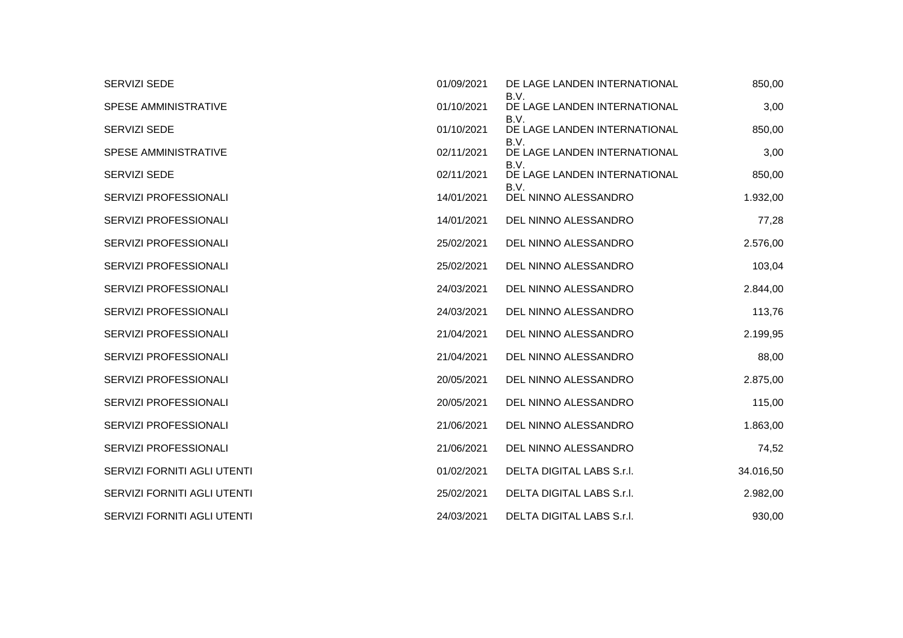| <b>SERVIZI SEDE</b>          | 01/09/2021 | DE LAGE LANDEN INTERNATIONAL         | 850,00    |
|------------------------------|------------|--------------------------------------|-----------|
| SPESE AMMINISTRATIVE         | 01/10/2021 | B.V.<br>DE LAGE LANDEN INTERNATIONAL | 3,00      |
| SERVIZI SEDE                 | 01/10/2021 | B.V.<br>DE LAGE LANDEN INTERNATIONAL | 850,00    |
| <b>SPESE AMMINISTRATIVE</b>  | 02/11/2021 | B.V.<br>DE LAGE LANDEN INTERNATIONAL | 3,00      |
| <b>SERVIZI SEDE</b>          | 02/11/2021 | B.V.<br>DE LAGE LANDEN INTERNATIONAL | 850,00    |
| SERVIZI PROFESSIONALI        | 14/01/2021 | B.V.<br>DEL NINNO ALESSANDRO         | 1.932,00  |
| SERVIZI PROFESSIONALI        | 14/01/2021 | DEL NINNO ALESSANDRO                 | 77,28     |
| <b>SERVIZI PROFESSIONALI</b> | 25/02/2021 | DEL NINNO ALESSANDRO                 | 2.576,00  |
| <b>SERVIZI PROFESSIONALI</b> | 25/02/2021 | DEL NINNO ALESSANDRO                 | 103,04    |
| SERVIZI PROFESSIONALI        | 24/03/2021 | DEL NINNO ALESSANDRO                 | 2.844,00  |
| SERVIZI PROFESSIONALI        | 24/03/2021 | DEL NINNO ALESSANDRO                 | 113,76    |
| SERVIZI PROFESSIONALI        | 21/04/2021 | DEL NINNO ALESSANDRO                 | 2.199,95  |
| SERVIZI PROFESSIONALI        | 21/04/2021 | DEL NINNO ALESSANDRO                 | 88,00     |
| SERVIZI PROFESSIONALI        | 20/05/2021 | DEL NINNO ALESSANDRO                 | 2.875,00  |
| <b>SERVIZI PROFESSIONALI</b> | 20/05/2021 | DEL NINNO ALESSANDRO                 | 115,00    |
| <b>SERVIZI PROFESSIONALI</b> | 21/06/2021 | DEL NINNO ALESSANDRO                 | 1.863,00  |
| SERVIZI PROFESSIONALI        | 21/06/2021 | DEL NINNO ALESSANDRO                 | 74,52     |
| SERVIZI FORNITI AGLI UTENTI  | 01/02/2021 | DELTA DIGITAL LABS S.r.I.            | 34.016,50 |
| SERVIZI FORNITI AGLI UTENTI  | 25/02/2021 | DELTA DIGITAL LABS S.r.I.            | 2.982,00  |
| SERVIZI FORNITI AGLI UTENTI  | 24/03/2021 | DELTA DIGITAL LABS S.r.l.            | 930,00    |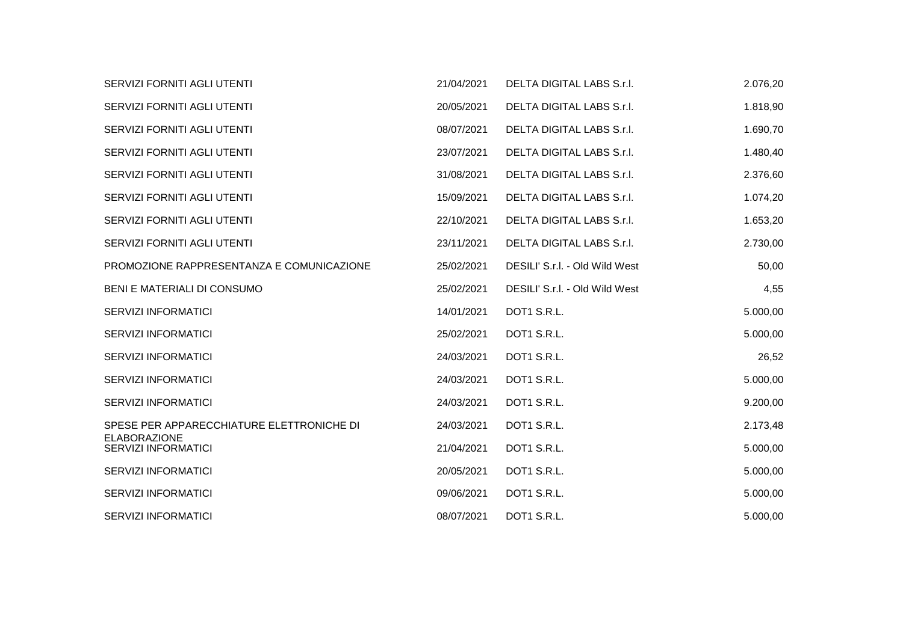| SERVIZI FORNITI AGLI UTENTI                       | 21/04/2021 | DELTA DIGITAL LABS S.r.I.      | 2.076,20 |
|---------------------------------------------------|------------|--------------------------------|----------|
| SERVIZI FORNITI AGLI UTENTI                       | 20/05/2021 | DELTA DIGITAL LABS S.r.I.      | 1.818,90 |
| SERVIZI FORNITI AGLI UTENTI                       | 08/07/2021 | DELTA DIGITAL LABS S.r.I.      | 1.690,70 |
| SERVIZI FORNITI AGLI UTENTI                       | 23/07/2021 | DELTA DIGITAL LABS S.r.I.      | 1.480,40 |
| SERVIZI FORNITI AGLI UTENTI                       | 31/08/2021 | DELTA DIGITAL LABS S.r.I.      | 2.376,60 |
| SERVIZI FORNITI AGLI UTENTI                       | 15/09/2021 | DELTA DIGITAL LABS S.r.l.      | 1.074,20 |
| SERVIZI FORNITI AGLI UTENTI                       | 22/10/2021 | DELTA DIGITAL LABS S.r.I.      | 1.653,20 |
| SERVIZI FORNITI AGLI UTENTI                       | 23/11/2021 | DELTA DIGITAL LABS S.r.I.      | 2.730,00 |
| PROMOZIONE RAPPRESENTANZA E COMUNICAZIONE         | 25/02/2021 | DESILI' S.r.I. - Old Wild West | 50,00    |
| BENI E MATERIALI DI CONSUMO                       | 25/02/2021 | DESILI' S.r.I. - Old Wild West | 4,55     |
| <b>SERVIZI INFORMATICI</b>                        | 14/01/2021 | DOT1 S.R.L.                    | 5.000,00 |
| <b>SERVIZI INFORMATICI</b>                        | 25/02/2021 | DOT1 S.R.L.                    | 5.000,00 |
| <b>SERVIZI INFORMATICI</b>                        | 24/03/2021 | DOT1 S.R.L.                    | 26,52    |
| <b>SERVIZI INFORMATICI</b>                        | 24/03/2021 | DOT1 S.R.L.                    | 5.000,00 |
| SERVIZI INFORMATICI                               | 24/03/2021 | DOT1 S.R.L.                    | 9.200,00 |
| SPESE PER APPARECCHIATURE ELETTRONICHE DI         | 24/03/2021 | DOT1 S.R.L.                    | 2.173,48 |
| <b>ELABORAZIONE</b><br><b>SERVIZI INFORMATICI</b> | 21/04/2021 | DOT1 S.R.L.                    | 5.000,00 |
| <b>SERVIZI INFORMATICI</b>                        | 20/05/2021 | DOT1 S.R.L.                    | 5.000,00 |
| <b>SERVIZI INFORMATICI</b>                        | 09/06/2021 | DOT1 S.R.L.                    | 5.000,00 |
| <b>SERVIZI INFORMATICI</b>                        | 08/07/2021 | DOT1 S.R.L.                    | 5.000,00 |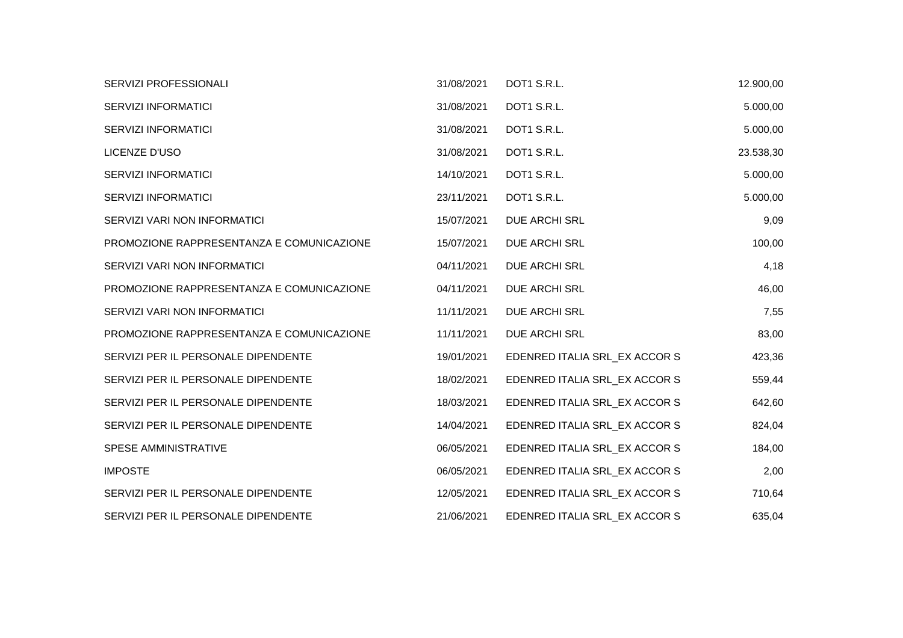| SERVIZI PROFESSIONALI                     | 31/08/2021 | DOT1 S.R.L.                   | 12.900,00 |
|-------------------------------------------|------------|-------------------------------|-----------|
| SERVIZI INFORMATICI                       | 31/08/2021 | DOT1 S.R.L.                   | 5.000,00  |
| SERVIZI INFORMATICI                       | 31/08/2021 | DOT1 S.R.L.                   | 5.000,00  |
| LICENZE D'USO                             | 31/08/2021 | DOT1 S.R.L.                   | 23.538,30 |
| SERVIZI INFORMATICI                       | 14/10/2021 | DOT1 S.R.L.                   | 5.000,00  |
| <b>SERVIZI INFORMATICI</b>                | 23/11/2021 | DOT1 S.R.L.                   | 5.000,00  |
| SERVIZI VARI NON INFORMATICI              | 15/07/2021 | <b>DUE ARCHI SRL</b>          | 9,09      |
| PROMOZIONE RAPPRESENTANZA E COMUNICAZIONE | 15/07/2021 | <b>DUE ARCHI SRL</b>          | 100,00    |
| SERVIZI VARI NON INFORMATICI              | 04/11/2021 | <b>DUE ARCHI SRL</b>          | 4,18      |
| PROMOZIONE RAPPRESENTANZA E COMUNICAZIONE | 04/11/2021 | DUE ARCHI SRL                 | 46,00     |
| SERVIZI VARI NON INFORMATICI              | 11/11/2021 | <b>DUE ARCHI SRL</b>          | 7,55      |
| PROMOZIONE RAPPRESENTANZA E COMUNICAZIONE | 11/11/2021 | <b>DUE ARCHI SRL</b>          | 83,00     |
| SERVIZI PER IL PERSONALE DIPENDENTE       | 19/01/2021 | EDENRED ITALIA SRL_EX ACCOR S | 423,36    |
| SERVIZI PER IL PERSONALE DIPENDENTE       | 18/02/2021 | EDENRED ITALIA SRL_EX ACCOR S | 559,44    |
| SERVIZI PER IL PERSONALE DIPENDENTE       | 18/03/2021 | EDENRED ITALIA SRL_EX ACCOR S | 642,60    |
| SERVIZI PER IL PERSONALE DIPENDENTE       | 14/04/2021 | EDENRED ITALIA SRL_EX ACCOR S | 824,04    |
| SPESE AMMINISTRATIVE                      | 06/05/2021 | EDENRED ITALIA SRL_EX ACCOR S | 184,00    |
| <b>IMPOSTE</b>                            | 06/05/2021 | EDENRED ITALIA SRL_EX ACCOR S | 2,00      |
| SERVIZI PER IL PERSONALE DIPENDENTE       | 12/05/2021 | EDENRED ITALIA SRL_EX ACCOR S | 710,64    |
| SERVIZI PER IL PERSONALE DIPENDENTE       | 21/06/2021 | EDENRED ITALIA SRL_EX ACCOR S | 635,04    |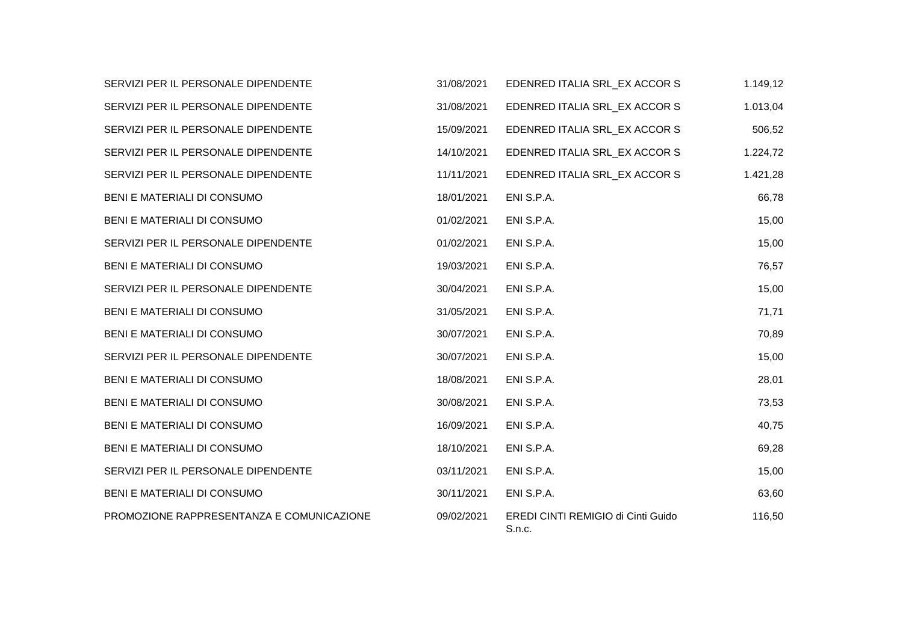| SERVIZI PER IL PERSONALE DIPENDENTE       | 31/08/2021 | EDENRED ITALIA SRL_EX ACCOR S                | 1.149,12 |
|-------------------------------------------|------------|----------------------------------------------|----------|
| SERVIZI PER IL PERSONALE DIPENDENTE       | 31/08/2021 | EDENRED ITALIA SRL_EX ACCOR S                | 1.013,04 |
| SERVIZI PER IL PERSONALE DIPENDENTE       | 15/09/2021 | EDENRED ITALIA SRL_EX ACCOR S                | 506,52   |
| SERVIZI PER IL PERSONALE DIPENDENTE       | 14/10/2021 | EDENRED ITALIA SRL_EX ACCOR S                | 1.224,72 |
| SERVIZI PER IL PERSONALE DIPENDENTE       | 11/11/2021 | EDENRED ITALIA SRL_EX ACCOR S                | 1.421,28 |
| BENI E MATERIALI DI CONSUMO               | 18/01/2021 | ENI S.P.A.                                   | 66,78    |
| BENI E MATERIALI DI CONSUMO               | 01/02/2021 | ENI S.P.A.                                   | 15,00    |
| SERVIZI PER IL PERSONALE DIPENDENTE       | 01/02/2021 | ENI S.P.A.                                   | 15,00    |
| BENI E MATERIALI DI CONSUMO               | 19/03/2021 | ENI S.P.A.                                   | 76,57    |
| SERVIZI PER IL PERSONALE DIPENDENTE       | 30/04/2021 | ENI S.P.A.                                   | 15,00    |
| BENI E MATERIALI DI CONSUMO               | 31/05/2021 | ENI S.P.A.                                   | 71,71    |
| BENI E MATERIALI DI CONSUMO               | 30/07/2021 | ENI S.P.A.                                   | 70,89    |
| SERVIZI PER IL PERSONALE DIPENDENTE       | 30/07/2021 | ENI S.P.A.                                   | 15,00    |
| BENI E MATERIALI DI CONSUMO               | 18/08/2021 | ENI S.P.A.                                   | 28,01    |
| BENI E MATERIALI DI CONSUMO               | 30/08/2021 | ENI S.P.A.                                   | 73,53    |
| BENI E MATERIALI DI CONSUMO               | 16/09/2021 | ENI S.P.A.                                   | 40,75    |
| BENI E MATERIALI DI CONSUMO               | 18/10/2021 | ENI S.P.A.                                   | 69,28    |
| SERVIZI PER IL PERSONALE DIPENDENTE       | 03/11/2021 | ENI S.P.A.                                   | 15,00    |
| BENI E MATERIALI DI CONSUMO               | 30/11/2021 | ENI S.P.A.                                   | 63,60    |
| PROMOZIONE RAPPRESENTANZA E COMUNICAZIONE | 09/02/2021 | EREDI CINTI REMIGIO di Cinti Guido<br>S.n.c. | 116,50   |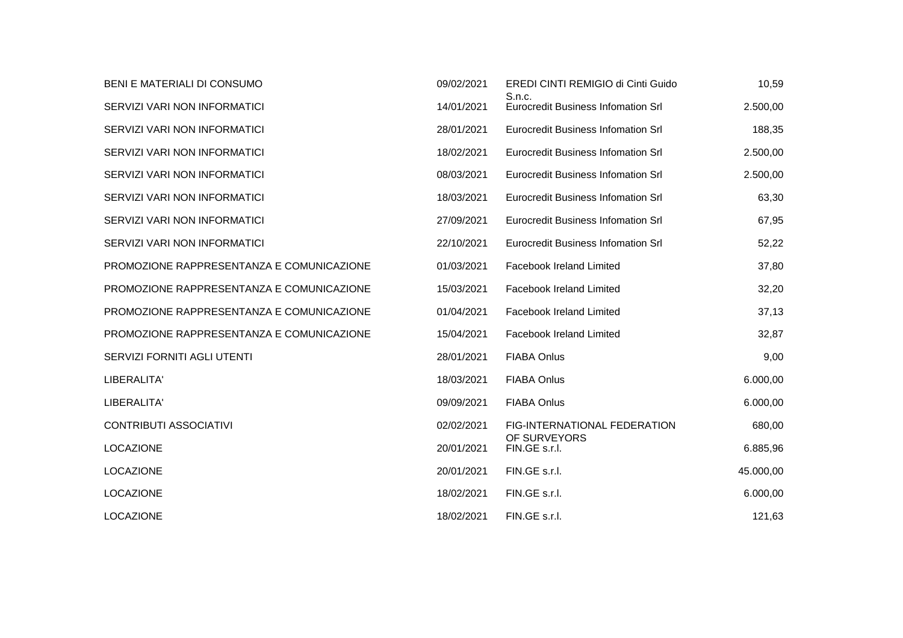| BENI E MATERIALI DI CONSUMO               | 09/02/2021 | <b>EREDI CINTI REMIGIO di Cinti Guido</b>           | 10,59     |
|-------------------------------------------|------------|-----------------------------------------------------|-----------|
| SERVIZI VARI NON INFORMATICI              | 14/01/2021 | S.n.c.<br><b>Eurocredit Business Infomation Srl</b> | 2.500,00  |
| SERVIZI VARI NON INFORMATICI              | 28/01/2021 | Eurocredit Business Infomation Srl                  | 188,35    |
| SERVIZI VARI NON INFORMATICI              | 18/02/2021 | <b>Eurocredit Business Infomation Srl</b>           | 2.500,00  |
| SERVIZI VARI NON INFORMATICI              | 08/03/2021 | <b>Eurocredit Business Infomation Srl</b>           | 2.500,00  |
| SERVIZI VARI NON INFORMATICI              | 18/03/2021 | Eurocredit Business Infomation Srl                  | 63,30     |
| SERVIZI VARI NON INFORMATICI              | 27/09/2021 | <b>Eurocredit Business Infomation Srl</b>           | 67,95     |
| SERVIZI VARI NON INFORMATICI              | 22/10/2021 | Eurocredit Business Infomation Srl                  | 52,22     |
| PROMOZIONE RAPPRESENTANZA E COMUNICAZIONE | 01/03/2021 | <b>Facebook Ireland Limited</b>                     | 37,80     |
| PROMOZIONE RAPPRESENTANZA E COMUNICAZIONE | 15/03/2021 | <b>Facebook Ireland Limited</b>                     | 32,20     |
| PROMOZIONE RAPPRESENTANZA E COMUNICAZIONE | 01/04/2021 | <b>Facebook Ireland Limited</b>                     | 37,13     |
| PROMOZIONE RAPPRESENTANZA E COMUNICAZIONE | 15/04/2021 | <b>Facebook Ireland Limited</b>                     | 32,87     |
| SERVIZI FORNITI AGLI UTENTI               | 28/01/2021 | <b>FIABA Onlus</b>                                  | 9,00      |
| LIBERALITA'                               | 18/03/2021 | <b>FIABA Onlus</b>                                  | 6.000,00  |
| LIBERALITA'                               | 09/09/2021 | <b>FIABA Onlus</b>                                  | 6.000,00  |
| <b>CONTRIBUTI ASSOCIATIVI</b>             | 02/02/2021 | FIG-INTERNATIONAL FEDERATION                        | 680,00    |
| <b>LOCAZIONE</b>                          | 20/01/2021 | OF SURVEYORS<br>FIN.GE s.r.l.                       | 6.885,96  |
| <b>LOCAZIONE</b>                          | 20/01/2021 | FIN.GE s.r.l.                                       | 45.000,00 |
| <b>LOCAZIONE</b>                          | 18/02/2021 | FIN.GE s.r.l.                                       | 6.000,00  |
| <b>LOCAZIONE</b>                          | 18/02/2021 | FIN.GE s.r.l.                                       | 121,63    |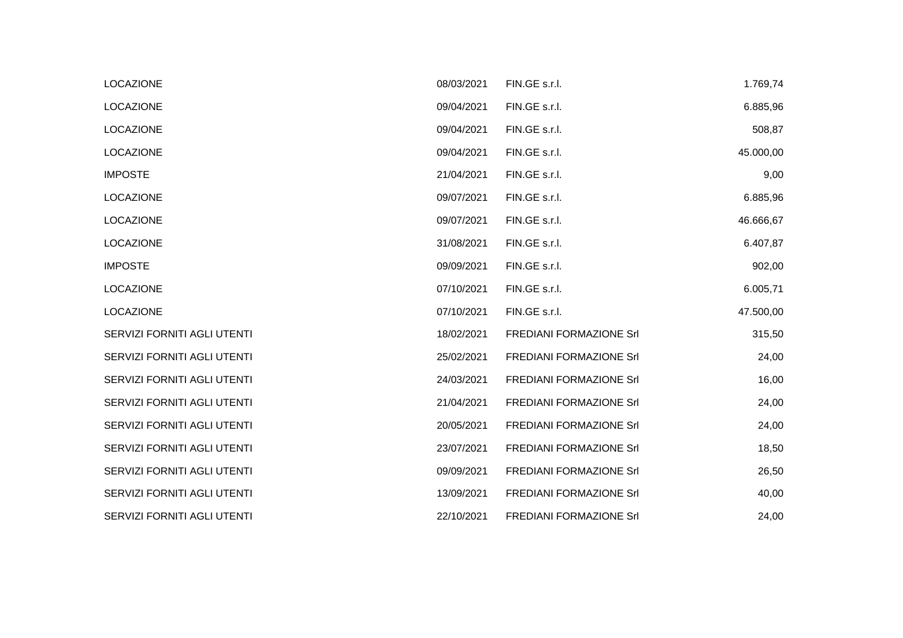| <b>LOCAZIONE</b>            | 08/03/2021 | FIN.GE s.r.l.                  | 1.769,74  |
|-----------------------------|------------|--------------------------------|-----------|
| <b>LOCAZIONE</b>            | 09/04/2021 | FIN.GE s.r.l.                  | 6.885,96  |
| <b>LOCAZIONE</b>            | 09/04/2021 | FIN.GE s.r.l.                  | 508,87    |
| <b>LOCAZIONE</b>            | 09/04/2021 | FIN.GE s.r.l.                  | 45.000,00 |
| <b>IMPOSTE</b>              | 21/04/2021 | FIN.GE s.r.l.                  | 9,00      |
| <b>LOCAZIONE</b>            | 09/07/2021 | FIN.GE s.r.l.                  | 6.885,96  |
| <b>LOCAZIONE</b>            | 09/07/2021 | FIN.GE s.r.l.                  | 46.666,67 |
| <b>LOCAZIONE</b>            | 31/08/2021 | FIN.GE s.r.l.                  | 6.407,87  |
| <b>IMPOSTE</b>              | 09/09/2021 | FIN.GE s.r.l.                  | 902,00    |
| <b>LOCAZIONE</b>            | 07/10/2021 | FIN.GE s.r.l.                  | 6.005,71  |
| <b>LOCAZIONE</b>            | 07/10/2021 | FIN.GE s.r.l.                  | 47.500,00 |
| SERVIZI FORNITI AGLI UTENTI | 18/02/2021 | <b>FREDIANI FORMAZIONE Srl</b> | 315,50    |
| SERVIZI FORNITI AGLI UTENTI | 25/02/2021 | FREDIANI FORMAZIONE Srl        | 24,00     |
| SERVIZI FORNITI AGLI UTENTI | 24/03/2021 | <b>FREDIANI FORMAZIONE Srl</b> | 16,00     |
| SERVIZI FORNITI AGLI UTENTI | 21/04/2021 | <b>FREDIANI FORMAZIONE Srl</b> | 24,00     |
| SERVIZI FORNITI AGLI UTENTI | 20/05/2021 | FREDIANI FORMAZIONE Srl        | 24,00     |
| SERVIZI FORNITI AGLI UTENTI | 23/07/2021 | FREDIANI FORMAZIONE Srl        | 18,50     |
| SERVIZI FORNITI AGLI UTENTI | 09/09/2021 | <b>FREDIANI FORMAZIONE Srl</b> | 26,50     |
| SERVIZI FORNITI AGLI UTENTI | 13/09/2021 | <b>FREDIANI FORMAZIONE Srl</b> | 40,00     |
| SERVIZI FORNITI AGLI UTENTI | 22/10/2021 | FREDIANI FORMAZIONE Srl        | 24,00     |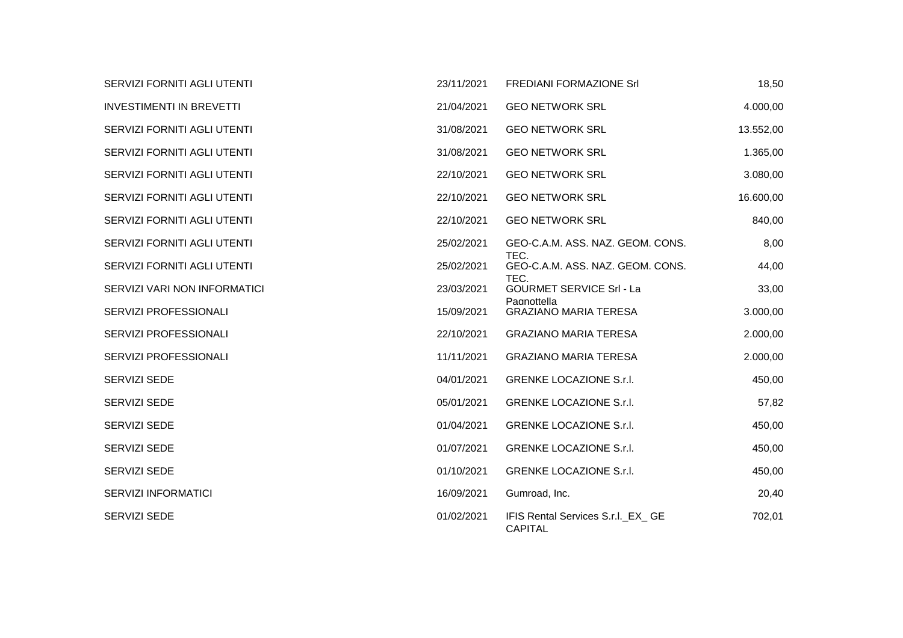| <b>SERVIZI FORNITI AGLI UTENTI</b> | 23/11/2021 | <b>FREDIANI FORMAZIONE Srl</b>                      | 18,50     |
|------------------------------------|------------|-----------------------------------------------------|-----------|
| <b>INVESTIMENTI IN BREVETTI</b>    | 21/04/2021 | <b>GEO NETWORK SRL</b>                              | 4.000,00  |
| SERVIZI FORNITI AGLI UTENTI        | 31/08/2021 | <b>GEO NETWORK SRL</b>                              | 13.552,00 |
| SERVIZI FORNITI AGLI UTENTI        | 31/08/2021 | <b>GEO NETWORK SRL</b>                              | 1.365,00  |
| SERVIZI FORNITI AGLI UTENTI        | 22/10/2021 | <b>GEO NETWORK SRL</b>                              | 3.080,00  |
| SERVIZI FORNITI AGLI UTENTI        | 22/10/2021 | <b>GEO NETWORK SRL</b>                              | 16.600,00 |
| SERVIZI FORNITI AGLI UTENTI        | 22/10/2021 | <b>GEO NETWORK SRL</b>                              | 840,00    |
| SERVIZI FORNITI AGLI UTENTI        | 25/02/2021 | GEO-C.A.M. ASS. NAZ. GEOM. CONS.                    | 8,00      |
| SERVIZI FORNITI AGLI UTENTI        | 25/02/2021 | TEC.<br>GEO-C.A.M. ASS. NAZ. GEOM. CONS.            | 44,00     |
| SERVIZI VARI NON INFORMATICI       | 23/03/2021 | TEC.<br><b>GOURMET SERVICE Srl - La</b>             | 33,00     |
| SERVIZI PROFESSIONALI              | 15/09/2021 | Pagnottella<br><b>GRAZIANO MARIA TERESA</b>         | 3.000,00  |
| SERVIZI PROFESSIONALI              | 22/10/2021 | <b>GRAZIANO MARIA TERESA</b>                        | 2.000,00  |
| SERVIZI PROFESSIONALI              | 11/11/2021 | <b>GRAZIANO MARIA TERESA</b>                        | 2.000,00  |
| SERVIZI SEDE                       | 04/01/2021 | <b>GRENKE LOCAZIONE S.r.I.</b>                      | 450,00    |
| <b>SERVIZI SEDE</b>                | 05/01/2021 | <b>GRENKE LOCAZIONE S.r.I.</b>                      | 57,82     |
| <b>SERVIZI SEDE</b>                | 01/04/2021 | <b>GRENKE LOCAZIONE S.r.I.</b>                      | 450,00    |
| <b>SERVIZI SEDE</b>                | 01/07/2021 | <b>GRENKE LOCAZIONE S.r.I.</b>                      | 450,00    |
| <b>SERVIZI SEDE</b>                | 01/10/2021 | <b>GRENKE LOCAZIONE S.r.I.</b>                      | 450,00    |
| <b>SERVIZI INFORMATICI</b>         | 16/09/2021 | Gumroad, Inc.                                       | 20,40     |
| <b>SERVIZI SEDE</b>                | 01/02/2021 | IFIS Rental Services S.r.I. EX GE<br><b>CAPITAL</b> | 702,01    |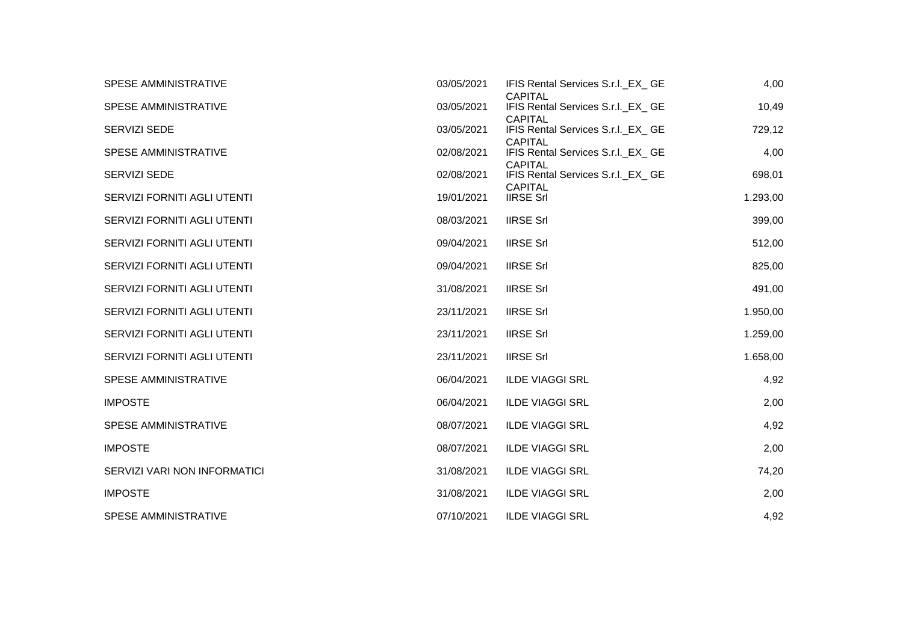| <b>SPESE AMMINISTRATIVE</b>  | 03/05/2021 | IFIS Rental Services S.r.I. EX GE                    | 4,00     |
|------------------------------|------------|------------------------------------------------------|----------|
| <b>SPESE AMMINISTRATIVE</b>  | 03/05/2021 | <b>CAPITAL</b><br>IFIS Rental Services S.r.I._EX_ GE | 10,49    |
| <b>SERVIZI SEDE</b>          | 03/05/2021 | <b>CAPITAL</b><br>IFIS Rental Services S.r.I._EX_ GE | 729,12   |
| <b>SPESE AMMINISTRATIVE</b>  | 02/08/2021 | <b>CAPITAL</b><br>IFIS Rental Services S.r.I._EX_ GE | 4,00     |
| SERVIZI SEDE                 | 02/08/2021 | <b>CAPITAL</b><br>IFIS Rental Services S.r.I._EX_ GE | 698,01   |
| SERVIZI FORNITI AGLI UTENTI  | 19/01/2021 | <b>CAPITAL</b><br><b>IIRSE Srl</b>                   | 1.293,00 |
| SERVIZI FORNITI AGLI UTENTI  | 08/03/2021 | <b>IIRSE Srl</b>                                     | 399,00   |
| SERVIZI FORNITI AGLI UTENTI  | 09/04/2021 | <b>IIRSE Srl</b>                                     | 512,00   |
| SERVIZI FORNITI AGLI UTENTI  | 09/04/2021 | <b>IIRSE Srl</b>                                     | 825,00   |
| SERVIZI FORNITI AGLI UTENTI  | 31/08/2021 | <b>IIRSE Srl</b>                                     | 491,00   |
| SERVIZI FORNITI AGLI UTENTI  | 23/11/2021 | <b>IIRSE Srl</b>                                     | 1.950,00 |
| SERVIZI FORNITI AGLI UTENTI  | 23/11/2021 | <b>IIRSE Srl</b>                                     | 1.259,00 |
| SERVIZI FORNITI AGLI UTENTI  | 23/11/2021 | <b>IIRSE Srl</b>                                     | 1.658,00 |
| <b>SPESE AMMINISTRATIVE</b>  | 06/04/2021 | <b>ILDE VIAGGI SRL</b>                               | 4,92     |
| <b>IMPOSTE</b>               | 06/04/2021 | <b>ILDE VIAGGI SRL</b>                               | 2,00     |
| <b>SPESE AMMINISTRATIVE</b>  | 08/07/2021 | <b>ILDE VIAGGI SRL</b>                               | 4,92     |
| <b>IMPOSTE</b>               | 08/07/2021 | <b>ILDE VIAGGI SRL</b>                               | 2,00     |
| SERVIZI VARI NON INFORMATICI | 31/08/2021 | <b>ILDE VIAGGI SRL</b>                               | 74,20    |
| <b>IMPOSTE</b>               | 31/08/2021 | <b>ILDE VIAGGI SRL</b>                               | 2,00     |
| <b>SPESE AMMINISTRATIVE</b>  | 07/10/2021 | <b>ILDE VIAGGI SRL</b>                               | 4,92     |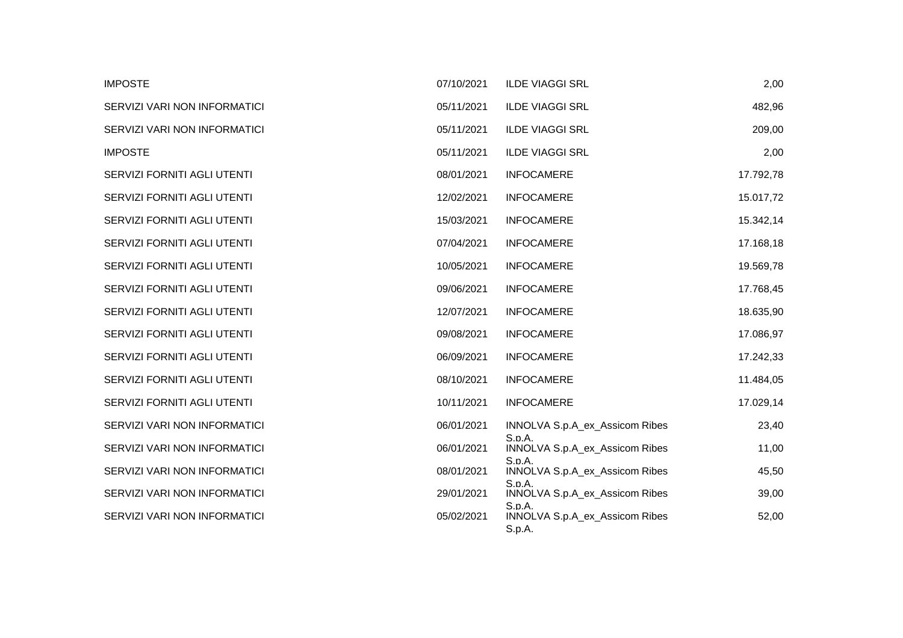| <b>IMPOSTE</b>               | 07/10/2021 | <b>ILDE VIAGGI SRL</b>                             | 2,00      |
|------------------------------|------------|----------------------------------------------------|-----------|
| SERVIZI VARI NON INFORMATICI | 05/11/2021 | <b>ILDE VIAGGI SRL</b>                             | 482,96    |
| SERVIZI VARI NON INFORMATICI | 05/11/2021 | <b>ILDE VIAGGI SRL</b>                             | 209,00    |
| <b>IMPOSTE</b>               | 05/11/2021 | <b>ILDE VIAGGI SRL</b>                             | 2,00      |
| SERVIZI FORNITI AGLI UTENTI  | 08/01/2021 | <b>INFOCAMERE</b>                                  | 17.792,78 |
| SERVIZI FORNITI AGLI UTENTI  | 12/02/2021 | <b>INFOCAMERE</b>                                  | 15.017,72 |
| SERVIZI FORNITI AGLI UTENTI  | 15/03/2021 | <b>INFOCAMERE</b>                                  | 15.342,14 |
| SERVIZI FORNITI AGLI UTENTI  | 07/04/2021 | <b>INFOCAMERE</b>                                  | 17.168,18 |
| SERVIZI FORNITI AGLI UTENTI  | 10/05/2021 | <b>INFOCAMERE</b>                                  | 19.569,78 |
| SERVIZI FORNITI AGLI UTENTI  | 09/06/2021 | <b>INFOCAMERE</b>                                  | 17.768,45 |
| SERVIZI FORNITI AGLI UTENTI  | 12/07/2021 | <b>INFOCAMERE</b>                                  | 18.635,90 |
| SERVIZI FORNITI AGLI UTENTI  | 09/08/2021 | <b>INFOCAMERE</b>                                  | 17.086,97 |
| SERVIZI FORNITI AGLI UTENTI  | 06/09/2021 | <b>INFOCAMERE</b>                                  | 17.242,33 |
| SERVIZI FORNITI AGLI UTENTI  | 08/10/2021 | <b>INFOCAMERE</b>                                  | 11.484,05 |
| SERVIZI FORNITI AGLI UTENTI  | 10/11/2021 | <b>INFOCAMERE</b>                                  | 17.029,14 |
| SERVIZI VARI NON INFORMATICI | 06/01/2021 | INNOLVA S.p.A_ex_Assicom Ribes                     | 23,40     |
| SERVIZI VARI NON INFORMATICI | 06/01/2021 | S.p.A.<br>INNOLVA S.p.A_ex_Assicom Ribes           | 11,00     |
| SERVIZI VARI NON INFORMATICI | 08/01/2021 | S.p.A.<br>INNOLVA S.p.A_ex_Assicom Ribes           | 45,50     |
| SERVIZI VARI NON INFORMATICI | 29/01/2021 | S.p.A.<br>INNOLVA S.p.A_ex_Assicom Ribes           | 39,00     |
| SERVIZI VARI NON INFORMATICI | 05/02/2021 | S.p.A.<br>INNOLVA S.p.A_ex_Assicom Ribes<br>S.p.A. | 52,00     |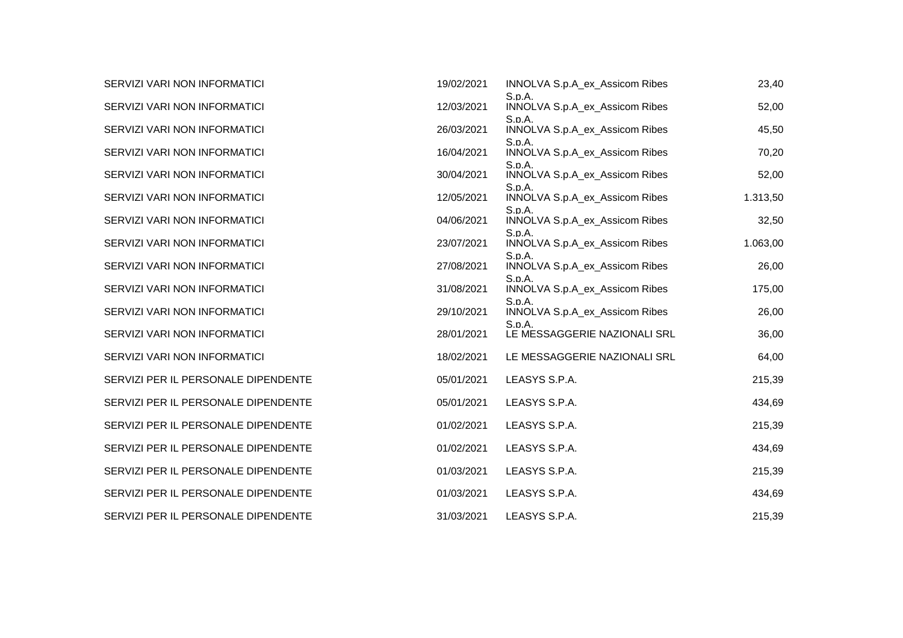| 19/02/2021 | INNOLVA S.p.A_ex_Assicom Ribes           | 23,40    |
|------------|------------------------------------------|----------|
| 12/03/2021 | INNOLVA S.p.A_ex_Assicom Ribes           | 52,00    |
| 26/03/2021 | S.p.A.<br>INNOLVA S.p.A_ex_Assicom Ribes | 45,50    |
| 16/04/2021 | S.D.A.<br>INNOLVA S.p.A_ex_Assicom Ribes | 70,20    |
| 30/04/2021 | S.p.A.<br>INNOLVA S.p.A_ex_Assicom Ribes | 52,00    |
| 12/05/2021 | S.p.A.<br>INNOLVA S.p.A_ex_Assicom Ribes | 1.313,50 |
| 04/06/2021 | S.p.A.<br>INNOLVA S.p.A_ex_Assicom Ribes | 32,50    |
| 23/07/2021 | S.p.A.<br>INNOLVA S.p.A_ex_Assicom Ribes | 1.063,00 |
| 27/08/2021 | S.D.A.<br>INNOLVA S.p.A_ex_Assicom Ribes | 26,00    |
| 31/08/2021 | S.p.A.<br>INNOLVA S.p.A_ex_Assicom Ribes | 175,00   |
| 29/10/2021 | S.D.A.<br>INNOLVA S.p.A_ex_Assicom Ribes | 26,00    |
| 28/01/2021 | S.p.A.<br>LE MESSAGGERIE NAZIONALI SRL   | 36,00    |
| 18/02/2021 | LE MESSAGGERIE NAZIONALI SRL             | 64,00    |
| 05/01/2021 | LEASYS S.P.A.                            | 215,39   |
| 05/01/2021 | LEASYS S.P.A.                            | 434,69   |
| 01/02/2021 | LEASYS S.P.A.                            | 215,39   |
| 01/02/2021 | LEASYS S.P.A.                            | 434,69   |
| 01/03/2021 | LEASYS S.P.A.                            | 215,39   |
| 01/03/2021 | LEASYS S.P.A.                            | 434,69   |
| 31/03/2021 | LEASYS S.P.A.                            | 215,39   |
|            |                                          | S.p.A.   |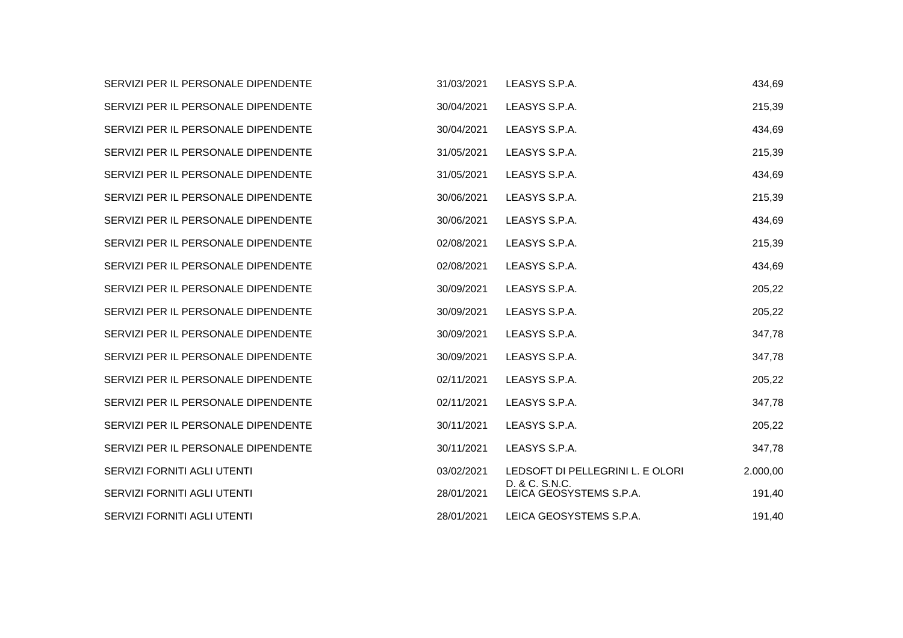SERVIZI PER IL PERSONALE DIPENDENTE SERVIZI PER IL PERSONALE DIPENDENTE SERVIZI PER IL PERSONALE DIPENDENTE SERVIZI PER IL PERSONALE DIPENDENTE SERVIZI PER IL PERSONALE DIPENDENTE SERVIZI PER IL PERSONALE DIPENDENTE SERVIZI PER IL PERSONALE DIPENDENTE SERVIZI PER IL PERSONALE DIPENDENTE SERVIZI PER IL PERSONALE DIPENDENTE SERVIZI PER IL PERSONALE DIPENDENTE SERVIZI PER IL PERSONALE DIPENDENTE SERVIZI PER IL PERSONALE DIPENDENTE SERVIZI PER IL PERSONALE DIPENDENTE SERVIZI PER IL PERSONALE DIPENDENTE SERVIZI PER IL PERSONALE DIPENDENTE SERVIZI PER IL PERSONALE DIPENDENTE SERVIZI PER IL PERSONALE DIPENDENTE SERVIZI FORNITI AGLI UTENTI SERVIZI FORNITI AGLI UTENTI SERVIZI FORNITI AGLI UTENTI

| 31/03/2021 | LEASYS S.P.A.                             | 434,69   |
|------------|-------------------------------------------|----------|
| 30/04/2021 | LEASYS S.P.A.                             | 215,39   |
| 30/04/2021 | LEASYS S.P.A.                             | 434,69   |
| 31/05/2021 | LEASYS S.P.A.                             | 215,39   |
| 31/05/2021 | LEASYS S.P.A.                             | 434,69   |
| 30/06/2021 | LEASYS S.P.A.                             | 215,39   |
| 30/06/2021 | LEASYS S.P.A.                             | 434,69   |
| 02/08/2021 | LEASYS S.P.A.                             | 215,39   |
| 02/08/2021 | LEASYS S.P.A.                             | 434,69   |
| 30/09/2021 | LEASYS S.P.A.                             | 205,22   |
| 30/09/2021 | LEASYS S.P.A.                             | 205,22   |
| 30/09/2021 | LEASYS S.P.A.                             | 347,78   |
| 30/09/2021 | LEASYS S.P.A.                             | 347,78   |
| 02/11/2021 | LEASYS S.P.A.                             | 205,22   |
| 02/11/2021 | LEASYS S.P.A.                             | 347,78   |
| 30/11/2021 | LEASYS S.P.A.                             | 205,22   |
| 30/11/2021 | LEASYS S.P.A.                             | 347,78   |
| 03/02/2021 | LEDSOFT DI PELLEGRINI L. E OLORI          | 2.000,00 |
| 28/01/2021 | D. & C. S.N.C.<br>LEICA GEOSYSTEMS S.P.A. | 191,40   |
| 28/01/2021 | LEICA GEOSYSTEMS S.P.A.                   | 191,40   |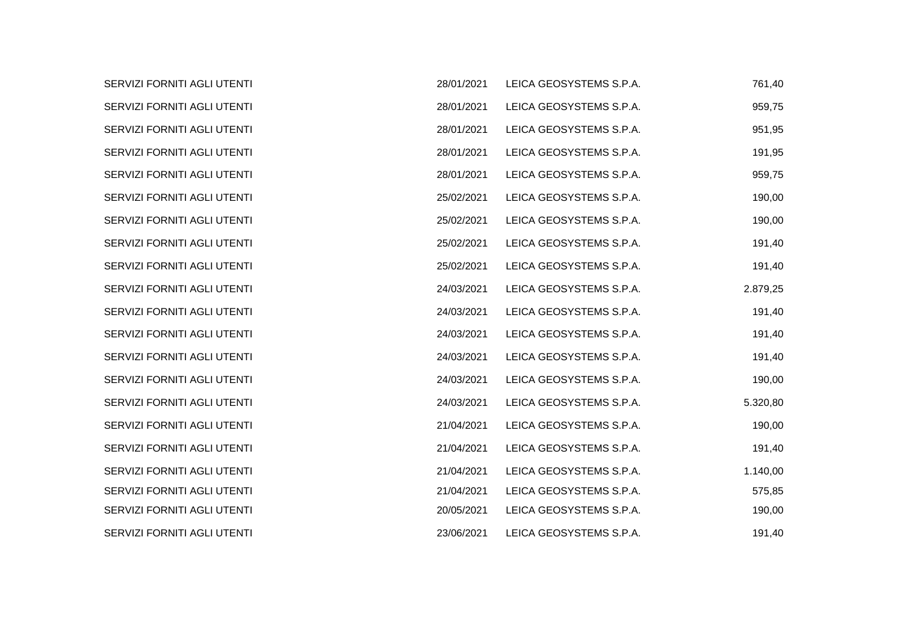| 761,40   | LEICA GEOSYSTEMS S.P.A. | 28/01/2021 | SERVIZI FORNITI AGLI UTENTI |
|----------|-------------------------|------------|-----------------------------|
| 959,75   | LEICA GEOSYSTEMS S.P.A. | 28/01/2021 | SERVIZI FORNITI AGLI UTENTI |
| 951,95   | LEICA GEOSYSTEMS S.P.A. | 28/01/2021 | SERVIZI FORNITI AGLI UTENTI |
| 191,95   | LEICA GEOSYSTEMS S.P.A. | 28/01/2021 | SERVIZI FORNITI AGLI UTENTI |
| 959,75   | LEICA GEOSYSTEMS S.P.A. | 28/01/2021 | SERVIZI FORNITI AGLI UTENTI |
| 190,00   | LEICA GEOSYSTEMS S.P.A. | 25/02/2021 | SERVIZI FORNITI AGLI UTENTI |
| 190,00   | LEICA GEOSYSTEMS S.P.A. | 25/02/2021 | SERVIZI FORNITI AGLI UTENTI |
| 191,40   | LEICA GEOSYSTEMS S.P.A. | 25/02/2021 | SERVIZI FORNITI AGLI UTENTI |
| 191,40   | LEICA GEOSYSTEMS S.P.A. | 25/02/2021 | SERVIZI FORNITI AGLI UTENTI |
| 2.879,25 | LEICA GEOSYSTEMS S.P.A. | 24/03/2021 | SERVIZI FORNITI AGLI UTENTI |
| 191,40   | LEICA GEOSYSTEMS S.P.A. | 24/03/2021 | SERVIZI FORNITI AGLI UTENTI |
| 191,40   | LEICA GEOSYSTEMS S.P.A. | 24/03/2021 | SERVIZI FORNITI AGLI UTENTI |
| 191,40   | LEICA GEOSYSTEMS S.P.A. | 24/03/2021 | SERVIZI FORNITI AGLI UTENTI |
| 190,00   | LEICA GEOSYSTEMS S.P.A. | 24/03/2021 | SERVIZI FORNITI AGLI UTENTI |
| 5.320,80 | LEICA GEOSYSTEMS S.P.A. | 24/03/2021 | SERVIZI FORNITI AGLI UTENTI |
| 190,00   | LEICA GEOSYSTEMS S.P.A. | 21/04/2021 | SERVIZI FORNITI AGLI UTENTI |
| 191,40   | LEICA GEOSYSTEMS S.P.A. | 21/04/2021 | SERVIZI FORNITI AGLI UTENTI |
| 1.140,00 | LEICA GEOSYSTEMS S.P.A. | 21/04/2021 | SERVIZI FORNITI AGLI UTENTI |
| 575,85   | LEICA GEOSYSTEMS S.P.A. | 21/04/2021 | SERVIZI FORNITI AGLI UTENTI |
| 190,00   | LEICA GEOSYSTEMS S.P.A. | 20/05/2021 | SERVIZI FORNITI AGLI UTENTI |
| 191,40   | LEICA GEOSYSTEMS S.P.A. | 23/06/2021 | SERVIZI FORNITI AGLI UTENTI |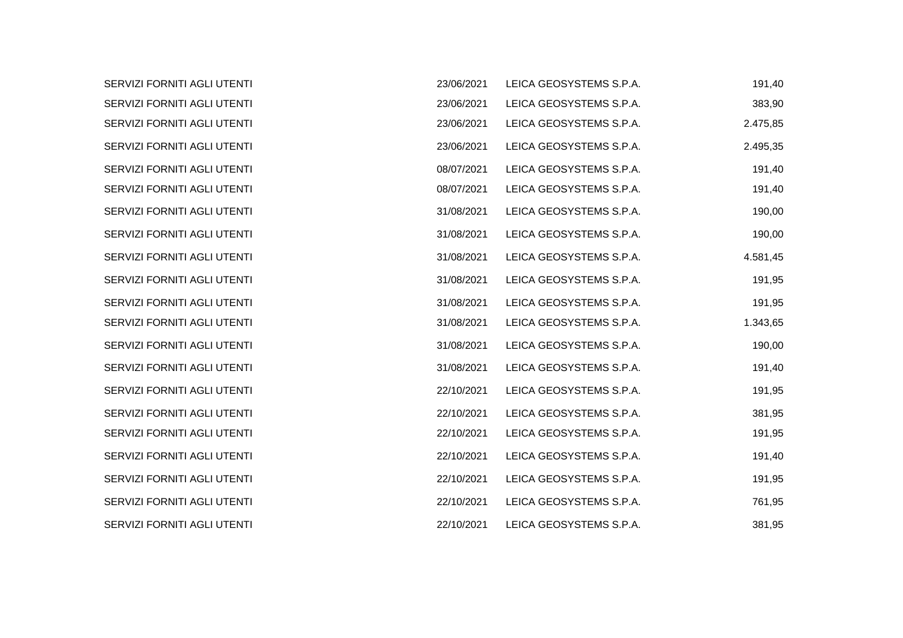| 191,40   | LEICA GEOSYSTEMS S.P.A. | 23/06/2021 | SERVIZI FORNITI AGLI UTENTI |
|----------|-------------------------|------------|-----------------------------|
| 383,90   | LEICA GEOSYSTEMS S.P.A. | 23/06/2021 | SERVIZI FORNITI AGLI UTENTI |
| 2.475,85 | LEICA GEOSYSTEMS S.P.A. | 23/06/2021 | SERVIZI FORNITI AGLI UTENTI |
| 2.495,35 | LEICA GEOSYSTEMS S.P.A. | 23/06/2021 | SERVIZI FORNITI AGLI UTENTI |
| 191,40   | LEICA GEOSYSTEMS S.P.A. | 08/07/2021 | SERVIZI FORNITI AGLI UTENTI |
| 191,40   | LEICA GEOSYSTEMS S.P.A. | 08/07/2021 | SERVIZI FORNITI AGLI UTENTI |
| 190,00   | LEICA GEOSYSTEMS S.P.A. | 31/08/2021 | SERVIZI FORNITI AGLI UTENTI |
| 190,00   | LEICA GEOSYSTEMS S.P.A. | 31/08/2021 | SERVIZI FORNITI AGLI UTENTI |
| 4.581,45 | LEICA GEOSYSTEMS S.P.A. | 31/08/2021 | SERVIZI FORNITI AGLI UTENTI |
| 191,95   | LEICA GEOSYSTEMS S.P.A. | 31/08/2021 | SERVIZI FORNITI AGLI UTENTI |
| 191,95   | LEICA GEOSYSTEMS S.P.A. | 31/08/2021 | SERVIZI FORNITI AGLI UTENTI |
| 1.343,65 | LEICA GEOSYSTEMS S.P.A. | 31/08/2021 | SERVIZI FORNITI AGLI UTENTI |
| 190,00   | LEICA GEOSYSTEMS S.P.A. | 31/08/2021 | SERVIZI FORNITI AGLI UTENTI |
| 191,40   | LEICA GEOSYSTEMS S.P.A. | 31/08/2021 | SERVIZI FORNITI AGLI UTENTI |
| 191,95   | LEICA GEOSYSTEMS S.P.A. | 22/10/2021 | SERVIZI FORNITI AGLI UTENTI |
| 381,95   | LEICA GEOSYSTEMS S.P.A. | 22/10/2021 | SERVIZI FORNITI AGLI UTENTI |
| 191,95   | LEICA GEOSYSTEMS S.P.A. | 22/10/2021 | SERVIZI FORNITI AGLI UTENTI |
| 191,40   | LEICA GEOSYSTEMS S.P.A. | 22/10/2021 | SERVIZI FORNITI AGLI UTENTI |
| 191,95   | LEICA GEOSYSTEMS S.P.A. | 22/10/2021 | SERVIZI FORNITI AGLI UTENTI |
| 761,95   | LEICA GEOSYSTEMS S.P.A. | 22/10/2021 | SERVIZI FORNITI AGLI UTENTI |
| 381,95   | LEICA GEOSYSTEMS S.P.A. | 22/10/2021 | SERVIZI FORNITI AGLI UTENTI |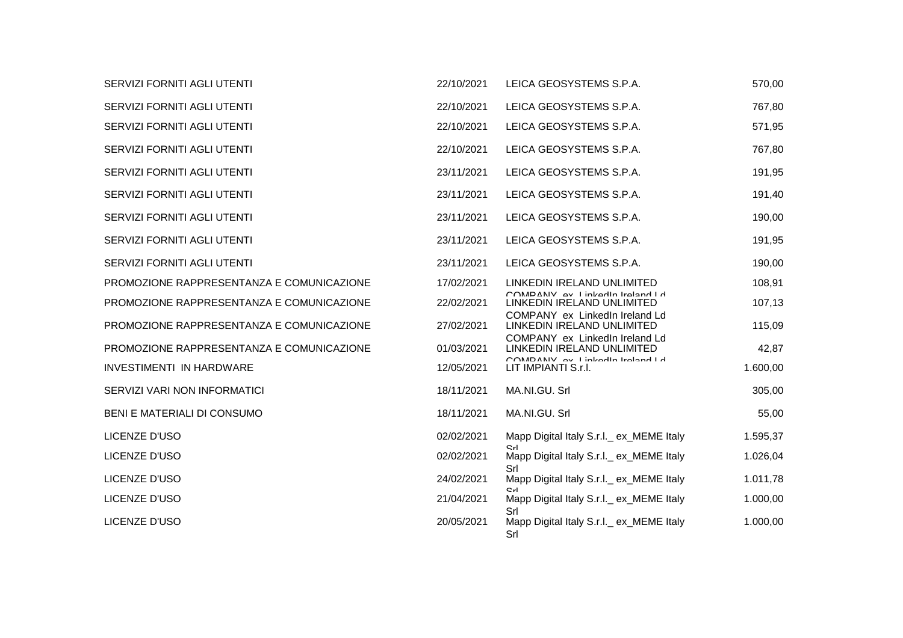| SERVIZI FORNITI AGLI UTENTI               | 22/10/2021 | LEICA GEOSYSTEMS S.P.A.                                       | 570,00   |
|-------------------------------------------|------------|---------------------------------------------------------------|----------|
| SERVIZI FORNITI AGLI UTENTI               | 22/10/2021 | LEICA GEOSYSTEMS S.P.A.                                       | 767,80   |
| SERVIZI FORNITI AGLI UTENTI               | 22/10/2021 | LEICA GEOSYSTEMS S.P.A.                                       | 571,95   |
| SERVIZI FORNITI AGLI UTENTI               | 22/10/2021 | LEICA GEOSYSTEMS S.P.A.                                       | 767,80   |
| SERVIZI FORNITI AGLI UTENTI               | 23/11/2021 | LEICA GEOSYSTEMS S.P.A.                                       | 191,95   |
| SERVIZI FORNITI AGLI UTENTI               | 23/11/2021 | LEICA GEOSYSTEMS S.P.A.                                       | 191,40   |
| SERVIZI FORNITI AGLI UTENTI               | 23/11/2021 | LEICA GEOSYSTEMS S.P.A.                                       | 190,00   |
| SERVIZI FORNITI AGLI UTENTI               | 23/11/2021 | LEICA GEOSYSTEMS S.P.A.                                       | 191,95   |
| SERVIZI FORNITI AGLI UTENTI               | 23/11/2021 | LEICA GEOSYSTEMS S.P.A.                                       | 190,00   |
| PROMOZIONE RAPPRESENTANZA E COMUNICAZIONE | 17/02/2021 | LINKEDIN IRELAND UNLIMITED                                    | 108,91   |
| PROMOZIONE RAPPRESENTANZA E COMUNICAZIONE | 22/02/2021 | COMDANIV ov Linkodln Iroland Ld<br>LINKEDIN IRELAND UNLIMITED | 107,13   |
| PROMOZIONE RAPPRESENTANZA E COMUNICAZIONE | 27/02/2021 | COMPANY ex LinkedIn Ireland Ld<br>LINKEDIN IRELAND UNLIMITED  | 115,09   |
| PROMOZIONE RAPPRESENTANZA E COMUNICAZIONE | 01/03/2021 | COMPANY ex LinkedIn Ireland Ld<br>LINKEDIN IRELAND UNLIMITED  | 42,87    |
| INVESTIMENTI IN HARDWARE                  | 12/05/2021 | COMDANIV av LinkadIn Iraland I d<br>LIT IMPIANTI S.r.I.       | 1.600,00 |
| SERVIZI VARI NON INFORMATICI              | 18/11/2021 | MA.NI.GU. Srl                                                 | 305,00   |
| BENI E MATERIALI DI CONSUMO               | 18/11/2021 | MA.NI.GU. Srl                                                 | 55,00    |
| LICENZE D'USO                             | 02/02/2021 | Mapp Digital Italy S.r.I._ ex_MEME Italy<br>$C_{r}$           | 1.595,37 |
| LICENZE D'USO                             | 02/02/2021 | Mapp Digital Italy S.r.l._ ex_MEME Italy                      | 1.026,04 |
| LICENZE D'USO                             | 24/02/2021 | Srl<br>Mapp Digital Italy S.r.I._ ex_MEME Italy               | 1.011,78 |
| LICENZE D'USO                             | 21/04/2021 | Mapp Digital Italy S.r.I. ex_MEME Italy                       | 1.000,00 |
| LICENZE D'USO                             | 20/05/2021 | Srl<br>Mapp Digital Italy S.r.I. ex_MEME Italy<br>Srl         | 1.000,00 |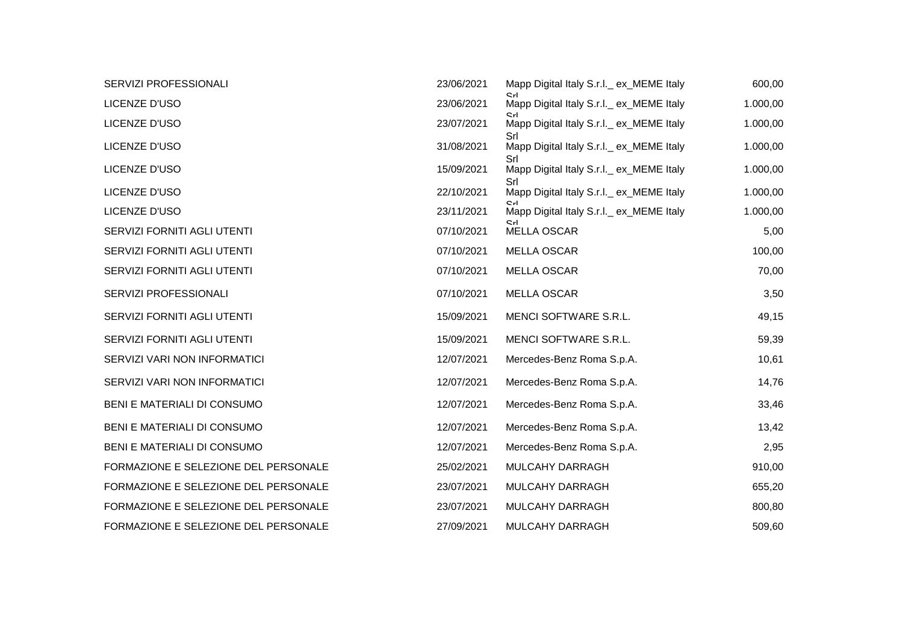| SERVIZI PROFESSIONALI                | 23/06/2021 | Mapp Digital Italy S.r.I._ ex_MEME Italy        | 600,00   |
|--------------------------------------|------------|-------------------------------------------------|----------|
| LICENZE D'USO                        | 23/06/2021 | Mapp Digital Italy S.r.I. ex_MEME Italy         | 1.000,00 |
| LICENZE D'USO                        | 23/07/2021 | Mapp Digital Italy S.r.l._ ex_MEME Italy        | 1.000,00 |
| LICENZE D'USO                        | 31/08/2021 | Srl<br>Mapp Digital Italy S.r.I. ex_MEME Italy  | 1.000,00 |
| LICENZE D'USO                        | 15/09/2021 | Srl<br>Mapp Digital Italy S.r.I. ex_MEME Italy  | 1.000,00 |
| LICENZE D'USO                        | 22/10/2021 | Srl<br>Mapp Digital Italy S.r.l._ ex_MEME Italy | 1.000,00 |
| LICENZE D'USO                        | 23/11/2021 | Mapp Digital Italy S.r.I. ex_MEME Italy         | 1.000,00 |
| SERVIZI FORNITI AGLI UTENTI          | 07/10/2021 | <b>MELLA OSCAR</b>                              | 5,00     |
| SERVIZI FORNITI AGLI UTENTI          | 07/10/2021 | <b>MELLA OSCAR</b>                              | 100,00   |
| SERVIZI FORNITI AGLI UTENTI          | 07/10/2021 | <b>MELLA OSCAR</b>                              | 70,00    |
| SERVIZI PROFESSIONALI                | 07/10/2021 | <b>MELLA OSCAR</b>                              | 3,50     |
| SERVIZI FORNITI AGLI UTENTI          | 15/09/2021 | MENCI SOFTWARE S.R.L.                           | 49,15    |
| SERVIZI FORNITI AGLI UTENTI          | 15/09/2021 | MENCI SOFTWARE S.R.L.                           | 59,39    |
| SERVIZI VARI NON INFORMATICI         | 12/07/2021 | Mercedes-Benz Roma S.p.A.                       | 10,61    |
| SERVIZI VARI NON INFORMATICI         | 12/07/2021 | Mercedes-Benz Roma S.p.A.                       | 14,76    |
| BENI E MATERIALI DI CONSUMO          | 12/07/2021 | Mercedes-Benz Roma S.p.A.                       | 33,46    |
| BENI E MATERIALI DI CONSUMO          | 12/07/2021 | Mercedes-Benz Roma S.p.A.                       | 13,42    |
| BENI E MATERIALI DI CONSUMO          | 12/07/2021 | Mercedes-Benz Roma S.p.A.                       | 2,95     |
| FORMAZIONE E SELEZIONE DEL PERSONALE | 25/02/2021 | MULCAHY DARRAGH                                 | 910,00   |
| FORMAZIONE E SELEZIONE DEL PERSONALE | 23/07/2021 | MULCAHY DARRAGH                                 | 655,20   |
| FORMAZIONE E SELEZIONE DEL PERSONALE | 23/07/2021 | MULCAHY DARRAGH                                 | 800,80   |
| FORMAZIONE E SELEZIONE DEL PERSONALE | 27/09/2021 | <b>MULCAHY DARRAGH</b>                          | 509,60   |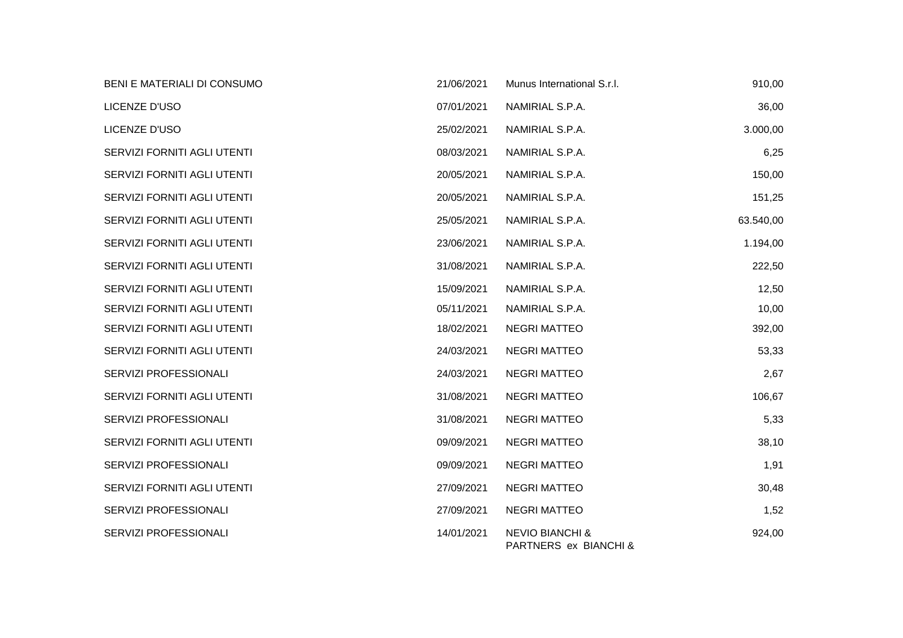| BENI E MATERIALI DI CONSUMO  | 21/06/2021 | Munus International S.r.I.                          | 910,00    |
|------------------------------|------------|-----------------------------------------------------|-----------|
| LICENZE D'USO                | 07/01/2021 | NAMIRIAL S.P.A.                                     | 36,00     |
| LICENZE D'USO                | 25/02/2021 | NAMIRIAL S.P.A.                                     | 3.000,00  |
| SERVIZI FORNITI AGLI UTENTI  | 08/03/2021 | NAMIRIAL S.P.A.                                     | 6,25      |
| SERVIZI FORNITI AGLI UTENTI  | 20/05/2021 | NAMIRIAL S.P.A.                                     | 150,00    |
| SERVIZI FORNITI AGLI UTENTI  | 20/05/2021 | NAMIRIAL S.P.A.                                     | 151,25    |
| SERVIZI FORNITI AGLI UTENTI  | 25/05/2021 | NAMIRIAL S.P.A.                                     | 63.540,00 |
| SERVIZI FORNITI AGLI UTENTI  | 23/06/2021 | NAMIRIAL S.P.A.                                     | 1.194,00  |
| SERVIZI FORNITI AGLI UTENTI  | 31/08/2021 | NAMIRIAL S.P.A.                                     | 222,50    |
| SERVIZI FORNITI AGLI UTENTI  | 15/09/2021 | NAMIRIAL S.P.A.                                     | 12,50     |
| SERVIZI FORNITI AGLI UTENTI  | 05/11/2021 | NAMIRIAL S.P.A.                                     | 10,00     |
| SERVIZI FORNITI AGLI UTENTI  | 18/02/2021 | <b>NEGRI MATTEO</b>                                 | 392,00    |
| SERVIZI FORNITI AGLI UTENTI  | 24/03/2021 | <b>NEGRI MATTEO</b>                                 | 53,33     |
| SERVIZI PROFESSIONALI        | 24/03/2021 | <b>NEGRI MATTEO</b>                                 | 2,67      |
| SERVIZI FORNITI AGLI UTENTI  | 31/08/2021 | <b>NEGRI MATTEO</b>                                 | 106,67    |
| SERVIZI PROFESSIONALI        | 31/08/2021 | <b>NEGRI MATTEO</b>                                 | 5,33      |
| SERVIZI FORNITI AGLI UTENTI  | 09/09/2021 | <b>NEGRI MATTEO</b>                                 | 38,10     |
| SERVIZI PROFESSIONALI        | 09/09/2021 | <b>NEGRI MATTEO</b>                                 | 1,91      |
| SERVIZI FORNITI AGLI UTENTI  | 27/09/2021 | <b>NEGRI MATTEO</b>                                 | 30,48     |
| SERVIZI PROFESSIONALI        | 27/09/2021 | <b>NEGRI MATTEO</b>                                 | 1,52      |
| <b>SERVIZI PROFESSIONALI</b> | 14/01/2021 | <b>NEVIO BIANCHI &amp;</b><br>PARTNERS ex BIANCHI & | 924,00    |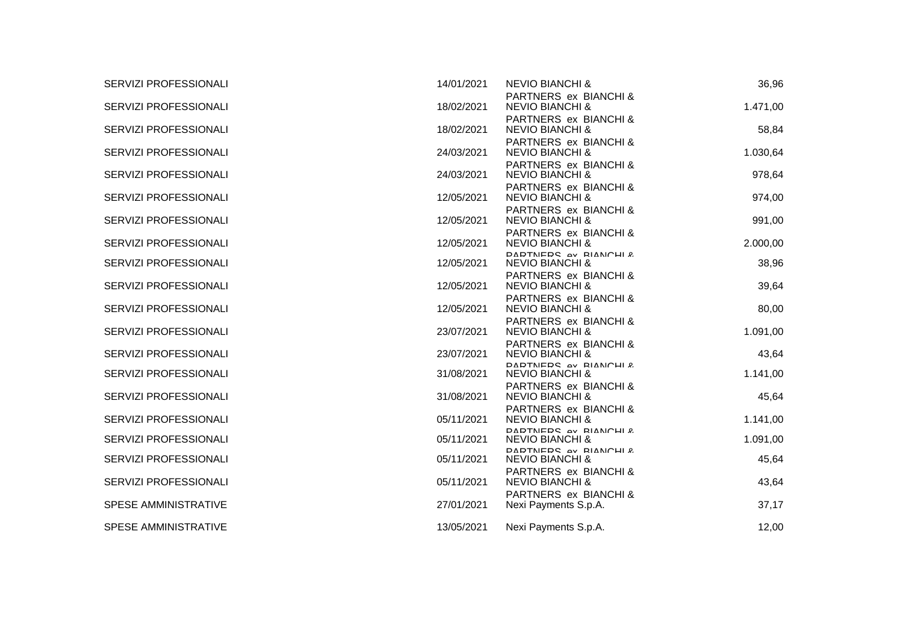| SERVIZI PROFESSIONALI        | 14/01/2021 | <b>NEVIO BIANCHI &amp;</b>                            | 36,96    |
|------------------------------|------------|-------------------------------------------------------|----------|
| SERVIZI PROFESSIONALI        | 18/02/2021 | PARTNERS ex BIANCHI &<br><b>NEVIO BIANCHI &amp;</b>   | 1.471,00 |
| SERVIZI PROFESSIONALI        | 18/02/2021 | PARTNERS ex BIANCHI &<br><b>NEVIO BIANCHI &amp;</b>   | 58,84    |
| <b>SERVIZI PROFESSIONALI</b> | 24/03/2021 | PARTNERS ex BIANCHI &<br><b>NEVIO BIANCHI &amp;</b>   | 1.030,64 |
| SERVIZI PROFESSIONALI        | 24/03/2021 | PARTNERS ex BIANCHI &<br><b>NEVIO BIANCHI &amp;</b>   | 978,64   |
| SERVIZI PROFESSIONALI        | 12/05/2021 | PARTNERS ex BIANCHI &<br><b>NEVIO BIANCHI &amp;</b>   | 974,00   |
| SERVIZI PROFESSIONALI        | 12/05/2021 | PARTNERS ex BIANCHI &<br><b>NEVIO BIANCHI &amp;</b>   | 991,00   |
| SERVIZI PROFESSIONALI        | 12/05/2021 | PARTNERS ex BIANCHI &<br><b>NEVIO BIANCHI &amp;</b>   | 2.000,00 |
| SERVIZI PROFESSIONALI        | 12/05/2021 | DARTNERS AV RIANCHIR<br><b>NEVIO BIANCHI &amp;</b>    | 38,96    |
| SERVIZI PROFESSIONALI        | 12/05/2021 | PARTNERS ex BIANCHI &<br><b>NEVIO BIANCHI &amp;</b>   | 39,64    |
| <b>SERVIZI PROFESSIONALI</b> | 12/05/2021 | PARTNERS ex BIANCHI &<br><b>NEVIO BIANCHI &amp;</b>   | 80,00    |
| SERVIZI PROFESSIONALI        | 23/07/2021 | PARTNERS ex BIANCHI &<br><b>NEVIO BIANCHI &amp;</b>   | 1.091,00 |
| SERVIZI PROFESSIONALI        | 23/07/2021 | PARTNERS ex BIANCHI &<br><b>NEVIO BIANCHI &amp;</b>   | 43,64    |
| <b>SERVIZI PROFESSIONALI</b> | 31/08/2021 | DADTNEDS AV RIANCHI &<br><b>NEVIO BIANCHI &amp;</b>   | 1.141,00 |
| SERVIZI PROFESSIONALI        | 31/08/2021 | PARTNERS ex BIANCHI &<br><b>NEVIO BIANCHI &amp;</b>   | 45,64    |
| <b>SERVIZI PROFESSIONALI</b> | 05/11/2021 | PARTNERS ex BIANCHI &<br><b>NEVIO BIANCHI &amp;</b>   | 1.141,00 |
| <b>SERVIZI PROFESSIONALI</b> | 05/11/2021 | DADTNIEDS AV DIANICHI &<br><b>NEVIO BIANCHI &amp;</b> | 1.091,00 |
| SERVIZI PROFESSIONALI        | 05/11/2021 | DADTNIEDS AV DIANICHI R<br><b>NEVIO BIANCHI &amp;</b> | 45,64    |
| SERVIZI PROFESSIONALI        | 05/11/2021 | PARTNERS ex BIANCHI &<br><b>NEVIO BIANCHI &amp;</b>   | 43,64    |
| SPESE AMMINISTRATIVE         | 27/01/2021 | PARTNERS ex BIANCHI &<br>Nexi Payments S.p.A.         | 37,17    |
| SPESE AMMINISTRATIVE         | 13/05/2021 | Nexi Payments S.p.A.                                  | 12,00    |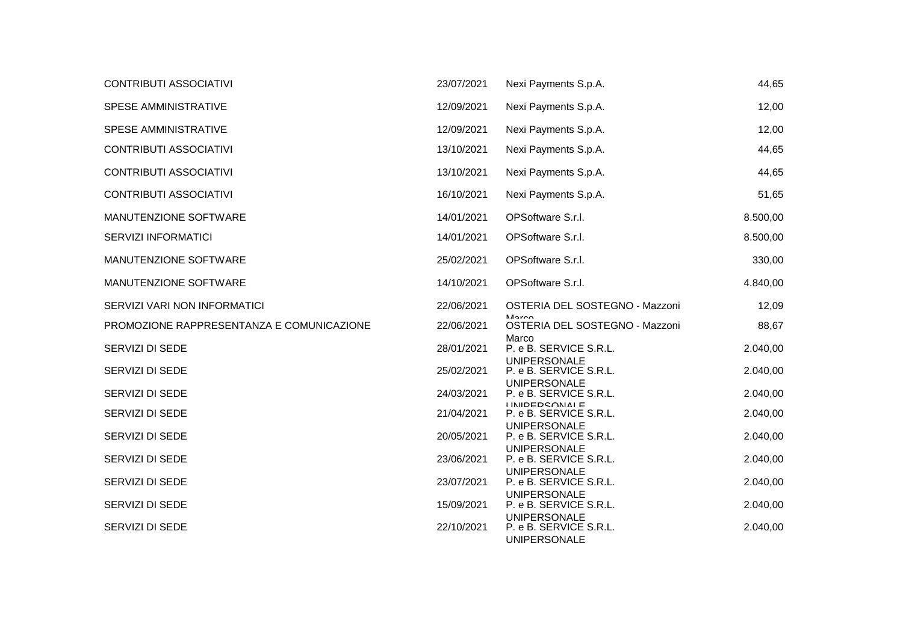| <b>CONTRIBUTI ASSOCIATIVI</b>             | 23/07/2021 | Nexi Payments S.p.A.                                          | 44,65    |
|-------------------------------------------|------------|---------------------------------------------------------------|----------|
| <b>SPESE AMMINISTRATIVE</b>               | 12/09/2021 | Nexi Payments S.p.A.                                          | 12,00    |
| SPESE AMMINISTRATIVE                      | 12/09/2021 | Nexi Payments S.p.A.                                          | 12,00    |
| <b>CONTRIBUTI ASSOCIATIVI</b>             | 13/10/2021 | Nexi Payments S.p.A.                                          | 44,65    |
| <b>CONTRIBUTI ASSOCIATIVI</b>             | 13/10/2021 | Nexi Payments S.p.A.                                          | 44,65    |
| CONTRIBUTI ASSOCIATIVI                    | 16/10/2021 | Nexi Payments S.p.A.                                          | 51,65    |
| MANUTENZIONE SOFTWARE                     | 14/01/2021 | OPSoftware S.r.l.                                             | 8.500,00 |
| <b>SERVIZI INFORMATICI</b>                | 14/01/2021 | OPSoftware S.r.l.                                             | 8.500,00 |
| MANUTENZIONE SOFTWARE                     | 25/02/2021 | OPSoftware S.r.I.                                             | 330,00   |
| MANUTENZIONE SOFTWARE                     | 14/10/2021 | OPSoftware S.r.l.                                             | 4.840,00 |
| SERVIZI VARI NON INFORMATICI              | 22/06/2021 | OSTERIA DEL SOSTEGNO - Mazzoni                                | 12,09    |
| PROMOZIONE RAPPRESENTANZA E COMUNICAZIONE | 22/06/2021 | Marco<br>OSTERIA DEL SOSTEGNO - Mazzoni                       | 88,67    |
| SERVIZI DI SEDE                           | 28/01/2021 | Marco<br>P. e B. SERVICE S.R.L.                               | 2.040,00 |
| SERVIZI DI SEDE                           | 25/02/2021 | <b>UNIPERSONALE</b><br>P. e B. SERVICE S.R.L.                 | 2.040,00 |
| SERVIZI DI SEDE                           | 24/03/2021 | <b>UNIPERSONALE</b><br>P. e B. SERVICE S.R.L.                 | 2.040,00 |
| SERVIZI DI SEDE                           | 21/04/2021 | <b>I INIIDED CONIAI E</b><br>P. e B. SERVICE S.R.L.           | 2.040,00 |
| SERVIZI DI SEDE                           | 20/05/2021 | <b>UNIPERSONALE</b><br>P. e B. SERVICE S.R.L.                 | 2.040,00 |
| SERVIZI DI SEDE                           | 23/06/2021 | <b>UNIPERSONALE</b><br>P. e B. SERVICE S.R.L.                 | 2.040,00 |
| SERVIZI DI SEDE                           | 23/07/2021 | <b>UNIPERSONALE</b><br>P. e B. SERVICE S.R.L.                 | 2.040,00 |
| SERVIZI DI SEDE                           | 15/09/2021 | <b>UNIPERSONALE</b><br>P. e B. SERVICE S.R.L.                 | 2.040,00 |
| <b>SERVIZI DI SEDE</b>                    | 22/10/2021 | <b>UNIPERSONALE</b><br>P. e B. SERVICE S.R.L.<br>UNIPERSONALE | 2.040,00 |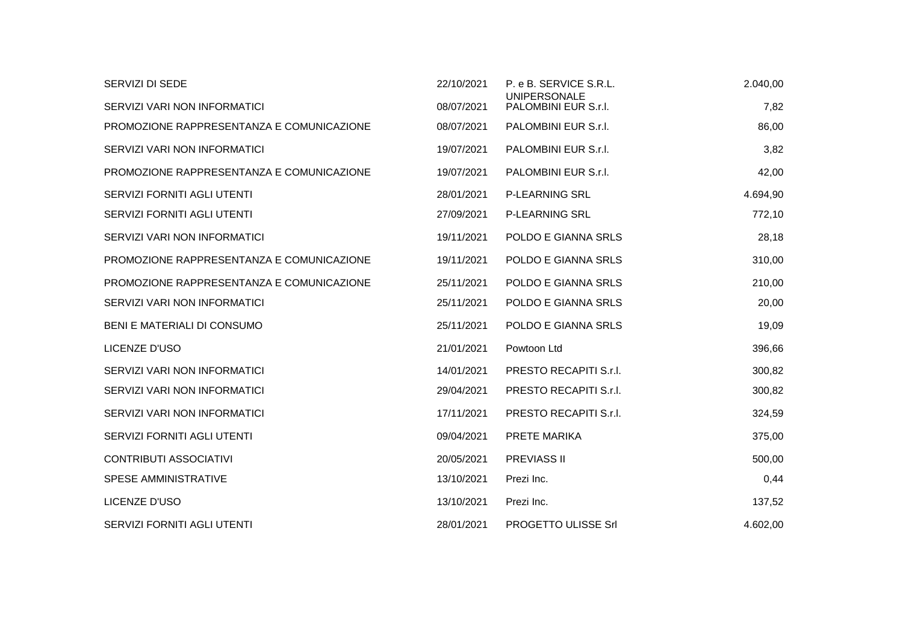| <b>SERVIZI DI SEDE</b>                    | 22/10/2021 | P. e B. SERVICE S.R.L.                      | 2.040,00 |
|-------------------------------------------|------------|---------------------------------------------|----------|
| SERVIZI VARI NON INFORMATICI              | 08/07/2021 | <b>UNIPERSONALE</b><br>PALOMBINI EUR S.r.I. | 7,82     |
| PROMOZIONE RAPPRESENTANZA E COMUNICAZIONE | 08/07/2021 | PALOMBINI EUR S.r.I.                        | 86,00    |
| SERVIZI VARI NON INFORMATICI              | 19/07/2021 | PALOMBINI EUR S.r.I.                        | 3,82     |
| PROMOZIONE RAPPRESENTANZA E COMUNICAZIONE | 19/07/2021 | PALOMBINI EUR S.r.I.                        | 42,00    |
| SERVIZI FORNITI AGLI UTENTI               | 28/01/2021 | <b>P-LEARNING SRL</b>                       | 4.694,90 |
| SERVIZI FORNITI AGLI UTENTI               | 27/09/2021 | <b>P-LEARNING SRL</b>                       | 772,10   |
| SERVIZI VARI NON INFORMATICI              | 19/11/2021 | POLDO E GIANNA SRLS                         | 28,18    |
| PROMOZIONE RAPPRESENTANZA E COMUNICAZIONE | 19/11/2021 | POLDO E GIANNA SRLS                         | 310,00   |
| PROMOZIONE RAPPRESENTANZA E COMUNICAZIONE | 25/11/2021 | POLDO E GIANNA SRLS                         | 210,00   |
| SERVIZI VARI NON INFORMATICI              | 25/11/2021 | POLDO E GIANNA SRLS                         | 20,00    |
| BENI E MATERIALI DI CONSUMO               | 25/11/2021 | POLDO E GIANNA SRLS                         | 19,09    |
| LICENZE D'USO                             | 21/01/2021 | Powtoon Ltd                                 | 396,66   |
| SERVIZI VARI NON INFORMATICI              | 14/01/2021 | PRESTO RECAPITI S.r.I.                      | 300,82   |
| SERVIZI VARI NON INFORMATICI              | 29/04/2021 | PRESTO RECAPITI S.r.I.                      | 300,82   |
| SERVIZI VARI NON INFORMATICI              | 17/11/2021 | PRESTO RECAPITI S.r.I.                      | 324,59   |
| SERVIZI FORNITI AGLI UTENTI               | 09/04/2021 | PRETE MARIKA                                | 375,00   |
| <b>CONTRIBUTI ASSOCIATIVI</b>             | 20/05/2021 | <b>PREVIASS II</b>                          | 500,00   |
| SPESE AMMINISTRATIVE                      | 13/10/2021 | Prezi Inc.                                  | 0,44     |
| LICENZE D'USO                             | 13/10/2021 | Prezi Inc.                                  | 137,52   |
| SERVIZI FORNITI AGLI UTENTI               | 28/01/2021 | <b>PROGETTO ULISSE Srl</b>                  | 4.602,00 |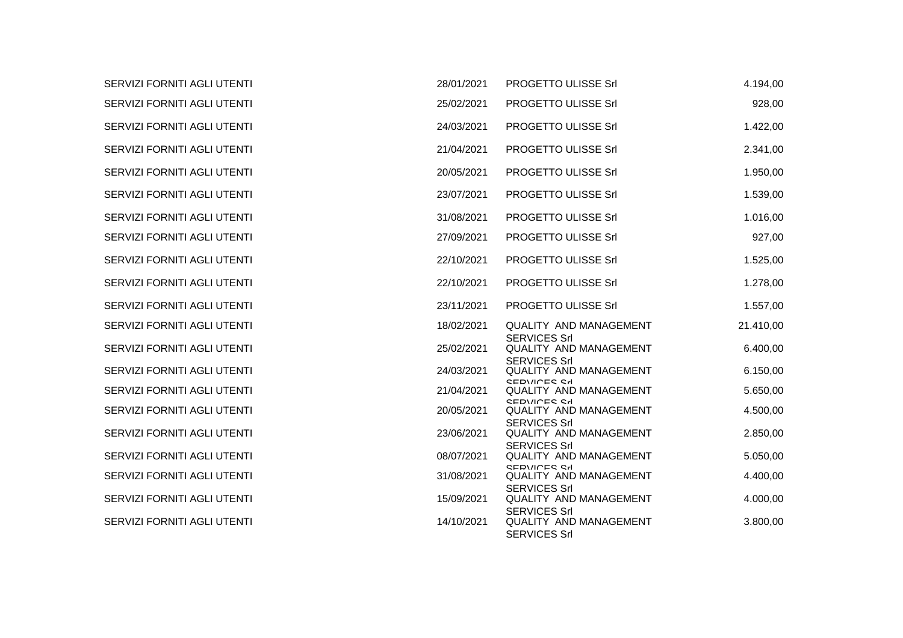| SERVIZI FORNITI AGLI UTENTI | 28/01/2021 | PROGETTO ULISSE Srl                                                         | 4.194,00  |
|-----------------------------|------------|-----------------------------------------------------------------------------|-----------|
| SERVIZI FORNITI AGLI UTENTI | 25/02/2021 | <b>PROGETTO ULISSE Srl</b>                                                  | 928,00    |
| SERVIZI FORNITI AGLI UTENTI | 24/03/2021 | <b>PROGETTO ULISSE Srl</b>                                                  | 1.422,00  |
| SERVIZI FORNITI AGLI UTENTI | 21/04/2021 | <b>PROGETTO ULISSE Srl</b>                                                  | 2.341,00  |
| SERVIZI FORNITI AGLI UTENTI | 20/05/2021 | PROGETTO ULISSE Srl                                                         | 1.950,00  |
| SERVIZI FORNITI AGLI UTENTI | 23/07/2021 | PROGETTO ULISSE Srl                                                         | 1.539,00  |
| SERVIZI FORNITI AGLI UTENTI | 31/08/2021 | PROGETTO ULISSE Srl                                                         | 1.016,00  |
| SERVIZI FORNITI AGLI UTENTI | 27/09/2021 | <b>PROGETTO ULISSE Srl</b>                                                  | 927,00    |
| SERVIZI FORNITI AGLI UTENTI | 22/10/2021 | PROGETTO ULISSE Srl                                                         | 1.525,00  |
| SERVIZI FORNITI AGLI UTENTI | 22/10/2021 | PROGETTO ULISSE Srl                                                         | 1.278,00  |
| SERVIZI FORNITI AGLI UTENTI | 23/11/2021 | PROGETTO ULISSE Srl                                                         | 1.557,00  |
| SERVIZI FORNITI AGLI UTENTI | 18/02/2021 | <b>QUALITY AND MANAGEMENT</b>                                               | 21.410,00 |
| SERVIZI FORNITI AGLI UTENTI | 25/02/2021 | <b>SERVICES Srl</b><br>QUALITY AND MANAGEMENT                               | 6.400,00  |
| SERVIZI FORNITI AGLI UTENTI | 24/03/2021 | <b>SERVICES Srl</b><br><b>QUALITY AND MANAGEMENT</b>                        | 6.150,00  |
| SERVIZI FORNITI AGLI UTENTI | 21/04/2021 | <b>CEDVICEC Cri</b><br><b>QUALITY AND MANAGEMENT</b>                        | 5.650,00  |
|                             |            | <b>CEDVICES SH</b>                                                          |           |
| SERVIZI FORNITI AGLI UTENTI | 20/05/2021 | <b>QUALITY AND MANAGEMENT</b><br><b>SERVICES Srl</b>                        | 4.500,00  |
| SERVIZI FORNITI AGLI UTENTI | 23/06/2021 | QUALITY AND MANAGEMENT                                                      | 2.850,00  |
| SERVIZI FORNITI AGLI UTENTI | 08/07/2021 | <b>SERVICES Srl</b><br>QUALITY AND MANAGEMENT                               | 5.050,00  |
| SERVIZI FORNITI AGLI UTENTI | 31/08/2021 | <b>CEDVICES CH</b><br>QUALITY AND MANAGEMENT                                | 4.400,00  |
| SERVIZI FORNITI AGLI UTENTI | 15/09/2021 | <b>SERVICES Srl</b><br>QUALITY AND MANAGEMENT                               | 4.000,00  |
| SERVIZI FORNITI AGLI UTENTI | 14/10/2021 | <b>SERVICES Srl</b><br><b>QUALITY AND MANAGEMENT</b><br><b>SERVICES Srl</b> | 3.800,00  |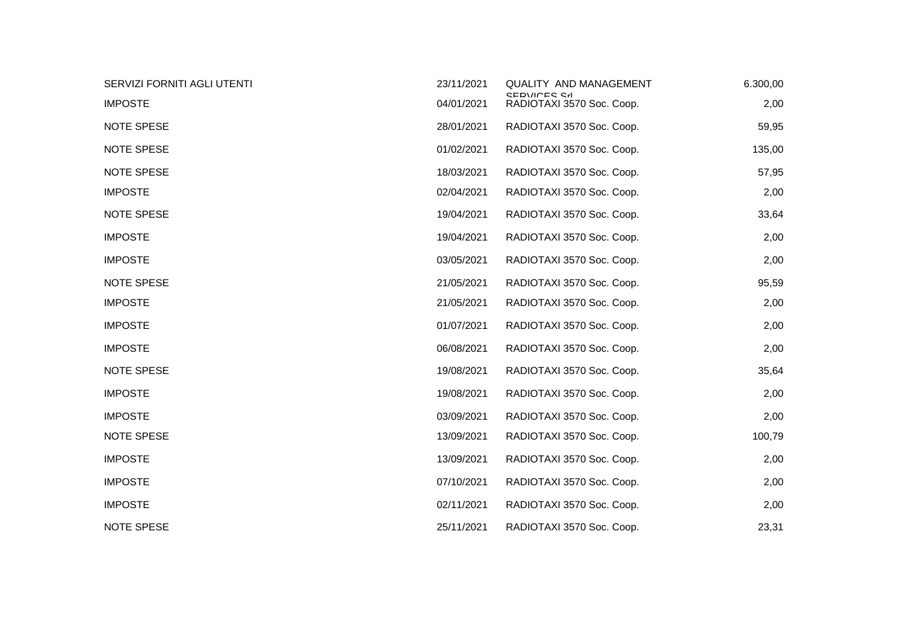| SERVIZI FORNITI AGLI UTENTI | 23/11/2021 | QUALITY AND MANAGEMENT                           | 6.300,00 |
|-----------------------------|------------|--------------------------------------------------|----------|
| <b>IMPOSTE</b>              | 04/01/2021 | <b>CEDIMATE CHI</b><br>RADIOTAXI 3570 Soc. Coop. | 2,00     |
| <b>NOTE SPESE</b>           | 28/01/2021 | RADIOTAXI 3570 Soc. Coop.                        | 59,95    |
| <b>NOTE SPESE</b>           | 01/02/2021 | RADIOTAXI 3570 Soc. Coop.                        | 135,00   |
| <b>NOTE SPESE</b>           | 18/03/2021 | RADIOTAXI 3570 Soc. Coop.                        | 57,95    |
| <b>IMPOSTE</b>              | 02/04/2021 | RADIOTAXI 3570 Soc. Coop.                        | 2,00     |
| <b>NOTE SPESE</b>           | 19/04/2021 | RADIOTAXI 3570 Soc. Coop.                        | 33,64    |
| <b>IMPOSTE</b>              | 19/04/2021 | RADIOTAXI 3570 Soc. Coop.                        | 2,00     |
| <b>IMPOSTE</b>              | 03/05/2021 | RADIOTAXI 3570 Soc. Coop.                        | 2,00     |
| <b>NOTE SPESE</b>           | 21/05/2021 | RADIOTAXI 3570 Soc. Coop.                        | 95,59    |
| <b>IMPOSTE</b>              | 21/05/2021 | RADIOTAXI 3570 Soc. Coop.                        | 2,00     |
| <b>IMPOSTE</b>              | 01/07/2021 | RADIOTAXI 3570 Soc. Coop.                        | 2,00     |
| <b>IMPOSTE</b>              | 06/08/2021 | RADIOTAXI 3570 Soc. Coop.                        | 2,00     |
| <b>NOTE SPESE</b>           | 19/08/2021 | RADIOTAXI 3570 Soc. Coop.                        | 35,64    |
| <b>IMPOSTE</b>              | 19/08/2021 | RADIOTAXI 3570 Soc. Coop.                        | 2,00     |
| <b>IMPOSTE</b>              | 03/09/2021 | RADIOTAXI 3570 Soc. Coop.                        | 2,00     |
| NOTE SPESE                  | 13/09/2021 | RADIOTAXI 3570 Soc. Coop.                        | 100,79   |
| <b>IMPOSTE</b>              | 13/09/2021 | RADIOTAXI 3570 Soc. Coop.                        | 2,00     |
| <b>IMPOSTE</b>              | 07/10/2021 | RADIOTAXI 3570 Soc. Coop.                        | 2,00     |
| <b>IMPOSTE</b>              | 02/11/2021 | RADIOTAXI 3570 Soc. Coop.                        | 2,00     |
| <b>NOTE SPESE</b>           | 25/11/2021 | RADIOTAXI 3570 Soc. Coop.                        | 23,31    |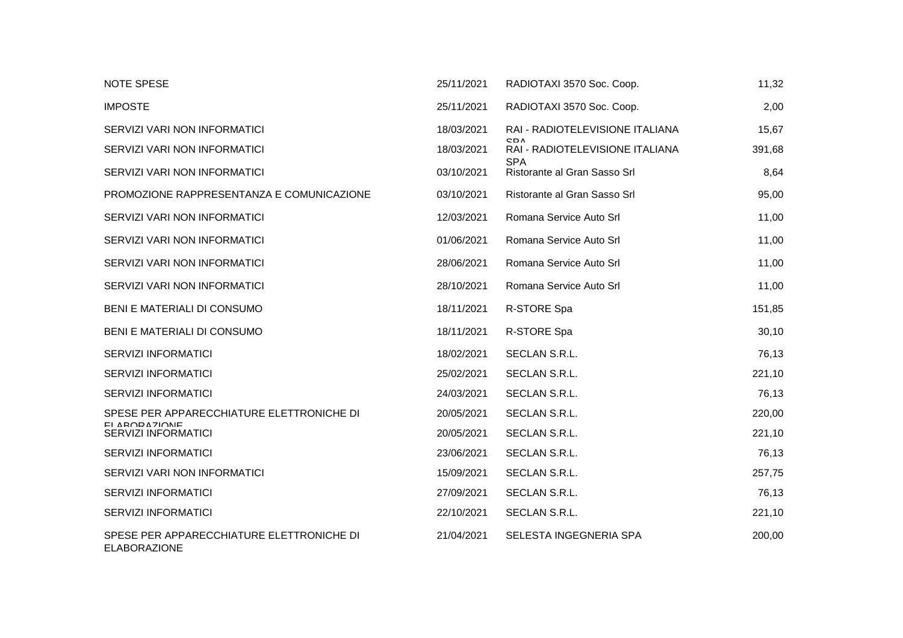| NOTE SPESE                                                       | 25/11/2021 | RADIOTAXI 3570 Soc. Coop.                     | 11,32  |
|------------------------------------------------------------------|------------|-----------------------------------------------|--------|
| <b>IMPOSTE</b>                                                   | 25/11/2021 | RADIOTAXI 3570 Soc. Coop.                     | 2,00   |
| SERVIZI VARI NON INFORMATICI                                     | 18/03/2021 | RAI - RADIOTELEVISIONE ITALIANA               | 15,67  |
| SERVIZI VARI NON INFORMATICI                                     | 18/03/2021 | <b>CDA</b><br>RAI - RADIOTELEVISIONE ITALIANA | 391,68 |
| SERVIZI VARI NON INFORMATICI                                     | 03/10/2021 | SPA<br>Ristorante al Gran Sasso Srl           | 8,64   |
| PROMOZIONE RAPPRESENTANZA E COMUNICAZIONE                        | 03/10/2021 | Ristorante al Gran Sasso Srl                  | 95,00  |
| SERVIZI VARI NON INFORMATICI                                     | 12/03/2021 | Romana Service Auto Srl                       | 11,00  |
| SERVIZI VARI NON INFORMATICI                                     | 01/06/2021 | Romana Service Auto Srl                       | 11,00  |
| SERVIZI VARI NON INFORMATICI                                     | 28/06/2021 | Romana Service Auto Srl                       | 11,00  |
| SERVIZI VARI NON INFORMATICI                                     | 28/10/2021 | Romana Service Auto Srl                       | 11,00  |
| BENI E MATERIALI DI CONSUMO                                      | 18/11/2021 | R-STORE Spa                                   | 151,85 |
| BENI E MATERIALI DI CONSUMO                                      | 18/11/2021 | R-STORE Spa                                   | 30,10  |
| SERVIZI INFORMATICI                                              | 18/02/2021 | SECLAN S.R.L.                                 | 76,13  |
| <b>SERVIZI INFORMATICI</b>                                       | 25/02/2021 | SECLAN S.R.L.                                 | 221,10 |
| SERVIZI INFORMATICI                                              | 24/03/2021 | SECLAN S.R.L.                                 | 76,13  |
| SPESE PER APPARECCHIATURE ELETTRONICHE DI                        | 20/05/2021 | SECLAN S.R.L.                                 | 220,00 |
| <b>EI ARODAZIONIE</b><br><b>SERVIZI INFORMATICI</b>              | 20/05/2021 | SECLAN S.R.L.                                 | 221,10 |
| <b>SERVIZI INFORMATICI</b>                                       | 23/06/2021 | SECLAN S.R.L.                                 | 76,13  |
| SERVIZI VARI NON INFORMATICI                                     | 15/09/2021 | SECLAN S.R.L.                                 | 257,75 |
| <b>SERVIZI INFORMATICI</b>                                       | 27/09/2021 | SECLAN S.R.L.                                 | 76,13  |
| SERVIZI INFORMATICI                                              | 22/10/2021 | SECLAN S.R.L.                                 | 221,10 |
| SPESE PER APPARECCHIATURE ELETTRONICHE DI<br><b>ELABORAZIONE</b> | 21/04/2021 | SELESTA INGEGNERIA SPA                        | 200,00 |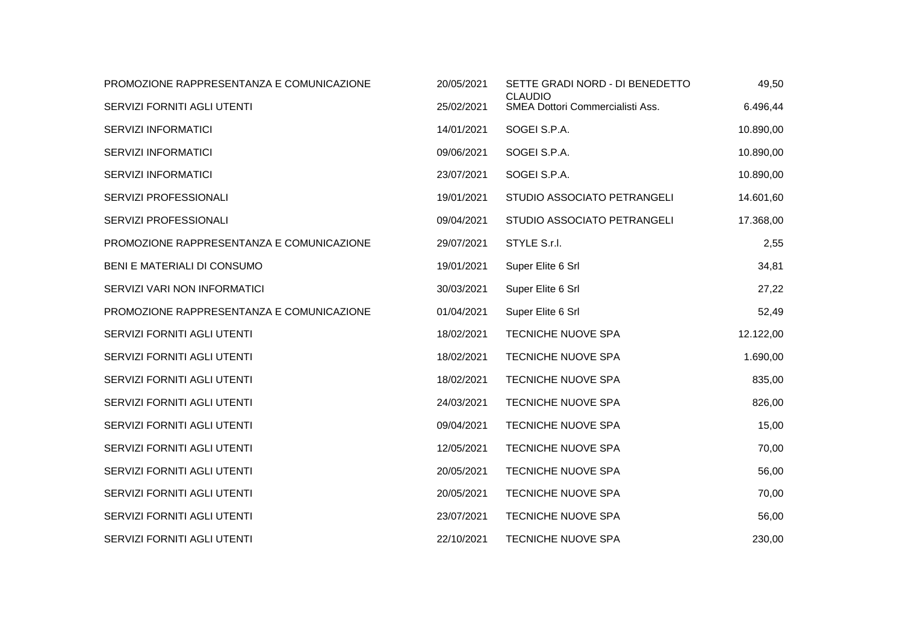| PROMOZIONE RAPPRESENTANZA E COMUNICAZIONE | 20/05/2021 | SETTE GRADI NORD - DI BENEDETTO                    | 49,50     |
|-------------------------------------------|------------|----------------------------------------------------|-----------|
| SERVIZI FORNITI AGLI UTENTI               | 25/02/2021 | <b>CLAUDIO</b><br>SMEA Dottori Commercialisti Ass. | 6.496,44  |
| SERVIZI INFORMATICI                       | 14/01/2021 | SOGEI S.P.A.                                       | 10.890,00 |
| <b>SERVIZI INFORMATICI</b>                | 09/06/2021 | SOGEI S.P.A.                                       | 10.890,00 |
| <b>SERVIZI INFORMATICI</b>                | 23/07/2021 | SOGEI S.P.A.                                       | 10.890,00 |
| SERVIZI PROFESSIONALI                     | 19/01/2021 | STUDIO ASSOCIATO PETRANGELI                        | 14.601,60 |
| SERVIZI PROFESSIONALI                     | 09/04/2021 | STUDIO ASSOCIATO PETRANGELI                        | 17.368,00 |
| PROMOZIONE RAPPRESENTANZA E COMUNICAZIONE | 29/07/2021 | STYLE S.r.l.                                       | 2,55      |
| BENI E MATERIALI DI CONSUMO               | 19/01/2021 | Super Elite 6 Srl                                  | 34,81     |
| SERVIZI VARI NON INFORMATICI              | 30/03/2021 | Super Elite 6 Srl                                  | 27,22     |
| PROMOZIONE RAPPRESENTANZA E COMUNICAZIONE | 01/04/2021 | Super Elite 6 Srl                                  | 52,49     |
| SERVIZI FORNITI AGLI UTENTI               | 18/02/2021 | TECNICHE NUOVE SPA                                 | 12.122,00 |
| SERVIZI FORNITI AGLI UTENTI               | 18/02/2021 | TECNICHE NUOVE SPA                                 | 1.690,00  |
| SERVIZI FORNITI AGLI UTENTI               | 18/02/2021 | TECNICHE NUOVE SPA                                 | 835,00    |
| SERVIZI FORNITI AGLI UTENTI               | 24/03/2021 | TECNICHE NUOVE SPA                                 | 826,00    |
| SERVIZI FORNITI AGLI UTENTI               | 09/04/2021 | <b>TECNICHE NUOVE SPA</b>                          | 15,00     |
| SERVIZI FORNITI AGLI UTENTI               | 12/05/2021 | TECNICHE NUOVE SPA                                 | 70,00     |
| SERVIZI FORNITI AGLI UTENTI               | 20/05/2021 | TECNICHE NUOVE SPA                                 | 56,00     |
| SERVIZI FORNITI AGLI UTENTI               | 20/05/2021 | TECNICHE NUOVE SPA                                 | 70,00     |
| SERVIZI FORNITI AGLI UTENTI               | 23/07/2021 | TECNICHE NUOVE SPA                                 | 56,00     |
| SERVIZI FORNITI AGLI UTENTI               | 22/10/2021 | <b>TECNICHE NUOVE SPA</b>                          | 230,00    |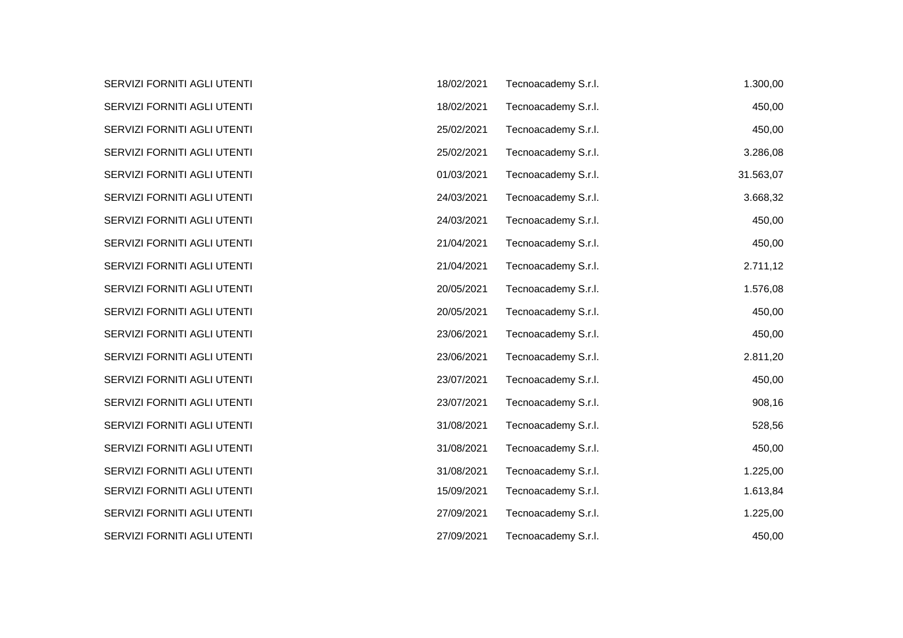| SERVIZI FORNITI AGLI UTENTI | 18/02/2021 | Tecnoacademy S.r.l. | 1.300,00  |
|-----------------------------|------------|---------------------|-----------|
| SERVIZI FORNITI AGLI UTENTI | 18/02/2021 | Tecnoacademy S.r.l. | 450,00    |
| SERVIZI FORNITI AGLI UTENTI | 25/02/2021 | Tecnoacademy S.r.l. | 450,00    |
| SERVIZI FORNITI AGLI UTENTI | 25/02/2021 | Tecnoacademy S.r.l. | 3.286,08  |
| SERVIZI FORNITI AGLI UTENTI | 01/03/2021 | Tecnoacademy S.r.l. | 31.563,07 |
| SERVIZI FORNITI AGLI UTENTI | 24/03/2021 | Tecnoacademy S.r.l. | 3.668,32  |
| SERVIZI FORNITI AGLI UTENTI | 24/03/2021 | Tecnoacademy S.r.l. | 450,00    |
| SERVIZI FORNITI AGLI UTENTI | 21/04/2021 | Tecnoacademy S.r.l. | 450,00    |
| SERVIZI FORNITI AGLI UTENTI | 21/04/2021 | Tecnoacademy S.r.l. | 2.711,12  |
| SERVIZI FORNITI AGLI UTENTI | 20/05/2021 | Tecnoacademy S.r.l. | 1.576,08  |
| SERVIZI FORNITI AGLI UTENTI | 20/05/2021 | Tecnoacademy S.r.l. | 450,00    |
| SERVIZI FORNITI AGLI UTENTI | 23/06/2021 | Tecnoacademy S.r.l. | 450,00    |
| SERVIZI FORNITI AGLI UTENTI | 23/06/2021 | Tecnoacademy S.r.l. | 2.811,20  |
| SERVIZI FORNITI AGLI UTENTI | 23/07/2021 | Tecnoacademy S.r.l. | 450,00    |
| SERVIZI FORNITI AGLI UTENTI | 23/07/2021 | Tecnoacademy S.r.l. | 908,16    |
| SERVIZI FORNITI AGLI UTENTI | 31/08/2021 | Tecnoacademy S.r.l. | 528,56    |
| SERVIZI FORNITI AGLI UTENTI | 31/08/2021 | Tecnoacademy S.r.l. | 450,00    |
| SERVIZI FORNITI AGLI UTENTI | 31/08/2021 | Tecnoacademy S.r.l. | 1.225,00  |
| SERVIZI FORNITI AGLI UTENTI | 15/09/2021 | Tecnoacademy S.r.l. | 1.613,84  |
| SERVIZI FORNITI AGLI UTENTI | 27/09/2021 | Tecnoacademy S.r.l. | 1.225,00  |
| SERVIZI FORNITI AGLI UTENTI | 27/09/2021 | Tecnoacademy S.r.l. | 450,00    |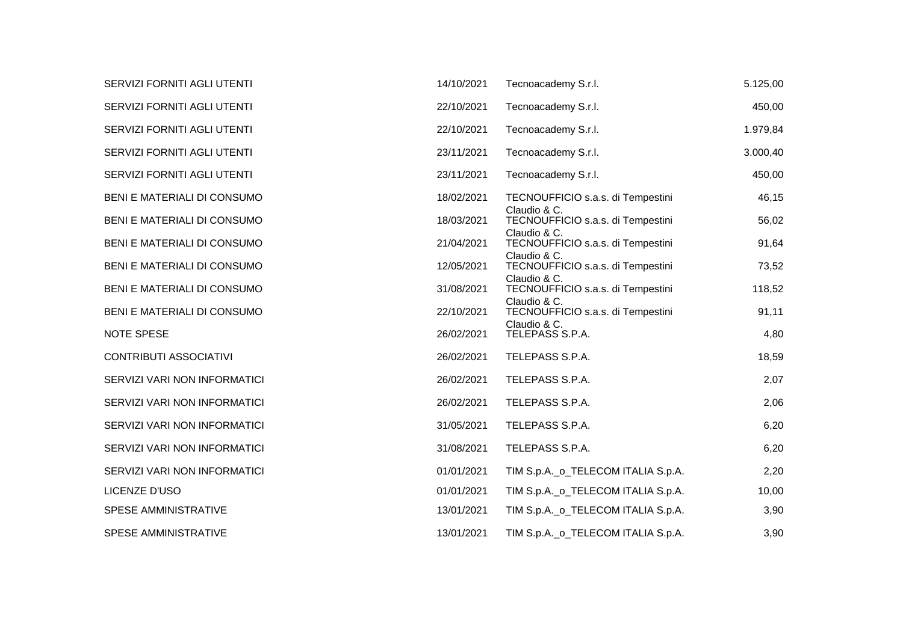| SERVIZI FORNITI AGLI UTENTI  | 14/10/2021 | Tecnoacademy S.r.l.                               | 5.125,00 |
|------------------------------|------------|---------------------------------------------------|----------|
| SERVIZI FORNITI AGLI UTENTI  | 22/10/2021 | Tecnoacademy S.r.l.                               | 450,00   |
| SERVIZI FORNITI AGLI UTENTI  | 22/10/2021 | Tecnoacademy S.r.l.                               | 1.979,84 |
| SERVIZI FORNITI AGLI UTENTI  | 23/11/2021 | Tecnoacademy S.r.l.                               | 3.000,40 |
| SERVIZI FORNITI AGLI UTENTI  | 23/11/2021 | Tecnoacademy S.r.l.                               | 450,00   |
| BENI E MATERIALI DI CONSUMO  | 18/02/2021 | TECNOUFFICIO s.a.s. di Tempestini                 | 46,15    |
| BENI E MATERIALI DI CONSUMO  | 18/03/2021 | Claudio & C.<br>TECNOUFFICIO s.a.s. di Tempestini | 56,02    |
| BENI E MATERIALI DI CONSUMO  | 21/04/2021 | Claudio & C.<br>TECNOUFFICIO s.a.s. di Tempestini | 91,64    |
| BENI E MATERIALI DI CONSUMO  | 12/05/2021 | Claudio & C.<br>TECNOUFFICIO s.a.s. di Tempestini | 73,52    |
| BENI E MATERIALI DI CONSUMO  | 31/08/2021 | Claudio & C.<br>TECNOUFFICIO s.a.s. di Tempestini | 118,52   |
| BENI E MATERIALI DI CONSUMO  | 22/10/2021 | Claudio & C.<br>TECNOUFFICIO s.a.s. di Tempestini | 91,11    |
| NOTE SPESE                   | 26/02/2021 | Claudio & C.<br>TELEPASS S.P.A.                   | 4,80     |
| CONTRIBUTI ASSOCIATIVI       | 26/02/2021 | TELEPASS S.P.A.                                   | 18,59    |
| SERVIZI VARI NON INFORMATICI | 26/02/2021 | TELEPASS S.P.A.                                   | 2,07     |
| SERVIZI VARI NON INFORMATICI | 26/02/2021 | TELEPASS S.P.A.                                   | 2,06     |
| SERVIZI VARI NON INFORMATICI | 31/05/2021 | TELEPASS S.P.A.                                   | 6,20     |
| SERVIZI VARI NON INFORMATICI | 31/08/2021 | TELEPASS S.P.A.                                   | 6,20     |
| SERVIZI VARI NON INFORMATICI | 01/01/2021 | TIM S.p.A._o_TELECOM ITALIA S.p.A.                | 2,20     |
| LICENZE D'USO                | 01/01/2021 | TIM S.p.A._o_TELECOM ITALIA S.p.A.                | 10,00    |
| SPESE AMMINISTRATIVE         | 13/01/2021 | TIM S.p.A._o_TELECOM ITALIA S.p.A.                | 3,90     |
| SPESE AMMINISTRATIVE         | 13/01/2021 | TIM S.p.A._o_TELECOM ITALIA S.p.A.                | 3,90     |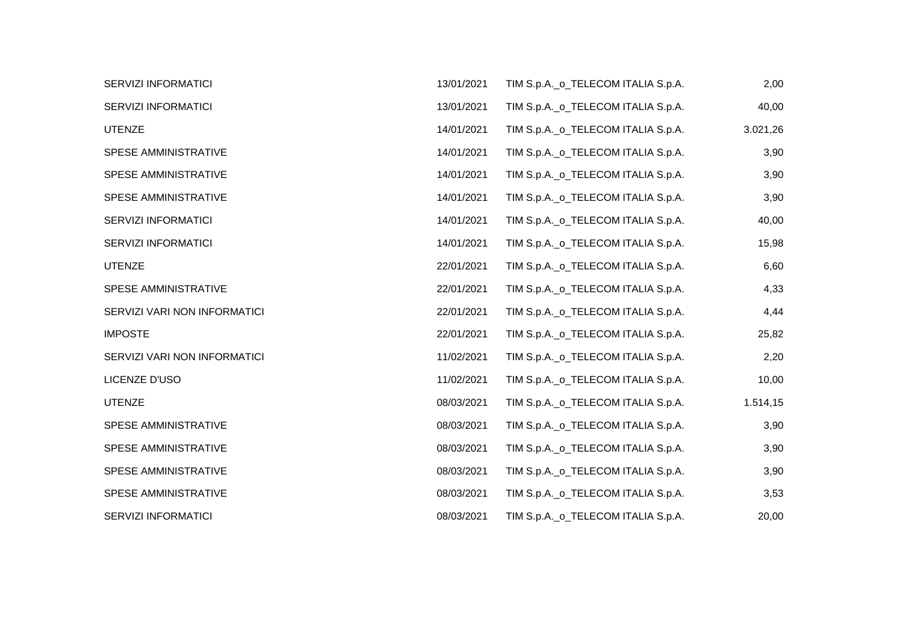| <b>SERVIZI INFORMATICI</b>   | 13/01/2021 | TIM S.p.A._o_TELECOM ITALIA S.p.A. | 2,00     |
|------------------------------|------------|------------------------------------|----------|
| SERVIZI INFORMATICI          | 13/01/2021 | TIM S.p.A._o_TELECOM ITALIA S.p.A. | 40,00    |
| <b>UTENZE</b>                | 14/01/2021 | TIM S.p.A._o_TELECOM ITALIA S.p.A. | 3.021,26 |
| <b>SPESE AMMINISTRATIVE</b>  | 14/01/2021 | TIM S.p.A._o_TELECOM ITALIA S.p.A. | 3,90     |
| <b>SPESE AMMINISTRATIVE</b>  | 14/01/2021 | TIM S.p.A._o_TELECOM ITALIA S.p.A. | 3,90     |
| SPESE AMMINISTRATIVE         | 14/01/2021 | TIM S.p.A._o_TELECOM ITALIA S.p.A. | 3,90     |
| <b>SERVIZI INFORMATICI</b>   | 14/01/2021 | TIM S.p.A._o_TELECOM ITALIA S.p.A. | 40,00    |
| SERVIZI INFORMATICI          | 14/01/2021 | TIM S.p.A._o_TELECOM ITALIA S.p.A. | 15,98    |
| <b>UTENZE</b>                | 22/01/2021 | TIM S.p.A._o_TELECOM ITALIA S.p.A. | 6,60     |
| <b>SPESE AMMINISTRATIVE</b>  | 22/01/2021 | TIM S.p.A._o_TELECOM ITALIA S.p.A. | 4,33     |
| SERVIZI VARI NON INFORMATICI | 22/01/2021 | TIM S.p.A._o_TELECOM ITALIA S.p.A. | 4,44     |
| <b>IMPOSTE</b>               | 22/01/2021 | TIM S.p.A._o_TELECOM ITALIA S.p.A. | 25,82    |
| SERVIZI VARI NON INFORMATICI | 11/02/2021 | TIM S.p.A._o_TELECOM ITALIA S.p.A. | 2,20     |
| LICENZE D'USO                | 11/02/2021 | TIM S.p.A._o_TELECOM ITALIA S.p.A. | 10,00    |
| <b>UTENZE</b>                | 08/03/2021 | TIM S.p.A._o_TELECOM ITALIA S.p.A. | 1.514,15 |
| SPESE AMMINISTRATIVE         | 08/03/2021 | TIM S.p.A._o_TELECOM ITALIA S.p.A. | 3,90     |
| SPESE AMMINISTRATIVE         | 08/03/2021 | TIM S.p.A._o_TELECOM ITALIA S.p.A. | 3,90     |
| SPESE AMMINISTRATIVE         | 08/03/2021 | TIM S.p.A._o_TELECOM ITALIA S.p.A. | 3,90     |
| SPESE AMMINISTRATIVE         | 08/03/2021 | TIM S.p.A._o_TELECOM ITALIA S.p.A. | 3,53     |
| <b>SERVIZI INFORMATICI</b>   | 08/03/2021 | TIM S.p.A._o_TELECOM ITALIA S.p.A. | 20,00    |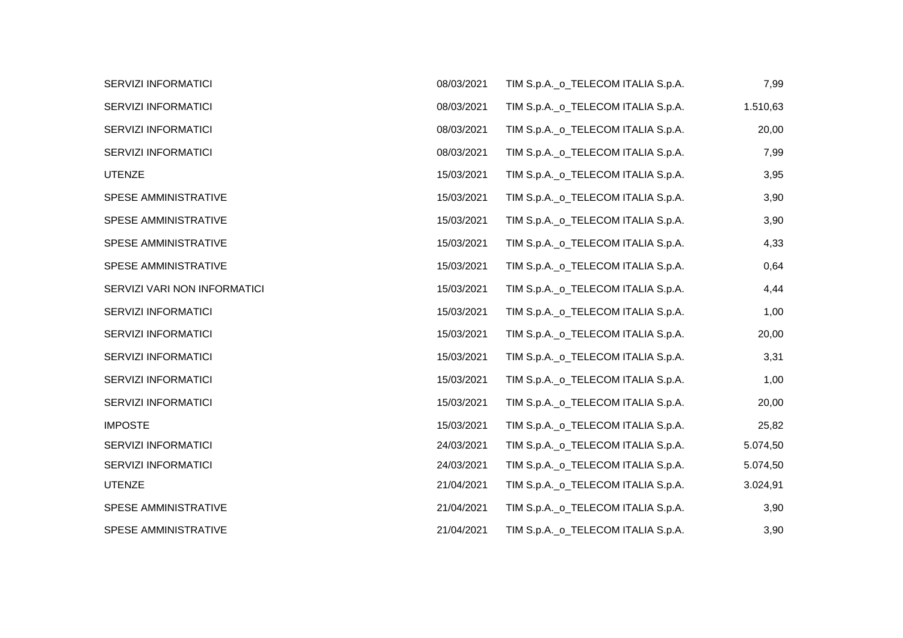| SERVIZI INFORMATICI          | 08/03/2021 | TIM S.p.A._o_TELECOM ITALIA S.p.A. | 7,99     |
|------------------------------|------------|------------------------------------|----------|
| SERVIZI INFORMATICI          | 08/03/2021 | TIM S.p.A._o_TELECOM ITALIA S.p.A. | 1.510,63 |
| SERVIZI INFORMATICI          | 08/03/2021 | TIM S.p.A._o_TELECOM ITALIA S.p.A. | 20,00    |
| <b>SERVIZI INFORMATICI</b>   | 08/03/2021 | TIM S.p.A. o TELECOM ITALIA S.p.A. | 7,99     |
| <b>UTENZE</b>                | 15/03/2021 | TIM S.p.A._o_TELECOM ITALIA S.p.A. | 3,95     |
| SPESE AMMINISTRATIVE         | 15/03/2021 | TIM S.p.A._o_TELECOM ITALIA S.p.A. | 3,90     |
| SPESE AMMINISTRATIVE         | 15/03/2021 | TIM S.p.A._o_TELECOM ITALIA S.p.A. | 3,90     |
| SPESE AMMINISTRATIVE         | 15/03/2021 | TIM S.p.A._o_TELECOM ITALIA S.p.A. | 4,33     |
| SPESE AMMINISTRATIVE         | 15/03/2021 | TIM S.p.A._o_TELECOM ITALIA S.p.A. | 0,64     |
| SERVIZI VARI NON INFORMATICI | 15/03/2021 | TIM S.p.A._o_TELECOM ITALIA S.p.A. | 4,44     |
| SERVIZI INFORMATICI          | 15/03/2021 | TIM S.p.A._o_TELECOM ITALIA S.p.A. | 1,00     |
| SERVIZI INFORMATICI          | 15/03/2021 | TIM S.p.A._o_TELECOM ITALIA S.p.A. | 20,00    |
| SERVIZI INFORMATICI          | 15/03/2021 | TIM S.p.A._o_TELECOM ITALIA S.p.A. | 3,31     |
| SERVIZI INFORMATICI          | 15/03/2021 | TIM S.p.A._o_TELECOM ITALIA S.p.A. | 1,00     |
| <b>SERVIZI INFORMATICI</b>   | 15/03/2021 | TIM S.p.A._o_TELECOM ITALIA S.p.A. | 20,00    |
| <b>IMPOSTE</b>               | 15/03/2021 | TIM S.p.A._o_TELECOM ITALIA S.p.A. | 25,82    |
| SERVIZI INFORMATICI          | 24/03/2021 | TIM S.p.A._o_TELECOM ITALIA S.p.A. | 5.074,50 |
| <b>SERVIZI INFORMATICI</b>   | 24/03/2021 | TIM S.p.A._o_TELECOM ITALIA S.p.A. | 5.074,50 |
| <b>UTENZE</b>                | 21/04/2021 | TIM S.p.A._o_TELECOM ITALIA S.p.A. | 3.024,91 |
| SPESE AMMINISTRATIVE         | 21/04/2021 | TIM S.p.A._o_TELECOM ITALIA S.p.A. | 3,90     |
| SPESE AMMINISTRATIVE         | 21/04/2021 | TIM S.p.A._o_TELECOM ITALIA S.p.A. | 3,90     |
|                              |            |                                    |          |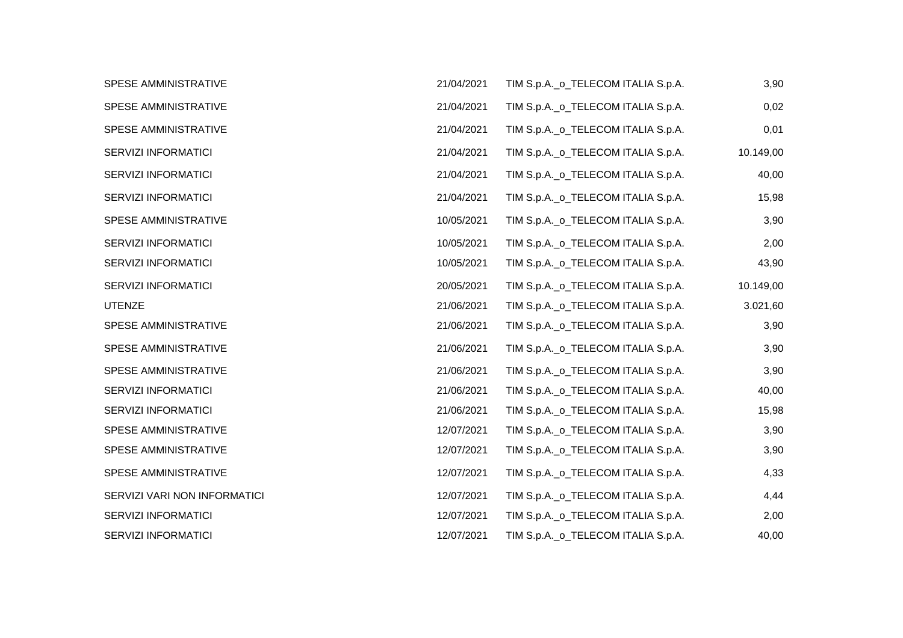| SPESE AMMINISTRATIVE         | 21/04/2021 | TIM S.p.A._o_TELECOM ITALIA S.p.A. | 3,90      |
|------------------------------|------------|------------------------------------|-----------|
| SPESE AMMINISTRATIVE         | 21/04/2021 | TIM S.p.A. o TELECOM ITALIA S.p.A. | 0,02      |
| SPESE AMMINISTRATIVE         | 21/04/2021 | TIM S.p.A._o_TELECOM ITALIA S.p.A. | 0,01      |
| SERVIZI INFORMATICI          | 21/04/2021 | TIM S.p.A._o_TELECOM ITALIA S.p.A. | 10.149,00 |
| SERVIZI INFORMATICI          | 21/04/2021 | TIM S.p.A._o_TELECOM ITALIA S.p.A. | 40,00     |
| <b>SERVIZI INFORMATICI</b>   | 21/04/2021 | TIM S.p.A._o_TELECOM ITALIA S.p.A. | 15,98     |
| SPESE AMMINISTRATIVE         | 10/05/2021 | TIM S.p.A._o_TELECOM ITALIA S.p.A. | 3,90      |
| SERVIZI INFORMATICI          | 10/05/2021 | TIM S.p.A. o TELECOM ITALIA S.p.A. | 2,00      |
| SERVIZI INFORMATICI          | 10/05/2021 | TIM S.p.A._o_TELECOM ITALIA S.p.A. | 43,90     |
| <b>SERVIZI INFORMATICI</b>   | 20/05/2021 | TIM S.p.A._o_TELECOM ITALIA S.p.A. | 10.149,00 |
| <b>UTENZE</b>                | 21/06/2021 | TIM S.p.A._o_TELECOM ITALIA S.p.A. | 3.021,60  |
| SPESE AMMINISTRATIVE         | 21/06/2021 | TIM S.p.A._o_TELECOM ITALIA S.p.A. | 3,90      |
| SPESE AMMINISTRATIVE         | 21/06/2021 | TIM S.p.A._o_TELECOM ITALIA S.p.A. | 3,90      |
| SPESE AMMINISTRATIVE         | 21/06/2021 | TIM S.p.A._o_TELECOM ITALIA S.p.A. | 3,90      |
| <b>SERVIZI INFORMATICI</b>   | 21/06/2021 | TIM S.p.A. o TELECOM ITALIA S.p.A. | 40,00     |
| <b>SERVIZI INFORMATICI</b>   | 21/06/2021 | TIM S.p.A._o_TELECOM ITALIA S.p.A. | 15,98     |
| SPESE AMMINISTRATIVE         | 12/07/2021 | TIM S.p.A._o_TELECOM ITALIA S.p.A. | 3,90      |
| SPESE AMMINISTRATIVE         | 12/07/2021 | TIM S.p.A._o_TELECOM ITALIA S.p.A. | 3,90      |
| SPESE AMMINISTRATIVE         | 12/07/2021 | TIM S.p.A._o_TELECOM ITALIA S.p.A. | 4,33      |
| SERVIZI VARI NON INFORMATICI | 12/07/2021 | TIM S.p.A._o_TELECOM ITALIA S.p.A. | 4,44      |
| <b>SERVIZI INFORMATICI</b>   | 12/07/2021 | TIM S.p.A._o_TELECOM ITALIA S.p.A. | 2,00      |
| <b>SERVIZI INFORMATICI</b>   | 12/07/2021 | TIM S.p.A._o_TELECOM ITALIA S.p.A. | 40,00     |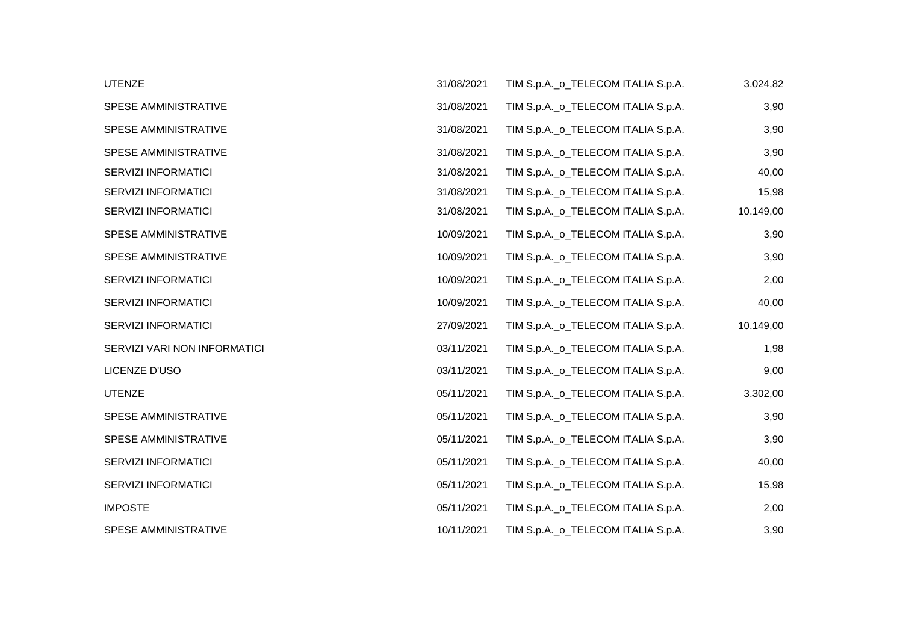| <b>UTENZE</b>                | 31/08/2021 | TIM S.p.A._o_TELECOM ITALIA S.p.A. | 3.024,82  |
|------------------------------|------------|------------------------------------|-----------|
| SPESE AMMINISTRATIVE         | 31/08/2021 | TIM S.p.A._o_TELECOM ITALIA S.p.A. | 3,90      |
| <b>SPESE AMMINISTRATIVE</b>  | 31/08/2021 | TIM S.p.A._o_TELECOM ITALIA S.p.A. | 3,90      |
| SPESE AMMINISTRATIVE         | 31/08/2021 | TIM S.p.A._o_TELECOM ITALIA S.p.A. | 3,90      |
| <b>SERVIZI INFORMATICI</b>   | 31/08/2021 | TIM S.p.A. o TELECOM ITALIA S.p.A. | 40,00     |
| SERVIZI INFORMATICI          | 31/08/2021 | TIM S.p.A._o_TELECOM ITALIA S.p.A. | 15,98     |
| SERVIZI INFORMATICI          | 31/08/2021 | TIM S.p.A._o_TELECOM ITALIA S.p.A. | 10.149,00 |
| SPESE AMMINISTRATIVE         | 10/09/2021 | TIM S.p.A._o_TELECOM ITALIA S.p.A. | 3,90      |
| SPESE AMMINISTRATIVE         | 10/09/2021 | TIM S.p.A._o_TELECOM ITALIA S.p.A. | 3,90      |
| SERVIZI INFORMATICI          | 10/09/2021 | TIM S.p.A._o_TELECOM ITALIA S.p.A. | 2,00      |
| SERVIZI INFORMATICI          | 10/09/2021 | TIM S.p.A._o_TELECOM ITALIA S.p.A. | 40,00     |
| SERVIZI INFORMATICI          | 27/09/2021 | TIM S.p.A._o_TELECOM ITALIA S.p.A. | 10.149,00 |
| SERVIZI VARI NON INFORMATICI | 03/11/2021 | TIM S.p.A._o_TELECOM ITALIA S.p.A. | 1,98      |
| LICENZE D'USO                | 03/11/2021 | TIM S.p.A._o_TELECOM ITALIA S.p.A. | 9,00      |
| <b>UTENZE</b>                | 05/11/2021 | TIM S.p.A._o_TELECOM ITALIA S.p.A. | 3.302,00  |
| SPESE AMMINISTRATIVE         | 05/11/2021 | TIM S.p.A._o_TELECOM ITALIA S.p.A. | 3,90      |
| SPESE AMMINISTRATIVE         | 05/11/2021 | TIM S.p.A._o_TELECOM ITALIA S.p.A. | 3,90      |
| SERVIZI INFORMATICI          | 05/11/2021 | TIM S.p.A._o_TELECOM ITALIA S.p.A. | 40,00     |
| SERVIZI INFORMATICI          | 05/11/2021 | TIM S.p.A._o_TELECOM ITALIA S.p.A. | 15,98     |
| <b>IMPOSTE</b>               | 05/11/2021 | TIM S.p.A. o TELECOM ITALIA S.p.A. | 2,00      |
| <b>SPESE AMMINISTRATIVE</b>  | 10/11/2021 | TIM S.p.A._o_TELECOM ITALIA S.p.A. | 3,90      |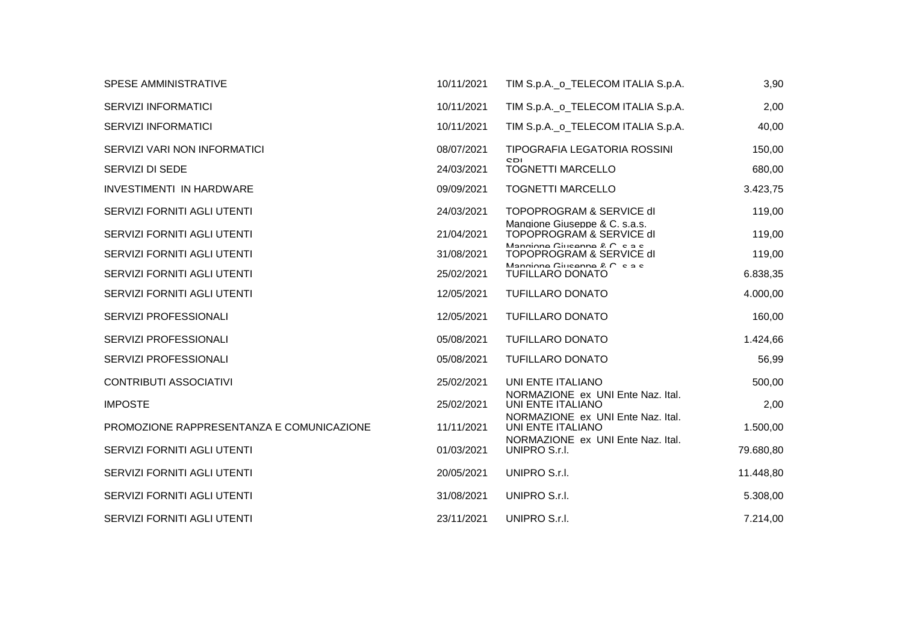| <b>SPESE AMMINISTRATIVE</b>               | 10/11/2021 | TIM S.p.A._o_TELECOM ITALIA S.p.A.                                   | 3,90      |
|-------------------------------------------|------------|----------------------------------------------------------------------|-----------|
| <b>SERVIZI INFORMATICI</b>                | 10/11/2021 | TIM S.p.A._o_TELECOM ITALIA S.p.A.                                   | 2,00      |
| <b>SERVIZI INFORMATICI</b>                | 10/11/2021 | TIM S.p.A._o_TELECOM ITALIA S.p.A.                                   | 40,00     |
| SERVIZI VARI NON INFORMATICI              | 08/07/2021 | <b>TIPOGRAFIA LEGATORIA ROSSINI</b>                                  | 150,00    |
| SERVIZI DI SEDE                           | 24/03/2021 | <b>QDI</b><br><b>TOGNETTI MARCELLO</b>                               | 680,00    |
| <b>INVESTIMENTI IN HARDWARE</b>           | 09/09/2021 | <b>TOGNETTI MARCELLO</b>                                             | 3.423,75  |
| SERVIZI FORNITI AGLI UTENTI               | 24/03/2021 | <b>TOPOPROGRAM &amp; SERVICE dl</b>                                  | 119,00    |
| SERVIZI FORNITI AGLI UTENTI               | 21/04/2021 | Mangione Giuseppe & C. s.a.s.<br><b>TOPOPROGRAM &amp; SERVICE dl</b> | 119,00    |
| SERVIZI FORNITI AGLI UTENTI               | 31/08/2021 | $M$ angiano Ciucanno $R \cap R$<br>TOPOPROGRAM & SERVICE dl          | 119,00    |
| SERVIZI FORNITI AGLI UTENTI               | 25/02/2021 | Mandinna Circanna & C cac<br><b>TUFILLARO DONATO</b>                 | 6.838,35  |
| SERVIZI FORNITI AGLI UTENTI               | 12/05/2021 | <b>TUFILLARO DONATO</b>                                              | 4.000,00  |
| SERVIZI PROFESSIONALI                     | 12/05/2021 | <b>TUFILLARO DONATO</b>                                              | 160,00    |
| SERVIZI PROFESSIONALI                     | 05/08/2021 | <b>TUFILLARO DONATO</b>                                              | 1.424,66  |
| <b>SERVIZI PROFESSIONALI</b>              | 05/08/2021 | <b>TUFILLARO DONATO</b>                                              | 56,99     |
| <b>CONTRIBUTI ASSOCIATIVI</b>             | 25/02/2021 | UNI ENTE ITALIANO                                                    | 500,00    |
| <b>IMPOSTE</b>                            | 25/02/2021 | NORMAZIONE ex UNI Ente Naz. Ital.<br>UNI ENTE ITALIANO               | 2,00      |
| PROMOZIONE RAPPRESENTANZA E COMUNICAZIONE | 11/11/2021 | NORMAZIONE ex UNI Ente Naz. Ital.<br>UNI ENTE ITALIANO               | 1.500,00  |
| SERVIZI FORNITI AGLI UTENTI               | 01/03/2021 | NORMAZIONE ex UNI Ente Naz. Ital.<br>UNIPRO S.r.I.                   | 79.680,80 |
| SERVIZI FORNITI AGLI UTENTI               | 20/05/2021 | UNIPRO S.r.I.                                                        | 11.448,80 |
| SERVIZI FORNITI AGLI UTENTI               | 31/08/2021 | UNIPRO S.r.l.                                                        | 5.308,00  |
| SERVIZI FORNITI AGLI UTENTI               | 23/11/2021 | UNIPRO S.r.I.                                                        | 7.214,00  |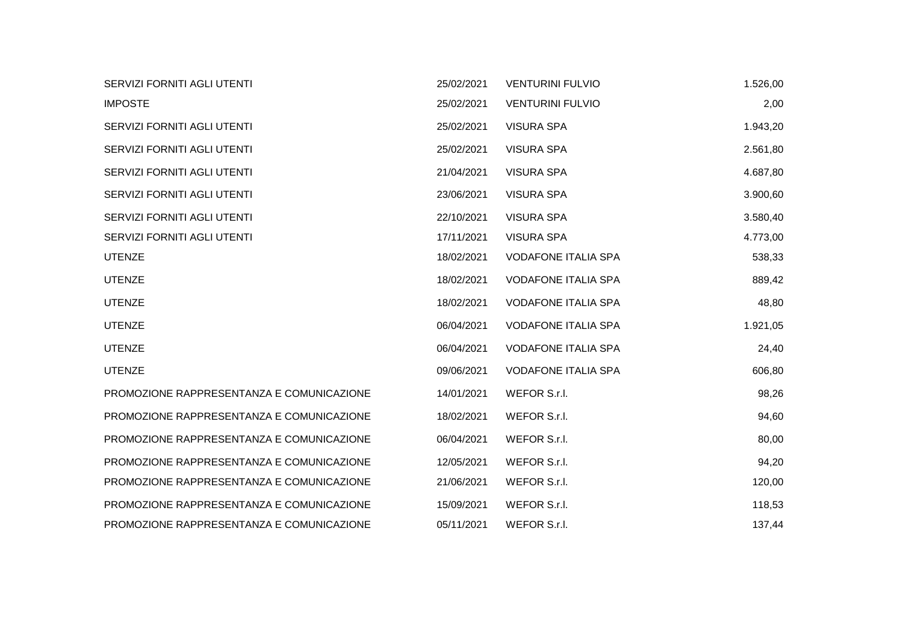| SERVIZI FORNITI AGLI UTENTI               | 25/02/2021 | <b>VENTURINI FULVIO</b>    | 1.526,00 |
|-------------------------------------------|------------|----------------------------|----------|
| <b>IMPOSTE</b>                            | 25/02/2021 | <b>VENTURINI FULVIO</b>    | 2,00     |
| SERVIZI FORNITI AGLI UTENTI               | 25/02/2021 | <b>VISURA SPA</b>          | 1.943,20 |
| SERVIZI FORNITI AGLI UTENTI               | 25/02/2021 | <b>VISURA SPA</b>          | 2.561,80 |
| SERVIZI FORNITI AGLI UTENTI               | 21/04/2021 | <b>VISURA SPA</b>          | 4.687,80 |
| SERVIZI FORNITI AGLI UTENTI               | 23/06/2021 | <b>VISURA SPA</b>          | 3.900,60 |
| SERVIZI FORNITI AGLI UTENTI               | 22/10/2021 | <b>VISURA SPA</b>          | 3.580,40 |
| SERVIZI FORNITI AGLI UTENTI               | 17/11/2021 | <b>VISURA SPA</b>          | 4.773,00 |
| <b>UTENZE</b>                             | 18/02/2021 | <b>VODAFONE ITALIA SPA</b> | 538,33   |
| <b>UTENZE</b>                             | 18/02/2021 | <b>VODAFONE ITALIA SPA</b> | 889,42   |
| <b>UTENZE</b>                             | 18/02/2021 | <b>VODAFONE ITALIA SPA</b> | 48,80    |
| <b>UTENZE</b>                             | 06/04/2021 | <b>VODAFONE ITALIA SPA</b> | 1.921,05 |
| <b>UTENZE</b>                             | 06/04/2021 | <b>VODAFONE ITALIA SPA</b> | 24,40    |
| <b>UTENZE</b>                             | 09/06/2021 | <b>VODAFONE ITALIA SPA</b> | 606,80   |
| PROMOZIONE RAPPRESENTANZA E COMUNICAZIONE | 14/01/2021 | WEFOR S.r.l.               | 98,26    |
| PROMOZIONE RAPPRESENTANZA E COMUNICAZIONE | 18/02/2021 | WEFOR S.r.l.               | 94,60    |
| PROMOZIONE RAPPRESENTANZA E COMUNICAZIONE | 06/04/2021 | WEFOR S.r.l.               | 80,00    |
| PROMOZIONE RAPPRESENTANZA E COMUNICAZIONE | 12/05/2021 | WEFOR S.r.I.               | 94,20    |
| PROMOZIONE RAPPRESENTANZA E COMUNICAZIONE | 21/06/2021 | WEFOR S.r.I.               | 120,00   |
| PROMOZIONE RAPPRESENTANZA E COMUNICAZIONE | 15/09/2021 | WEFOR S.r.l.               | 118,53   |
| PROMOZIONE RAPPRESENTANZA E COMUNICAZIONE | 05/11/2021 | WEFOR S.r.l.               | 137,44   |